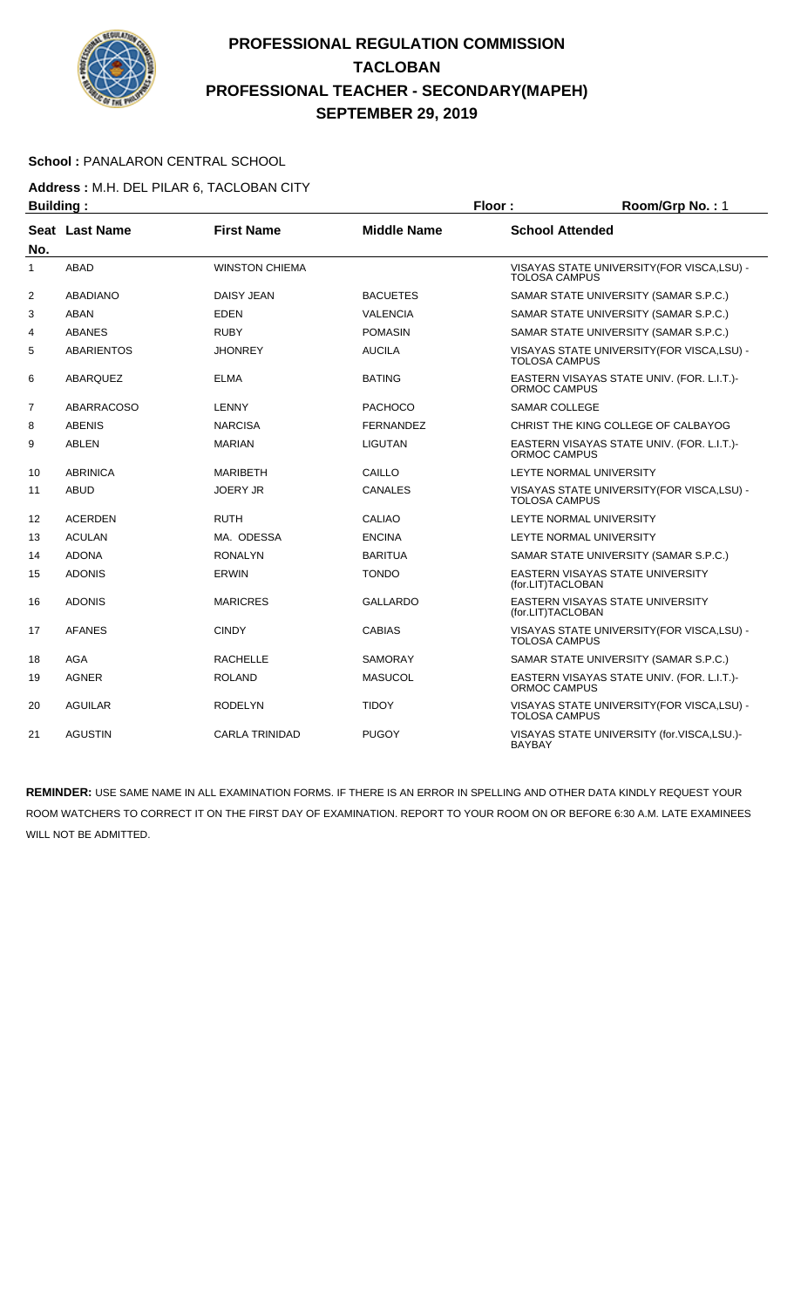

#### School : PANALARON CENTRAL SCHOOL

**Address :** M.H. DEL PILAR 6, TACLOBAN CITY

| <b>Building:</b> |                       |                       |                    | Floor:<br>Room/Grp No.: 1 |                                             |  |
|------------------|-----------------------|-----------------------|--------------------|---------------------------|---------------------------------------------|--|
| No.              | <b>Seat Last Name</b> | <b>First Name</b>     | <b>Middle Name</b> | <b>School Attended</b>    |                                             |  |
| 1                | <b>ABAD</b>           | <b>WINSTON CHIEMA</b> |                    | <b>TOLOSA CAMPUS</b>      | VISAYAS STATE UNIVERSITY(FOR VISCA,LSU) -   |  |
| 2                | <b>ABADIANO</b>       | DAISY JEAN            | <b>BACUETES</b>    |                           | SAMAR STATE UNIVERSITY (SAMAR S.P.C.)       |  |
| 3                | <b>ABAN</b>           | <b>EDEN</b>           | <b>VALENCIA</b>    |                           | SAMAR STATE UNIVERSITY (SAMAR S.P.C.)       |  |
| 4                | <b>ABANES</b>         | <b>RUBY</b>           | <b>POMASIN</b>     |                           | SAMAR STATE UNIVERSITY (SAMAR S.P.C.)       |  |
| 5                | <b>ABARIENTOS</b>     | <b>JHONREY</b>        | <b>AUCILA</b>      | <b>TOLOSA CAMPUS</b>      | VISAYAS STATE UNIVERSITY(FOR VISCA,LSU) -   |  |
| 6                | ABARQUEZ              | <b>ELMA</b>           | <b>BATING</b>      | ORMOC CAMPUS              | EASTERN VISAYAS STATE UNIV. (FOR. L.I.T.)-  |  |
| $\overline{7}$   | <b>ABARRACOSO</b>     | LENNY                 | <b>PACHOCO</b>     | <b>SAMAR COLLEGE</b>      |                                             |  |
| 8                | <b>ABENIS</b>         | <b>NARCISA</b>        | <b>FERNANDEZ</b>   |                           | CHRIST THE KING COLLEGE OF CALBAYOG         |  |
| 9                | ABLEN                 | <b>MARIAN</b>         | <b>LIGUTAN</b>     | ORMOC CAMPUS              | EASTERN VISAYAS STATE UNIV. (FOR. L.I.T.)-  |  |
| 10               | <b>ABRINICA</b>       | <b>MARIBETH</b>       | CAILLO             |                           | LEYTE NORMAL UNIVERSITY                     |  |
| 11               | ABUD                  | <b>JOERY JR</b>       | <b>CANALES</b>     | <b>TOLOSA CAMPUS</b>      | VISAYAS STATE UNIVERSITY (FOR VISCA, LSU) - |  |
| 12               | <b>ACERDEN</b>        | <b>RUTH</b>           | <b>CALIAO</b>      |                           | LEYTE NORMAL UNIVERSITY                     |  |
| 13               | <b>ACULAN</b>         | MA. ODESSA            | <b>ENCINA</b>      |                           | LEYTE NORMAL UNIVERSITY                     |  |
| 14               | <b>ADONA</b>          | <b>RONALYN</b>        | <b>BARITUA</b>     |                           | SAMAR STATE UNIVERSITY (SAMAR S.P.C.)       |  |
| 15               | <b>ADONIS</b>         | <b>ERWIN</b>          | <b>TONDO</b>       | (for.LIT)TACLOBAN         | EASTERN VISAYAS STATE UNIVERSITY            |  |
| 16               | <b>ADONIS</b>         | <b>MARICRES</b>       | <b>GALLARDO</b>    | (for.LIT)TACLOBAN         | EASTERN VISAYAS STATE UNIVERSITY            |  |
| 17               | <b>AFANES</b>         | <b>CINDY</b>          | <b>CABIAS</b>      | <b>TOLOSA CAMPUS</b>      | VISAYAS STATE UNIVERSITY (FOR VISCA, LSU) - |  |
| 18               | AGA                   | <b>RACHELLE</b>       | <b>SAMORAY</b>     |                           | SAMAR STATE UNIVERSITY (SAMAR S.P.C.)       |  |
| 19               | <b>AGNER</b>          | <b>ROLAND</b>         | <b>MASUCOL</b>     | ORMOC CAMPUS              | EASTERN VISAYAS STATE UNIV. (FOR. L.I.T.)-  |  |
| 20               | <b>AGUILAR</b>        | <b>RODELYN</b>        | <b>TIDOY</b>       | <b>TOLOSA CAMPUS</b>      | VISAYAS STATE UNIVERSITY (FOR VISCA, LSU) - |  |
| 21               | <b>AGUSTIN</b>        | <b>CARLA TRINIDAD</b> | <b>PUGOY</b>       | <b>BAYBAY</b>             | VISAYAS STATE UNIVERSITY (for.VISCA,LSU.)-  |  |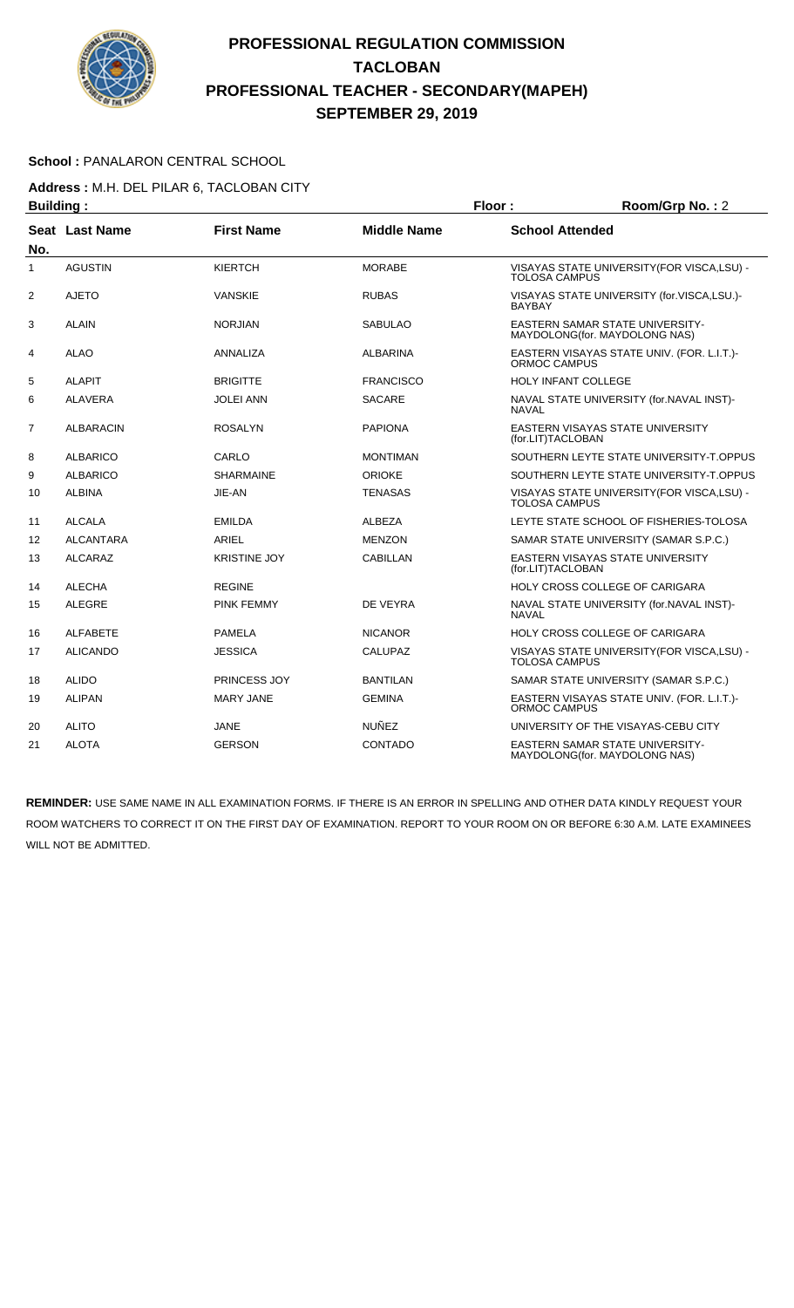

#### School : PANALARON CENTRAL SCHOOL

**Address :** M.H. DEL PILAR 6, TACLOBAN CITY

| <b>Building:</b> |                  |                     | Floor:             | Room/Grp No.: 2        |                                                                         |
|------------------|------------------|---------------------|--------------------|------------------------|-------------------------------------------------------------------------|
| No.              | Seat Last Name   | <b>First Name</b>   | <b>Middle Name</b> | <b>School Attended</b> |                                                                         |
| 1                | <b>AGUSTIN</b>   | <b>KIERTCH</b>      | <b>MORABE</b>      | <b>TOLOSA CAMPUS</b>   | VISAYAS STATE UNIVERSITY (FOR VISCA, LSU) -                             |
| $\overline{2}$   | <b>AJETO</b>     | <b>VANSKIE</b>      | <b>RUBAS</b>       | <b>BAYBAY</b>          | VISAYAS STATE UNIVERSITY (for.VISCA,LSU.)-                              |
| 3                | <b>ALAIN</b>     | <b>NORJIAN</b>      | <b>SABULAO</b>     |                        | <b>EASTERN SAMAR STATE UNIVERSITY-</b><br>MAYDOLONG(for. MAYDOLONG NAS) |
| 4                | <b>ALAO</b>      | ANNALIZA            | <b>ALBARINA</b>    | ORMOC CAMPUS           | EASTERN VISAYAS STATE UNIV. (FOR. L.I.T.)-                              |
| 5                | <b>ALAPIT</b>    | <b>BRIGITTE</b>     | <b>FRANCISCO</b>   |                        | <b>HOLY INFANT COLLEGE</b>                                              |
| 6                | <b>ALAVERA</b>   | <b>JOLEI ANN</b>    | <b>SACARE</b>      | <b>NAVAL</b>           | NAVAL STATE UNIVERSITY (for.NAVAL INST)-                                |
| 7                | <b>ALBARACIN</b> | <b>ROSALYN</b>      | <b>PAPIONA</b>     | (for.LIT)TACLOBAN      | EASTERN VISAYAS STATE UNIVERSITY                                        |
| 8                | <b>ALBARICO</b>  | CARLO               | <b>MONTIMAN</b>    |                        | SOUTHERN LEYTE STATE UNIVERSITY-T.OPPUS                                 |
| 9                | <b>ALBARICO</b>  | <b>SHARMAINE</b>    | <b>ORIOKE</b>      |                        | SOUTHERN LEYTE STATE UNIVERSITY-T.OPPUS                                 |
| 10               | <b>ALBINA</b>    | JIE-AN              | TENASAS            | <b>TOLOSA CAMPUS</b>   | VISAYAS STATE UNIVERSITY (FOR VISCA, LSU) -                             |
| 11               | <b>ALCALA</b>    | EMILDA              | ALBEZA             |                        | LEYTE STATE SCHOOL OF FISHERIES-TOLOSA                                  |
| 12               | <b>ALCANTARA</b> | ARIEL               | <b>MENZON</b>      |                        | SAMAR STATE UNIVERSITY (SAMAR S.P.C.)                                   |
| 13               | <b>ALCARAZ</b>   | <b>KRISTINE JOY</b> | <b>CABILLAN</b>    | (for.LIT)TACLOBAN      | EASTERN VISAYAS STATE UNIVERSITY                                        |
| 14               | <b>ALECHA</b>    | <b>REGINE</b>       |                    |                        | HOLY CROSS COLLEGE OF CARIGARA                                          |
| 15               | <b>ALEGRE</b>    | <b>PINK FEMMY</b>   | DE VEYRA           | <b>NAVAL</b>           | NAVAL STATE UNIVERSITY (for.NAVAL INST)-                                |
| 16               | <b>ALFABETE</b>  | <b>PAMELA</b>       | <b>NICANOR</b>     |                        | <b>HOLY CROSS COLLEGE OF CARIGARA</b>                                   |
| 17               | <b>ALICANDO</b>  | <b>JESSICA</b>      | CALUPAZ            | TOLOSA CAMPUS          | VISAYAS STATE UNIVERSITY (FOR VISCA, LSU) -                             |
| 18               | <b>ALIDO</b>     | <b>PRINCESS JOY</b> | <b>BANTILAN</b>    |                        | SAMAR STATE UNIVERSITY (SAMAR S.P.C.)                                   |
| 19               | <b>ALIPAN</b>    | <b>MARY JANE</b>    | <b>GEMINA</b>      | <b>ORMOC CAMPUS</b>    | EASTERN VISAYAS STATE UNIV. (FOR. L.I.T.)-                              |
| 20               | <b>ALITO</b>     | <b>JANE</b>         | <b>NUÑEZ</b>       |                        | UNIVERSITY OF THE VISAYAS-CEBU CITY                                     |
| 21               | <b>ALOTA</b>     | <b>GERSON</b>       | <b>CONTADO</b>     |                        | EASTERN SAMAR STATE UNIVERSITY-<br>MAYDOLONG (for. MAYDOLONG NAS)       |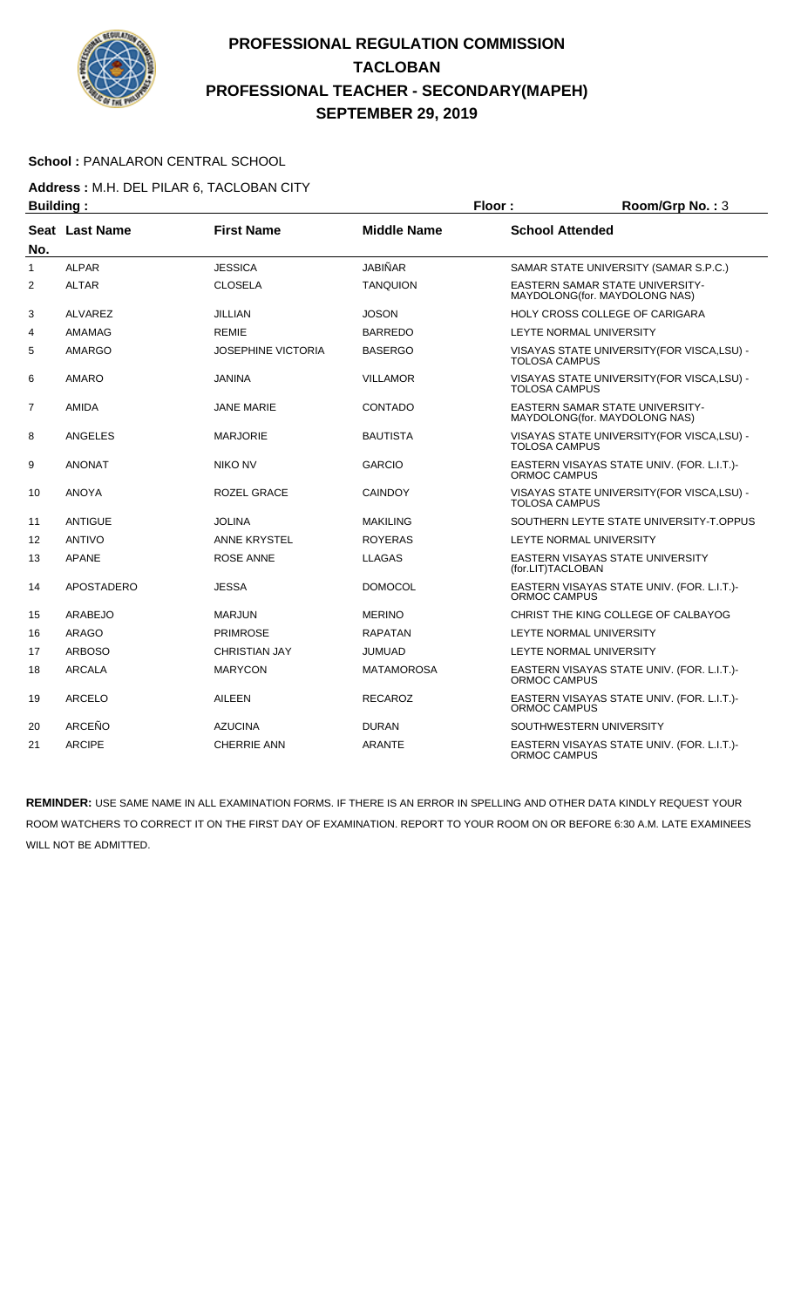

#### School : PANALARON CENTRAL SCHOOL

# **Address :** M.H. DEL PILAR 6, TACLOBAN CITY

|                | <b>Building:</b>  |                           |                    | Floor:                 | Room/Grp No.: 3                                                         |
|----------------|-------------------|---------------------------|--------------------|------------------------|-------------------------------------------------------------------------|
| No.            | Seat Last Name    | <b>First Name</b>         | <b>Middle Name</b> | <b>School Attended</b> |                                                                         |
| $\mathbf{1}$   | <b>ALPAR</b>      | <b>JESSICA</b>            | <b>JABIÑAR</b>     |                        | SAMAR STATE UNIVERSITY (SAMAR S.P.C.)                                   |
| $\overline{2}$ | <b>ALTAR</b>      | <b>CLOSELA</b>            | <b>TANQUION</b>    |                        | <b>EASTERN SAMAR STATE UNIVERSITY-</b><br>MAYDOLONG(for. MAYDOLONG NAS) |
| 3              | <b>ALVAREZ</b>    | <b>JILLIAN</b>            | <b>JOSON</b>       |                        | HOLY CROSS COLLEGE OF CARIGARA                                          |
| 4              | AMAMAG            | <b>REMIE</b>              | <b>BARREDO</b>     |                        | LEYTE NORMAL UNIVERSITY                                                 |
| 5              | <b>AMARGO</b>     | <b>JOSEPHINE VICTORIA</b> | <b>BASERGO</b>     | <b>TOLOSA CAMPUS</b>   | VISAYAS STATE UNIVERSITY (FOR VISCA, LSU) -                             |
| 6              | AMARO             | <b>JANINA</b>             | <b>VILLAMOR</b>    | <b>TOLOSA CAMPUS</b>   | VISAYAS STATE UNIVERSITY(FOR VISCA,LSU) -                               |
| $\overline{7}$ | AMIDA             | <b>JANE MARIE</b>         | CONTADO            |                        | EASTERN SAMAR STATE UNIVERSITY-<br>MAYDOLONG(for. MAYDOLONG NAS)        |
| 8              | <b>ANGELES</b>    | <b>MARJORIE</b>           | <b>BAUTISTA</b>    | <b>TOLOSA CAMPUS</b>   | VISAYAS STATE UNIVERSITY (FOR VISCA, LSU) -                             |
| 9              | <b>ANONAT</b>     | <b>NIKO NV</b>            | <b>GARCIO</b>      | ORMOC CAMPUS           | EASTERN VISAYAS STATE UNIV. (FOR. L.I.T.)-                              |
| 10             | <b>ANOYA</b>      | ROZEL GRACE               | <b>CAINDOY</b>     | <b>TOLOSA CAMPUS</b>   | VISAYAS STATE UNIVERSITY (FOR VISCA, LSU) -                             |
| 11             | <b>ANTIGUE</b>    | <b>JOLINA</b>             | <b>MAKILING</b>    |                        | SOUTHERN LEYTE STATE UNIVERSITY-T.OPPUS                                 |
| 12             | <b>ANTIVO</b>     | <b>ANNE KRYSTEL</b>       | <b>ROYERAS</b>     |                        | LEYTE NORMAL UNIVERSITY                                                 |
| 13             | <b>APANE</b>      | <b>ROSE ANNE</b>          | <b>LLAGAS</b>      | (for.LIT)TACLOBAN      | EASTERN VISAYAS STATE UNIVERSITY                                        |
| 14             | <b>APOSTADERO</b> | <b>JESSA</b>              | <b>DOMOCOL</b>     | <b>ORMOC CAMPUS</b>    | EASTERN VISAYAS STATE UNIV. (FOR. L.I.T.)-                              |
| 15             | <b>ARABEJO</b>    | <b>MARJUN</b>             | <b>MERINO</b>      |                        | CHRIST THE KING COLLEGE OF CALBAYOG                                     |
| 16             | <b>ARAGO</b>      | <b>PRIMROSE</b>           | <b>RAPATAN</b>     |                        | LEYTE NORMAL UNIVERSITY                                                 |
| 17             | <b>ARBOSO</b>     | <b>CHRISTIAN JAY</b>      | JUMUAD             |                        | LEYTE NORMAL UNIVERSITY                                                 |
| 18             | <b>ARCALA</b>     | <b>MARYCON</b>            | <b>MATAMOROSA</b>  | ORMOC CAMPUS           | EASTERN VISAYAS STATE UNIV. (FOR. L.I.T.)-                              |
| 19             | <b>ARCELO</b>     | <b>AILEEN</b>             | <b>RECAROZ</b>     | ORMOC CAMPUS           | EASTERN VISAYAS STATE UNIV. (FOR. L.I.T.)-                              |
| 20             | ARCEÑO            | <b>AZUCINA</b>            | <b>DURAN</b>       |                        | SOUTHWESTERN UNIVERSITY                                                 |
| 21             | <b>ARCIPE</b>     | <b>CHERRIE ANN</b>        | <b>ARANTE</b>      | ORMOC CAMPUS           | EASTERN VISAYAS STATE UNIV. (FOR. L.I.T.)-                              |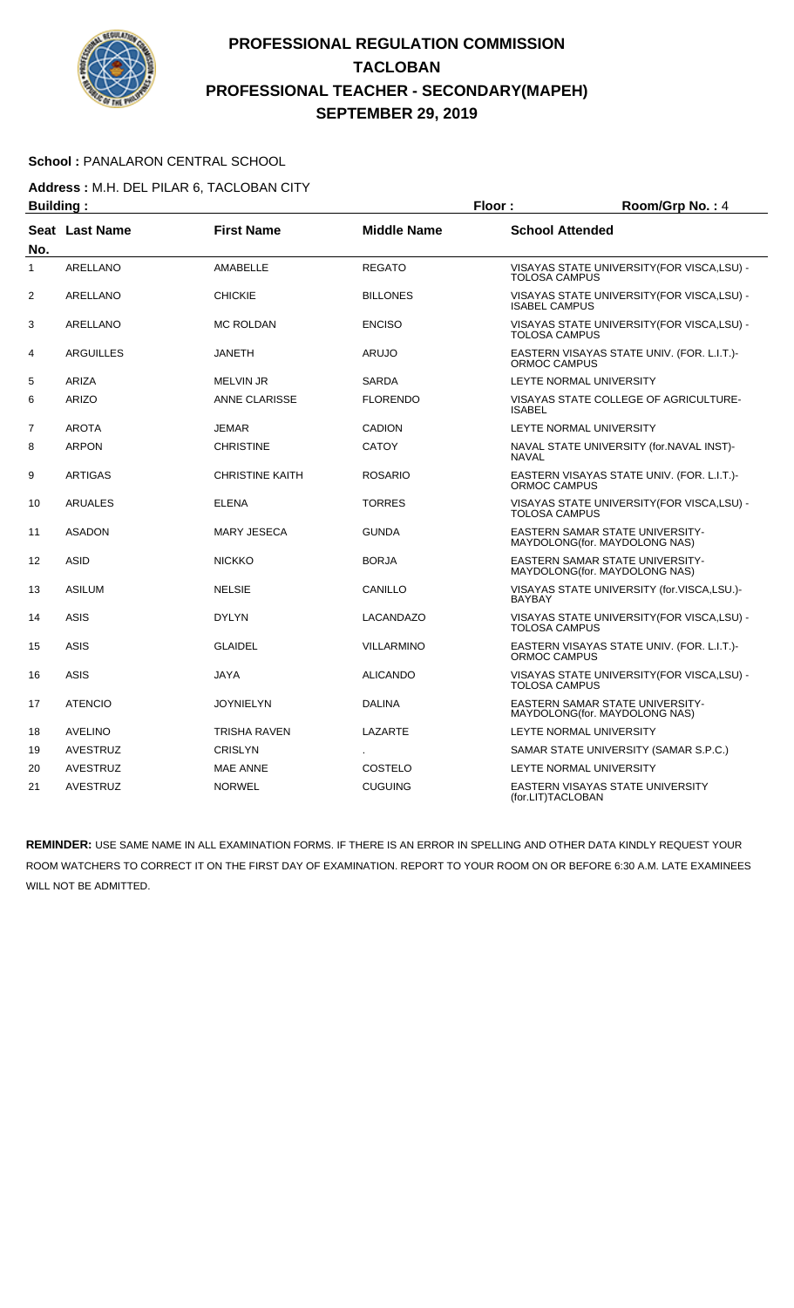

#### School : PANALARON CENTRAL SCHOOL

**Address :** M.H. DEL PILAR 6, TACLOBAN CITY

| <b>Building:</b>  |                       |                        | Floor:             | Room/Grp No.: 4        |                                                                          |
|-------------------|-----------------------|------------------------|--------------------|------------------------|--------------------------------------------------------------------------|
| No.               | <b>Seat Last Name</b> | <b>First Name</b>      | <b>Middle Name</b> | <b>School Attended</b> |                                                                          |
| 1                 | <b>ARELLANO</b>       | <b>AMABELLE</b>        | <b>REGATO</b>      | <b>TOLOSA CAMPUS</b>   | VISAYAS STATE UNIVERSITY (FOR VISCA, LSU) -                              |
| $\overline{2}$    | <b>ARELLANO</b>       | <b>CHICKIE</b>         | <b>BILLONES</b>    | <b>ISABEL CAMPUS</b>   | VISAYAS STATE UNIVERSITY (FOR VISCA, LSU) -                              |
| 3                 | ARELLANO              | <b>MC ROLDAN</b>       | <b>ENCISO</b>      | <b>TOLOSA CAMPUS</b>   | VISAYAS STATE UNIVERSITY (FOR VISCA, LSU) -                              |
| 4                 | <b>ARGUILLES</b>      | <b>JANETH</b>          | <b>ARUJO</b>       | ORMOC CAMPUS           | EASTERN VISAYAS STATE UNIV. (FOR. L.I.T.)-                               |
| 5                 | ARIZA                 | <b>MELVIN JR</b>       | <b>SARDA</b>       |                        | LEYTE NORMAL UNIVERSITY                                                  |
| 6                 | <b>ARIZO</b>          | <b>ANNE CLARISSE</b>   | <b>FLORENDO</b>    | <b>ISABEL</b>          | VISAYAS STATE COLLEGE OF AGRICULTURE-                                    |
| 7                 | <b>AROTA</b>          | <b>JEMAR</b>           | <b>CADION</b>      |                        | LEYTE NORMAL UNIVERSITY                                                  |
| 8                 | <b>ARPON</b>          | <b>CHRISTINE</b>       | <b>CATOY</b>       | <b>NAVAL</b>           | NAVAL STATE UNIVERSITY (for.NAVAL INST)-                                 |
| 9                 | ARTIGAS               | <b>CHRISTINE KAITH</b> | <b>ROSARIO</b>     | ORMOC CAMPUS           | EASTERN VISAYAS STATE UNIV. (FOR. L.I.T.)-                               |
| 10                | <b>ARUALES</b>        | <b>ELENA</b>           | <b>TORRES</b>      | <b>TOLOSA CAMPUS</b>   | VISAYAS STATE UNIVERSITY (FOR VISCA, LSU) -                              |
| 11                | <b>ASADON</b>         | <b>MARY JESECA</b>     | <b>GUNDA</b>       |                        | <b>EASTERN SAMAR STATE UNIVERSITY-</b><br>MAYDOLONG(for. MAYDOLONG NAS)  |
| $12 \overline{ }$ | <b>ASID</b>           | <b>NICKKO</b>          | <b>BORJA</b>       |                        | EASTERN SAMAR STATE UNIVERSITY-<br>MAYDOLONG(for. MAYDOLONG NAS)         |
| 13                | <b>ASILUM</b>         | <b>NELSIE</b>          | CANILLO            | <b>BAYBAY</b>          | VISAYAS STATE UNIVERSITY (for.VISCA,LSU.)-                               |
| 14                | <b>ASIS</b>           | <b>DYLYN</b>           | LACANDAZO          | <b>TOLOSA CAMPUS</b>   | VISAYAS STATE UNIVERSITY (FOR VISCA, LSU) -                              |
| 15                | <b>ASIS</b>           | <b>GLAIDEL</b>         | <b>VILLARMINO</b>  | ORMOC CAMPUS           | EASTERN VISAYAS STATE UNIV. (FOR. L.I.T.)-                               |
| 16                | <b>ASIS</b>           | JAYA                   | <b>ALICANDO</b>    | <b>TOLOSA CAMPUS</b>   | VISAYAS STATE UNIVERSITY (FOR VISCA, LSU) -                              |
| 17                | <b>ATENCIO</b>        | <b>JOYNIELYN</b>       | <b>DALINA</b>      |                        | <b>EASTERN SAMAR STATE UNIVERSITY-</b><br>MAYDOLONG (for. MAYDOLONG NAS) |
| 18                | <b>AVELINO</b>        | TRISHA RAVEN           | LAZARTE            |                        | LEYTE NORMAL UNIVERSITY                                                  |
| 19                | <b>AVESTRUZ</b>       | <b>CRISLYN</b>         |                    |                        | SAMAR STATE UNIVERSITY (SAMAR S.P.C.)                                    |
| 20                | AVESTRUZ              | <b>MAE ANNE</b>        | COSTELO            |                        | LEYTE NORMAL UNIVERSITY                                                  |
| 21                | <b>AVESTRUZ</b>       | <b>NORWEL</b>          | <b>CUGUING</b>     | (for.LIT)TACLOBAN      | EASTERN VISAYAS STATE UNIVERSITY                                         |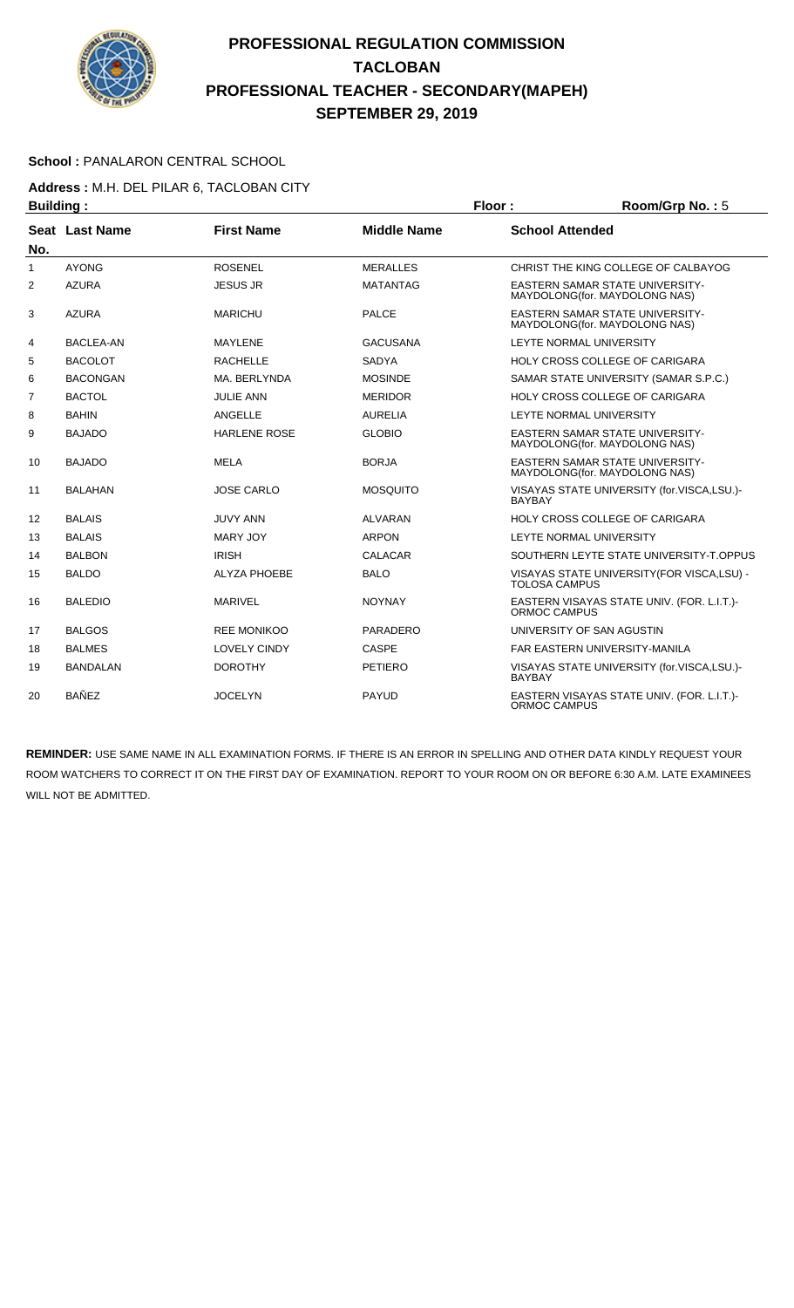

#### School : PANALARON CENTRAL SCHOOL

# **Address :** M.H. DEL PILAR 6, TACLOBAN CITY

| <b>Building:</b> |                  |                     |                    | Floor:                 | Room/Grp No.: 5                                                         |
|------------------|------------------|---------------------|--------------------|------------------------|-------------------------------------------------------------------------|
|                  | Seat Last Name   | <b>First Name</b>   | <b>Middle Name</b> | <b>School Attended</b> |                                                                         |
| No.<br>1         | <b>AYONG</b>     | <b>ROSENEL</b>      | <b>MERALLES</b>    |                        | CHRIST THE KING COLLEGE OF CALBAYOG                                     |
| $\overline{2}$   | <b>AZURA</b>     | <b>JESUS JR</b>     | <b>MATANTAG</b>    |                        | <b>EASTERN SAMAR STATE UNIVERSITY-</b><br>MAYDOLONG(for. MAYDOLONG NAS) |
| 3                | <b>AZURA</b>     | <b>MARICHU</b>      | PALCE              |                        | <b>EASTERN SAMAR STATE UNIVERSITY-</b><br>MAYDOLONG(for. MAYDOLONG NAS) |
| 4                | <b>BACLEA-AN</b> | <b>MAYLENE</b>      | <b>GACUSANA</b>    |                        | LEYTE NORMAL UNIVERSITY                                                 |
| 5                | <b>BACOLOT</b>   | <b>RACHELLE</b>     | <b>SADYA</b>       |                        | HOLY CROSS COLLEGE OF CARIGARA                                          |
| 6                | <b>BACONGAN</b>  | MA. BERLYNDA        | <b>MOSINDE</b>     |                        | SAMAR STATE UNIVERSITY (SAMAR S.P.C.)                                   |
| 7                | <b>BACTOL</b>    | <b>JULIE ANN</b>    | <b>MERIDOR</b>     |                        | HOLY CROSS COLLEGE OF CARIGARA                                          |
| 8                | <b>BAHIN</b>     | ANGELLE             | <b>AURELIA</b>     |                        | LEYTE NORMAL UNIVERSITY                                                 |
| 9                | <b>BAJADO</b>    | <b>HARLENE ROSE</b> | <b>GLOBIO</b>      |                        | <b>EASTERN SAMAR STATE UNIVERSITY-</b><br>MAYDOLONG(for. MAYDOLONG NAS) |
| 10               | <b>BAJADO</b>    | <b>MELA</b>         | <b>BORJA</b>       |                        | <b>EASTERN SAMAR STATE UNIVERSITY-</b><br>MAYDOLONG(for. MAYDOLONG NAS) |
| 11               | <b>BALAHAN</b>   | <b>JOSE CARLO</b>   | <b>MOSQUITO</b>    | <b>BAYBAY</b>          | VISAYAS STATE UNIVERSITY (for.VISCA,LSU.)-                              |
| 12               | <b>BALAIS</b>    | <b>JUVY ANN</b>     | <b>ALVARAN</b>     |                        | HOLY CROSS COLLEGE OF CARIGARA                                          |
| 13               | <b>BALAIS</b>    | <b>MARY JOY</b>     | <b>ARPON</b>       |                        | LEYTE NORMAL UNIVERSITY                                                 |
| 14               | <b>BALBON</b>    | <b>IRISH</b>        | <b>CALACAR</b>     |                        | SOUTHERN LEYTE STATE UNIVERSITY-T.OPPUS                                 |
| 15               | <b>BALDO</b>     | <b>ALYZA PHOEBE</b> | <b>BALO</b>        | <b>TOLOSA CAMPUS</b>   | VISAYAS STATE UNIVERSITY (FOR VISCA, LSU) -                             |
| 16               | <b>BALEDIO</b>   | <b>MARIVEL</b>      | <b>NOYNAY</b>      | <b>ORMOC CAMPUS</b>    | EASTERN VISAYAS STATE UNIV. (FOR. L.I.T.)-                              |
| 17               | <b>BALGOS</b>    | <b>REE MONIKOO</b>  | PARADERO           |                        | UNIVERSITY OF SAN AGUSTIN                                               |
| 18               | <b>BALMES</b>    | <b>LOVELY CINDY</b> | <b>CASPE</b>       |                        | <b>FAR EASTERN UNIVERSITY-MANILA</b>                                    |
| 19               | <b>BANDALAN</b>  | <b>DOROTHY</b>      | <b>PETIERO</b>     | <b>BAYBAY</b>          | VISAYAS STATE UNIVERSITY (for.VISCA,LSU.)-                              |
| 20               | <b>BAÑEZ</b>     | <b>JOCELYN</b>      | <b>PAYUD</b>       | ORMOC CAMPUS           | EASTERN VISAYAS STATE UNIV. (FOR. L.I.T.)-                              |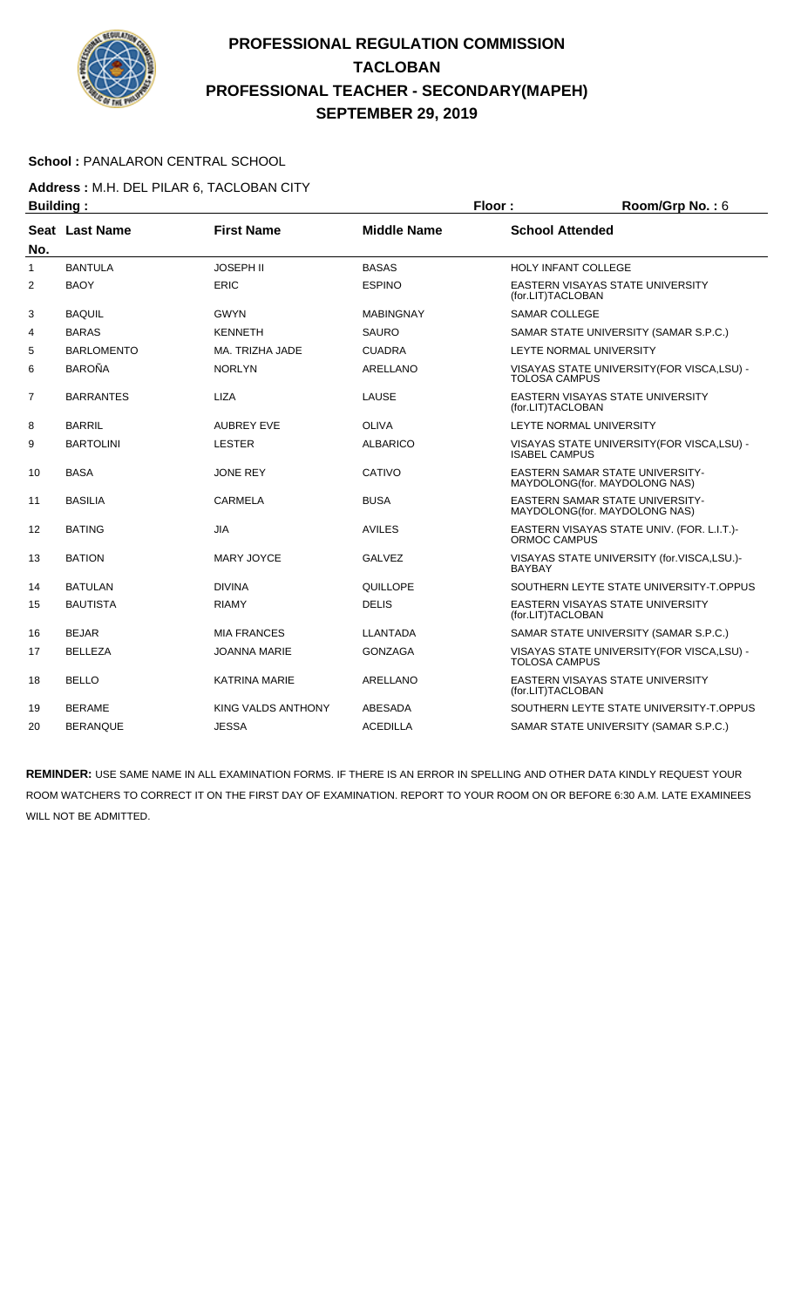

#### School : PANALARON CENTRAL SCHOOL

# **Address :** M.H. DEL PILAR 6, TACLOBAN CITY

| <b>Building:</b> |                   |                      | Floor:             | Room/Grp No.: 6        |                                                                         |
|------------------|-------------------|----------------------|--------------------|------------------------|-------------------------------------------------------------------------|
| No.              | Seat Last Name    | <b>First Name</b>    | <b>Middle Name</b> | <b>School Attended</b> |                                                                         |
| $\mathbf{1}$     | <b>BANTULA</b>    | <b>JOSEPH II</b>     | <b>BASAS</b>       | HOLY INFANT COLLEGE    |                                                                         |
| 2                | <b>BAOY</b>       | <b>ERIC</b>          | <b>ESPINO</b>      | (for.LIT)TACLOBAN      | <b>EASTERN VISAYAS STATE UNIVERSITY</b>                                 |
| 3                | <b>BAQUIL</b>     | <b>GWYN</b>          | <b>MABINGNAY</b>   | <b>SAMAR COLLEGE</b>   |                                                                         |
| 4                | <b>BARAS</b>      | <b>KENNETH</b>       | <b>SAURO</b>       |                        | SAMAR STATE UNIVERSITY (SAMAR S.P.C.)                                   |
| 5                | <b>BARLOMENTO</b> | MA. TRIZHA JADE      | <b>CUADRA</b>      |                        | LEYTE NORMAL UNIVERSITY                                                 |
| 6                | <b>BAROÑA</b>     | <b>NORLYN</b>        | <b>ARELLANO</b>    | <b>TOLOSA CAMPUS</b>   | VISAYAS STATE UNIVERSITY (FOR VISCA, LSU) -                             |
| $\overline{7}$   | <b>BARRANTES</b>  | <b>LIZA</b>          | LAUSE              | (for.LIT)TACLOBAN      | EASTERN VISAYAS STATE UNIVERSITY                                        |
| 8                | <b>BARRIL</b>     | <b>AUBREY EVE</b>    | <b>OLIVA</b>       |                        | LEYTE NORMAL UNIVERSITY                                                 |
| 9                | <b>BARTOLINI</b>  | <b>LESTER</b>        | <b>ALBARICO</b>    | <b>ISABEL CAMPUS</b>   | VISAYAS STATE UNIVERSITY (FOR VISCA, LSU) -                             |
| 10               | <b>BASA</b>       | <b>JONE REY</b>      | CATIVO             |                        | <b>EASTERN SAMAR STATE UNIVERSITY-</b><br>MAYDOLONG(for. MAYDOLONG NAS) |
| 11               | <b>BASILIA</b>    | <b>CARMELA</b>       | <b>BUSA</b>        |                        | <b>EASTERN SAMAR STATE UNIVERSITY-</b><br>MAYDOLONG(for. MAYDOLONG NAS) |
| 12               | <b>BATING</b>     | <b>JIA</b>           | <b>AVILES</b>      | <b>ORMOC CAMPUS</b>    | EASTERN VISAYAS STATE UNIV. (FOR. L.I.T.)-                              |
| 13               | <b>BATION</b>     | MARY JOYCE           | GALVEZ             | <b>BAYBAY</b>          | VISAYAS STATE UNIVERSITY (for.VISCA,LSU.)-                              |
| 14               | <b>BATULAN</b>    | <b>DIVINA</b>        | QUILLOPE           |                        | SOUTHERN LEYTE STATE UNIVERSITY T.OPPUS                                 |
| 15               | <b>BAUTISTA</b>   | <b>RIAMY</b>         | <b>DELIS</b>       | (for.LIT)TACLOBAN      | EASTERN VISAYAS STATE UNIVERSITY                                        |
| 16               | <b>BEJAR</b>      | <b>MIA FRANCES</b>   | <b>LLANTADA</b>    |                        | SAMAR STATE UNIVERSITY (SAMAR S.P.C.)                                   |
| 17               | <b>BELLEZA</b>    | <b>JOANNA MARIE</b>  | <b>GONZAGA</b>     | <b>TOLOSA CAMPUS</b>   | VISAYAS STATE UNIVERSITY (FOR VISCA, LSU) -                             |
| 18               | <b>BELLO</b>      | <b>KATRINA MARIE</b> | ARELLANO           | (for.LIT)TACLOBAN      | <b>EASTERN VISAYAS STATE UNIVERSITY</b>                                 |
| 19               | <b>BERAME</b>     | KING VALDS ANTHONY   | <b>ABESADA</b>     |                        | SOUTHERN LEYTE STATE UNIVERSITY-T.OPPUS                                 |
| 20               | <b>BERANQUE</b>   | <b>JESSA</b>         | <b>ACEDILLA</b>    |                        | SAMAR STATE UNIVERSITY (SAMAR S.P.C.)                                   |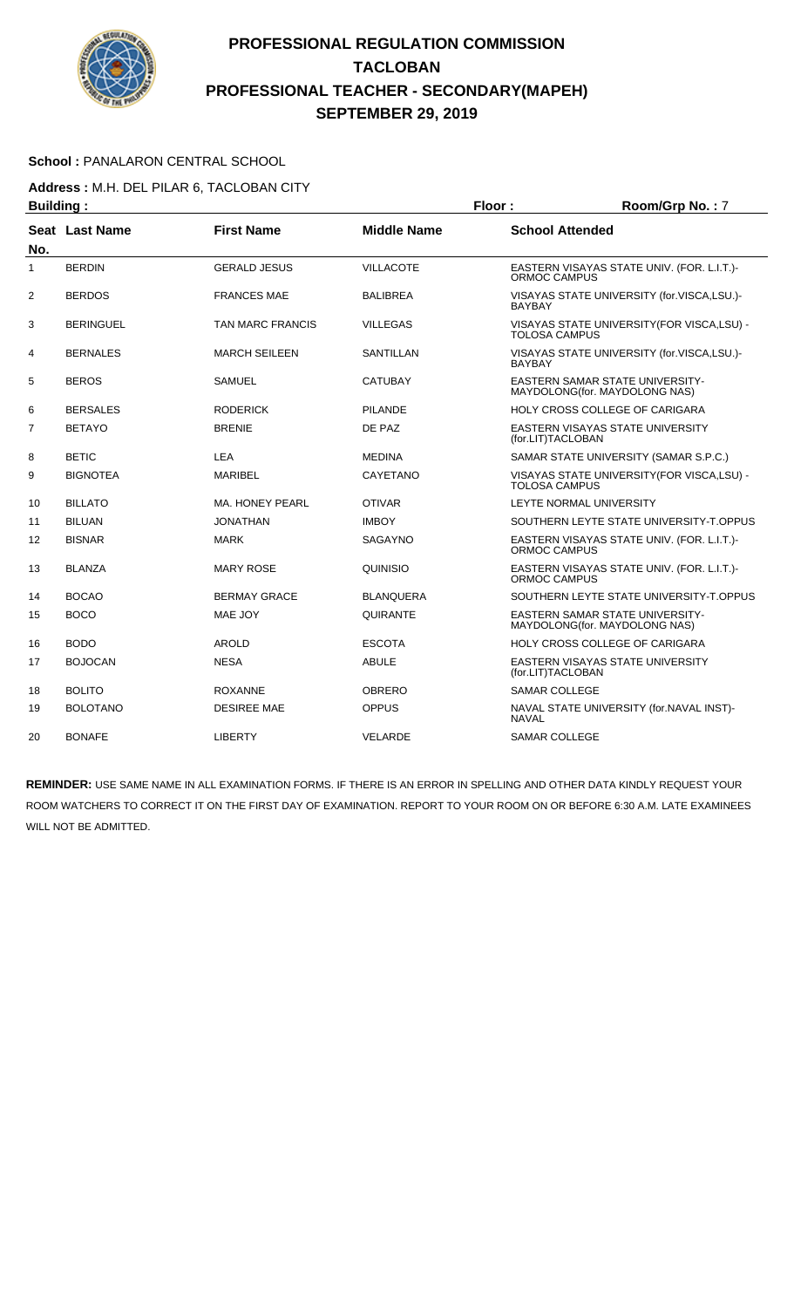

#### School : PANALARON CENTRAL SCHOOL

**Address :** M.H. DEL PILAR 6, TACLOBAN CITY

| <b>Building:</b> |                       | Floor:                  |                    |                        | Room/Grp No.: 7                                                   |
|------------------|-----------------------|-------------------------|--------------------|------------------------|-------------------------------------------------------------------|
|                  | <b>Seat Last Name</b> | <b>First Name</b>       | <b>Middle Name</b> | <b>School Attended</b> |                                                                   |
| No.              |                       |                         |                    |                        |                                                                   |
| 1                | <b>BERDIN</b>         | <b>GERALD JESUS</b>     | <b>VILLACOTE</b>   | <b>ORMOC CAMPUS</b>    | EASTERN VISAYAS STATE UNIV. (FOR. L.I.T.)-                        |
| $\overline{2}$   | <b>BERDOS</b>         | <b>FRANCES MAE</b>      | <b>BALIBREA</b>    | <b>BAYBAY</b>          | VISAYAS STATE UNIVERSITY (for.VISCA,LSU.)-                        |
| 3                | <b>BERINGUEL</b>      | <b>TAN MARC FRANCIS</b> | VILLEGAS           | <b>TOLOSA CAMPUS</b>   | VISAYAS STATE UNIVERSITY (FOR VISCA, LSU) -                       |
| 4                | <b>BERNALES</b>       | <b>MARCH SEILEEN</b>    | SANTILLAN          | <b>BAYBAY</b>          | VISAYAS STATE UNIVERSITY (for.VISCA,LSU.)-                        |
| 5                | <b>BEROS</b>          | <b>SAMUEL</b>           | <b>CATUBAY</b>     |                        | EASTERN SAMAR STATE UNIVERSITY-<br>MAYDOLONG (for. MAYDOLONG NAS) |
| 6                | <b>BERSALES</b>       | <b>RODERICK</b>         | <b>PILANDE</b>     |                        | HOLY CROSS COLLEGE OF CARIGARA                                    |
| 7                | <b>BETAYO</b>         | <b>BRENIE</b>           | DE PAZ             | (for.LIT)TACLOBAN      | <b>EASTERN VISAYAS STATE UNIVERSITY</b>                           |
| 8                | <b>BETIC</b>          | <b>LEA</b>              | <b>MEDINA</b>      |                        | SAMAR STATE UNIVERSITY (SAMAR S.P.C.)                             |
| 9                | <b>BIGNOTEA</b>       | <b>MARIBEL</b>          | CAYETANO           | <b>TOLOSA CAMPUS</b>   | VISAYAS STATE UNIVERSITY (FOR VISCA, LSU) -                       |
| 10               | <b>BILLATO</b>        | MA. HONEY PEARL         | <b>OTIVAR</b>      |                        | LEYTE NORMAL UNIVERSITY                                           |
| 11               | <b>BILUAN</b>         | <b>JONATHAN</b>         | <b>IMBOY</b>       |                        | SOUTHERN LEYTE STATE UNIVERSITY-T.OPPUS                           |
| 12               | <b>BISNAR</b>         | <b>MARK</b>             | SAGAYNO            | ORMOC CAMPUS           | EASTERN VISAYAS STATE UNIV. (FOR. L.I.T.)-                        |
| 13               | <b>BLANZA</b>         | <b>MARY ROSE</b>        | QUINISIO           | ORMOC CAMPUS           | EASTERN VISAYAS STATE UNIV. (FOR. L.I.T.)-                        |
| 14               | <b>BOCAO</b>          | <b>BERMAY GRACE</b>     | <b>BLANQUERA</b>   |                        | SOUTHERN LEYTE STATE UNIVERSITY-T.OPPUS                           |
| 15               | <b>BOCO</b>           | MAE JOY                 | QUIRANTE           |                        | EASTERN SAMAR STATE UNIVERSITY-<br>MAYDOLONG(for. MAYDOLONG NAS)  |
| 16               | <b>BODO</b>           | <b>AROLD</b>            | <b>ESCOTA</b>      |                        | HOLY CROSS COLLEGE OF CARIGARA                                    |
| 17               | <b>BOJOCAN</b>        | <b>NESA</b>             | <b>ABULE</b>       | (for.LIT)TACLOBAN      | EASTERN VISAYAS STATE UNIVERSITY                                  |
| 18               | <b>BOLITO</b>         | <b>ROXANNE</b>          | <b>OBRERO</b>      | <b>SAMAR COLLEGE</b>   |                                                                   |
| 19               | <b>BOLOTANO</b>       | <b>DESIREE MAE</b>      | <b>OPPUS</b>       | <b>NAVAL</b>           | NAVAL STATE UNIVERSITY (for.NAVAL INST)-                          |
| 20               | <b>BONAFE</b>         | <b>LIBERTY</b>          | <b>VELARDE</b>     | <b>SAMAR COLLEGE</b>   |                                                                   |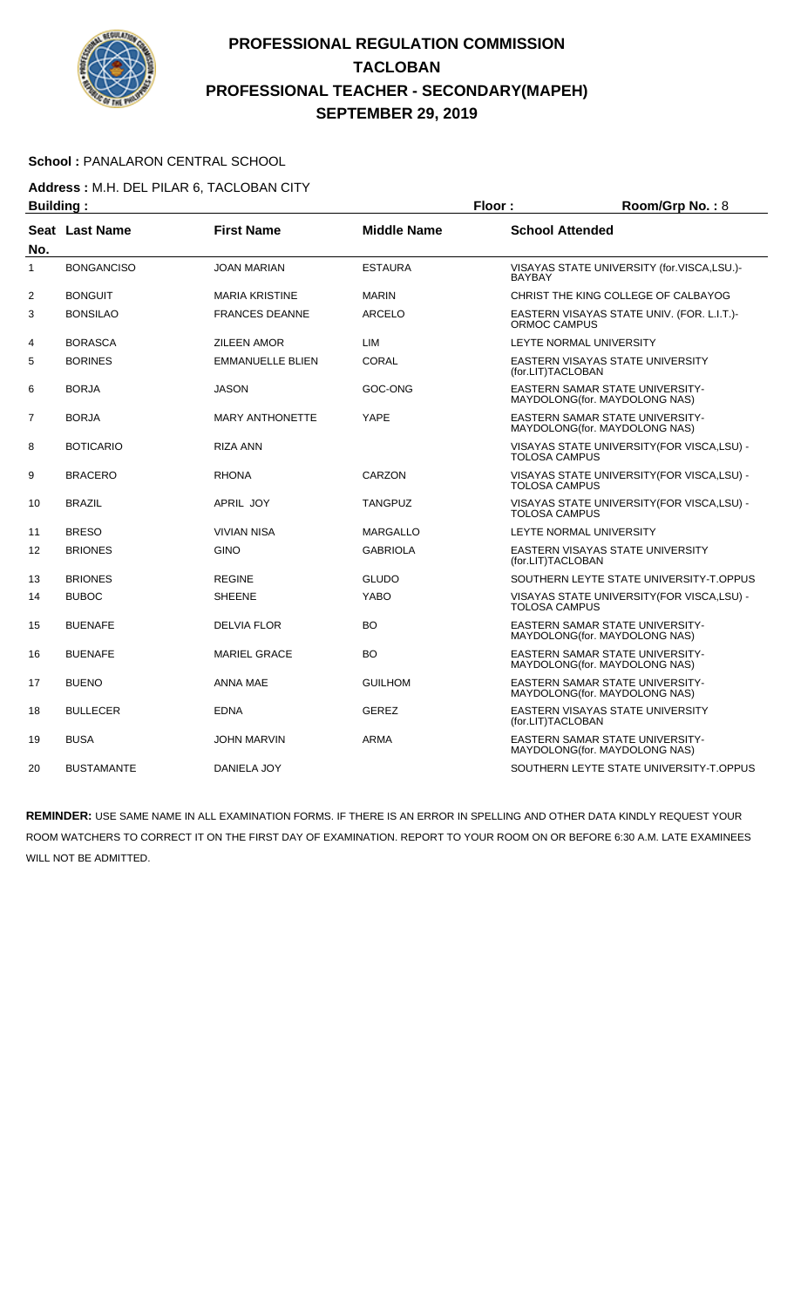

#### School : PANALARON CENTRAL SCHOOL

**Address :** M.H. DEL PILAR 6, TACLOBAN CITY

| <b>Building:</b> |                   |                         |                    | Floor:                 | Room/Grp No.: 8                                                         |
|------------------|-------------------|-------------------------|--------------------|------------------------|-------------------------------------------------------------------------|
| No.              | Seat Last Name    | <b>First Name</b>       | <b>Middle Name</b> | <b>School Attended</b> |                                                                         |
| $\mathbf{1}$     | <b>BONGANCISO</b> | <b>JOAN MARIAN</b>      | <b>ESTAURA</b>     | <b>BAYBAY</b>          | VISAYAS STATE UNIVERSITY (for.VISCA,LSU.)-                              |
| 2                | <b>BONGUIT</b>    | <b>MARIA KRISTINE</b>   | <b>MARIN</b>       |                        | CHRIST THE KING COLLEGE OF CALBAYOG                                     |
| 3                | <b>BONSILAO</b>   | <b>FRANCES DEANNE</b>   | ARCELO             | ORMOC CAMPUS           | EASTERN VISAYAS STATE UNIV. (FOR. L.I.T.)-                              |
| 4                | <b>BORASCA</b>    | <b>ZILEEN AMOR</b>      | LIM                |                        | LEYTE NORMAL UNIVERSITY                                                 |
| 5                | <b>BORINES</b>    | <b>EMMANUELLE BLIEN</b> | CORAL              | (for.LIT)TACLOBAN      | EASTERN VISAYAS STATE UNIVERSITY                                        |
| 6                | <b>BORJA</b>      | <b>JASON</b>            | GOC-ONG            |                        | <b>EASTERN SAMAR STATE UNIVERSITY-</b><br>MAYDOLONG(for. MAYDOLONG NAS) |
| $\overline{7}$   | <b>BORJA</b>      | <b>MARY ANTHONETTE</b>  | YAPE               |                        | <b>EASTERN SAMAR STATE UNIVERSITY-</b><br>MAYDOLONG(for. MAYDOLONG NAS) |
| 8                | <b>BOTICARIO</b>  | <b>RIZA ANN</b>         |                    | <b>TOLOSA CAMPUS</b>   | VISAYAS STATE UNIVERSITY(FOR VISCA,LSU) -                               |
| 9                | BRACERO           | <b>RHONA</b>            | CARZON             | TOLOSA CAMPUS          | VISAYAS STATE UNIVERSITY (FOR VISCA, LSU) -                             |
| 10               | <b>BRAZIL</b>     | APRIL JOY               | <b>TANGPUZ</b>     | TOLOSA CAMPUS          | VISAYAS STATE UNIVERSITY (FOR VISCA, LSU) -                             |
| 11               | <b>BRESO</b>      | <b>VIVIAN NISA</b>      | <b>MARGALLO</b>    |                        | LEYTE NORMAL UNIVERSITY                                                 |
| 12               | <b>BRIONES</b>    | <b>GINO</b>             | <b>GABRIOLA</b>    | (for.LIT)TACLOBAN      | EASTERN VISAYAS STATE UNIVERSITY                                        |
| 13               | <b>BRIONES</b>    | <b>REGINE</b>           | <b>GLUDO</b>       |                        | SOUTHERN LEYTE STATE UNIVERSITY-T.OPPUS                                 |
| 14               | <b>BUBOC</b>      | <b>SHEENE</b>           | <b>YABO</b>        | <b>TOLOSA CAMPUS</b>   | VISAYAS STATE UNIVERSITY (FOR VISCA, LSU) -                             |
| 15               | <b>BUENAFE</b>    | <b>DELVIA FLOR</b>      | <b>BO</b>          |                        | <b>EASTERN SAMAR STATE UNIVERSITY-</b><br>MAYDOLONG(for. MAYDOLONG NAS) |
| 16               | <b>BUENAFE</b>    | <b>MARIEL GRACE</b>     | BO                 |                        | EASTERN SAMAR STATE UNIVERSITY-<br>MAYDOLONG(for. MAYDOLONG NAS)        |
| 17               | <b>BUENO</b>      | <b>ANNA MAE</b>         | <b>GUILHOM</b>     |                        | EASTERN SAMAR STATE UNIVERSITY-<br>MAYDOLONG(for. MAYDOLONG NAS)        |
| 18               | <b>BULLECER</b>   | <b>EDNA</b>             | <b>GEREZ</b>       | (for.LIT)TACLOBAN      | EASTERN VISAYAS STATE UNIVERSITY                                        |
| 19               | <b>BUSA</b>       | <b>JOHN MARVIN</b>      | <b>ARMA</b>        |                        | <b>EASTERN SAMAR STATE UNIVERSITY-</b><br>MAYDOLONG(for. MAYDOLONG NAS) |
| 20               | <b>BUSTAMANTE</b> | DANIELA JOY             |                    |                        | SOUTHERN LEYTE STATE UNIVERSITY-T.OPPUS                                 |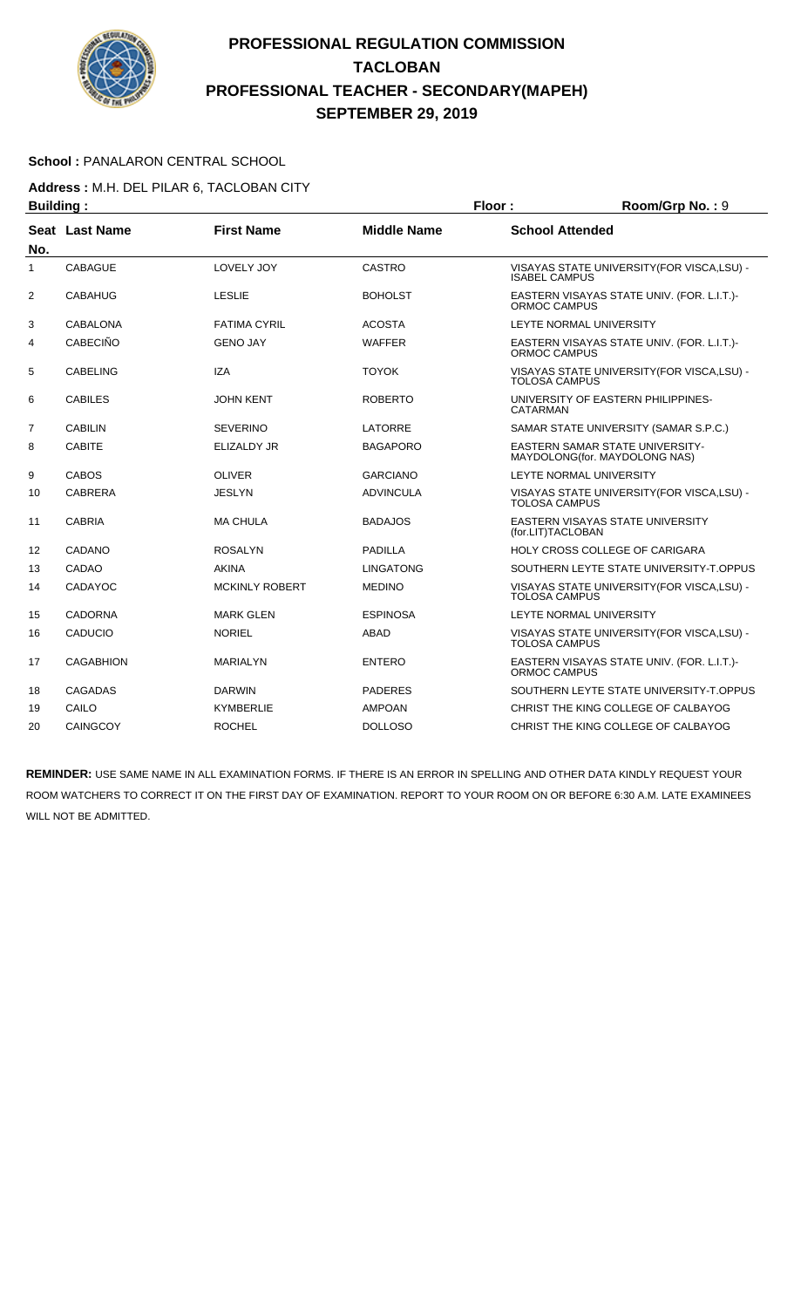

#### School : PANALARON CENTRAL SCHOOL

**Address :** M.H. DEL PILAR 6, TACLOBAN CITY

| <b>Building:</b> |                  |                       | Floor:             | Room/Grp No.: 9        |                                                                         |
|------------------|------------------|-----------------------|--------------------|------------------------|-------------------------------------------------------------------------|
|                  | Seat Last Name   | <b>First Name</b>     | <b>Middle Name</b> | <b>School Attended</b> |                                                                         |
| No.              |                  |                       |                    |                        |                                                                         |
| 1                | <b>CABAGUE</b>   | LOVELY JOY            | <b>CASTRO</b>      | <b>ISABEL CAMPUS</b>   | VISAYAS STATE UNIVERSITY(FOR VISCA,LSU) -                               |
| $\overline{2}$   | <b>CABAHUG</b>   | <b>LESLIE</b>         | <b>BOHOLST</b>     | ORMOC CAMPUS           | EASTERN VISAYAS STATE UNIV. (FOR. L.I.T.)-                              |
| 3                | <b>CABALONA</b>  | <b>FATIMA CYRIL</b>   | <b>ACOSTA</b>      |                        | LEYTE NORMAL UNIVERSITY                                                 |
| 4                | <b>CABECIÑO</b>  | <b>GENO JAY</b>       | <b>WAFFER</b>      | ORMOC CAMPUS           | EASTERN VISAYAS STATE UNIV. (FOR. L.I.T.)-                              |
| 5                | <b>CABELING</b>  | <b>IZA</b>            | <b>TOYOK</b>       | <b>TOLOSA CAMPUS</b>   | VISAYAS STATE UNIVERSITY(FOR VISCA,LSU) -                               |
| 6                | <b>CABILES</b>   | <b>JOHN KENT</b>      | <b>ROBERTO</b>     | CATARMAN               | UNIVERSITY OF EASTERN PHILIPPINES-                                      |
| $\overline{7}$   | <b>CABILIN</b>   | <b>SEVERINO</b>       | LATORRE            |                        | SAMAR STATE UNIVERSITY (SAMAR S.P.C.)                                   |
| 8                | <b>CABITE</b>    | <b>ELIZALDY JR</b>    | <b>BAGAPORO</b>    |                        | <b>EASTERN SAMAR STATE UNIVERSITY-</b><br>MAYDOLONG(for. MAYDOLONG NAS) |
| 9                | <b>CABOS</b>     | <b>OLIVER</b>         | <b>GARCIANO</b>    |                        | LEYTE NORMAL UNIVERSITY                                                 |
| 10               | <b>CABRERA</b>   | <b>JESLYN</b>         | <b>ADVINCULA</b>   | <b>TOLOSA CAMPUS</b>   | VISAYAS STATE UNIVERSITY (FOR VISCA, LSU) -                             |
| 11               | <b>CABRIA</b>    | <b>MA CHULA</b>       | <b>BADAJOS</b>     | (for.LIT)TACLOBAN      | EASTERN VISAYAS STATE UNIVERSITY                                        |
| 12               | <b>CADANO</b>    | <b>ROSALYN</b>        | <b>PADILLA</b>     |                        | <b>HOLY CROSS COLLEGE OF CARIGARA</b>                                   |
| 13               | CADAO            | <b>AKINA</b>          | <b>LINGATONG</b>   |                        | SOUTHERN LEYTE STATE UNIVERSITY-T.OPPUS                                 |
| 14               | CADAYOC          | <b>MCKINLY ROBERT</b> | <b>MEDINO</b>      | <b>TOLOSA CAMPUS</b>   | VISAYAS STATE UNIVERSITY (FOR VISCA, LSU) -                             |
| 15               | <b>CADORNA</b>   | <b>MARK GLEN</b>      | <b>ESPINOSA</b>    |                        | LEYTE NORMAL UNIVERSITY                                                 |
| 16               | CADUCIO          | <b>NORIEL</b>         | <b>ABAD</b>        | <b>TOLOSA CAMPUS</b>   | VISAYAS STATE UNIVERSITY (FOR VISCA, LSU) -                             |
| 17               | <b>CAGABHION</b> | <b>MARIALYN</b>       | <b>ENTERO</b>      | ORMOC CAMPUS           | EASTERN VISAYAS STATE UNIV. (FOR. L.I.T.)-                              |
| 18               | <b>CAGADAS</b>   | <b>DARWIN</b>         | <b>PADERES</b>     |                        | SOUTHERN LEYTE STATE UNIVERSITY-T.OPPUS                                 |
| 19               | CAILO            | <b>KYMBERLIE</b>      | <b>AMPOAN</b>      |                        | CHRIST THE KING COLLEGE OF CALBAYOG                                     |
| 20               | CAINGCOY         | <b>ROCHEL</b>         | <b>DOLLOSO</b>     |                        | CHRIST THE KING COLLEGE OF CALBAYOG                                     |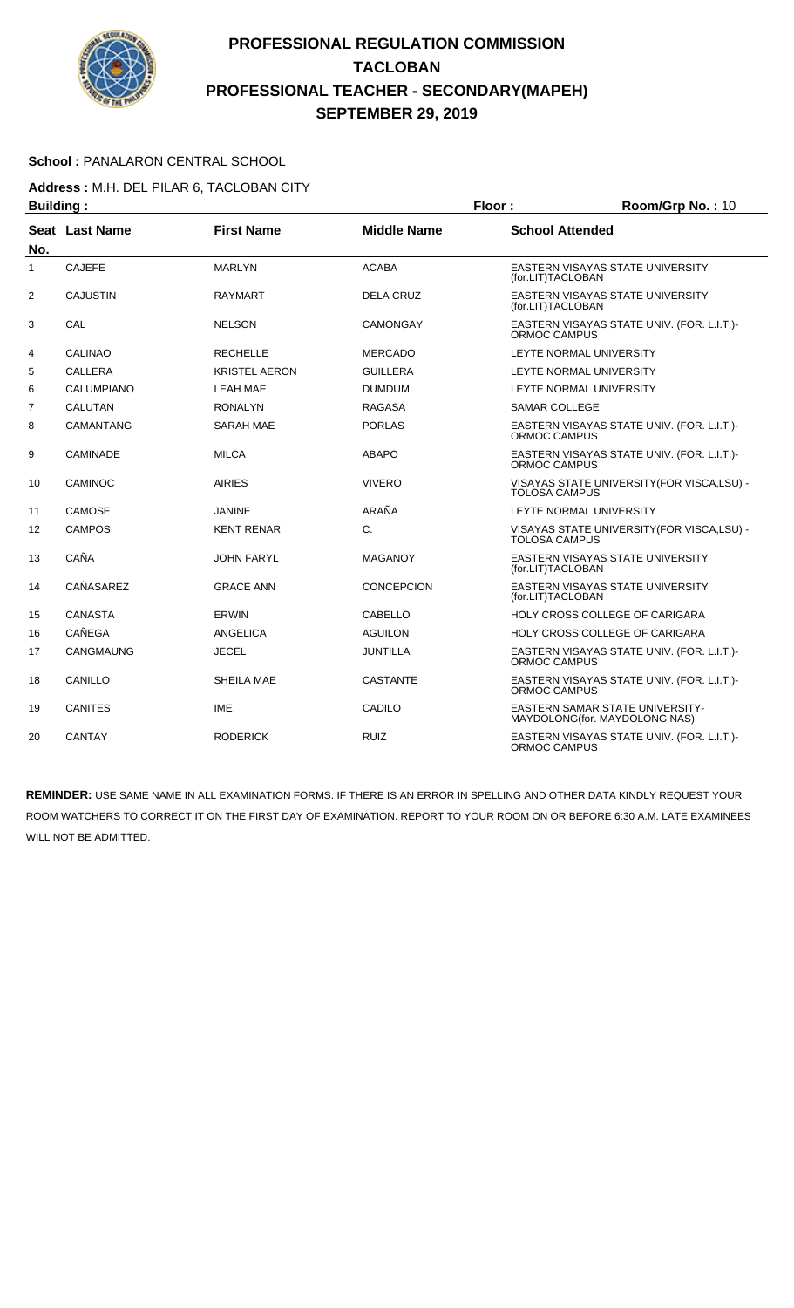

#### School : PANALARON CENTRAL SCHOOL

**Address :** M.H. DEL PILAR 6, TACLOBAN CITY

| <b>Building:</b> |                 |                      | Floor:             | Room/Grp No.: 10       |                                                                  |
|------------------|-----------------|----------------------|--------------------|------------------------|------------------------------------------------------------------|
| No.              | Seat Last Name  | <b>First Name</b>    | <b>Middle Name</b> | <b>School Attended</b> |                                                                  |
| 1                | <b>CAJEFE</b>   | <b>MARLYN</b>        | <b>ACABA</b>       | (for.LIT)TACLOBAN      | EASTERN VISAYAS STATE UNIVERSITY                                 |
| $\overline{2}$   | <b>CAJUSTIN</b> | <b>RAYMART</b>       | <b>DELA CRUZ</b>   | (for.LIT)TACLOBAN      | EASTERN VISAYAS STATE UNIVERSITY                                 |
| 3                | CAL             | <b>NELSON</b>        | CAMONGAY           | ORMOC CAMPUS           | EASTERN VISAYAS STATE UNIV. (FOR. L.I.T.)-                       |
| 4                | <b>CALINAO</b>  | <b>RECHELLE</b>      | <b>MERCADO</b>     |                        | LEYTE NORMAL UNIVERSITY                                          |
| 5                | <b>CALLERA</b>  | <b>KRISTEL AERON</b> | <b>GUILLERA</b>    |                        | LEYTE NORMAL UNIVERSITY                                          |
| 6                | CALUMPIANO      | <b>LEAH MAE</b>      | <b>DUMDUM</b>      |                        | LEYTE NORMAL UNIVERSITY                                          |
| 7                | <b>CALUTAN</b>  | <b>RONALYN</b>       | <b>RAGASA</b>      | <b>SAMAR COLLEGE</b>   |                                                                  |
| 8                | CAMANTANG       | <b>SARAH MAE</b>     | <b>PORLAS</b>      | ORMOC CAMPUS           | EASTERN VISAYAS STATE UNIV. (FOR. L.I.T.)-                       |
| 9                | <b>CAMINADE</b> | <b>MILCA</b>         | <b>ABAPO</b>       | ORMOC CAMPUS           | EASTERN VISAYAS STATE UNIV. (FOR. L.I.T.)-                       |
| 10               | CAMINOC         | <b>AIRIES</b>        | <b>VIVERO</b>      | <b>TOLOSA CAMPUS</b>   | VISAYAS STATE UNIVERSITY (FOR VISCA, LSU) -                      |
| 11               | CAMOSE          | <b>JANINE</b>        | ARAÑA              |                        | LEYTE NORMAL UNIVERSITY                                          |
| 12               | <b>CAMPOS</b>   | <b>KENT RENAR</b>    | C.                 | TOLOSA CAMPUS          | VISAYAS STATE UNIVERSITY (FOR VISCA, LSU) -                      |
| 13               | CAÑA            | <b>JOHN FARYL</b>    | <b>MAGANOY</b>     | (for.LIT)TACLOBAN      | EASTERN VISAYAS STATE UNIVERSITY                                 |
| 14               | CAÑASAREZ       | <b>GRACE ANN</b>     | CONCEPCION         | (for.LIT)TACLOBAN      | EASTERN VISAYAS STATE UNIVERSITY                                 |
| 15               | <b>CANASTA</b>  | <b>ERWIN</b>         | <b>CABELLO</b>     |                        | HOLY CROSS COLLEGE OF CARIGARA                                   |
| 16               | <b>CAÑEGA</b>   | <b>ANGELICA</b>      | <b>AGUILON</b>     |                        | HOLY CROSS COLLEGE OF CARIGARA                                   |
| 17               | CANGMAUNG       | <b>JECEL</b>         | JUNTILLA           | ORMOC CAMPUS           | EASTERN VISAYAS STATE UNIV. (FOR. L.I.T.)-                       |
| 18               | CANILLO         | SHEILA MAE           | <b>CASTANTE</b>    | ORMOC CAMPUS           | EASTERN VISAYAS STATE UNIV. (FOR. L.I.T.)-                       |
| 19               | <b>CANITES</b>  | <b>IME</b>           | CADILO             |                        | EASTERN SAMAR STATE UNIVERSITY-<br>MAYDOLONG(for. MAYDOLONG NAS) |
| 20               | <b>CANTAY</b>   | <b>RODERICK</b>      | <b>RUIZ</b>        | ORMOC CAMPUS           | EASTERN VISAYAS STATE UNIV. (FOR. L.I.T.)-                       |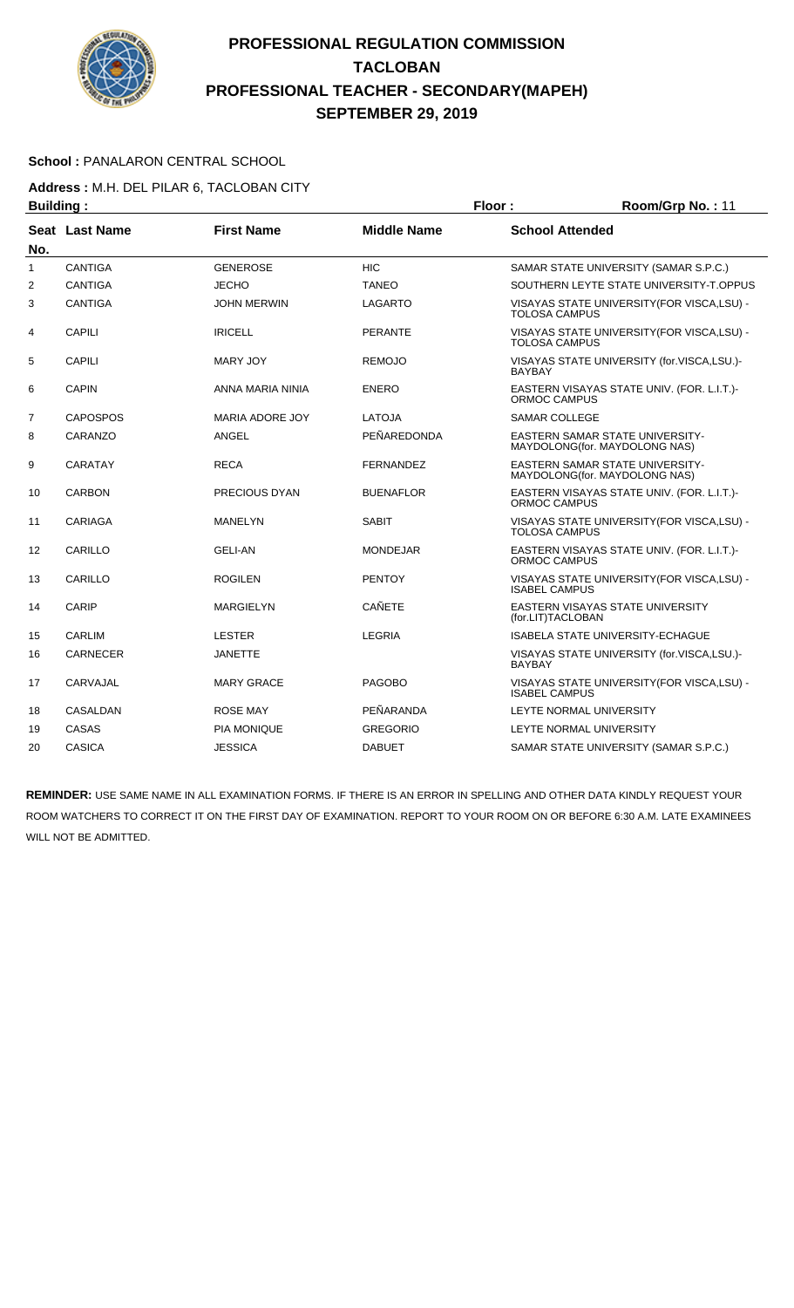

#### School : PANALARON CENTRAL SCHOOL

**Address :** M.H. DEL PILAR 6, TACLOBAN CITY

| <b>Building:</b> |                 |                        | Floor:             | Room/Grp No.: 11       |                                                                         |
|------------------|-----------------|------------------------|--------------------|------------------------|-------------------------------------------------------------------------|
|                  | Seat Last Name  | <b>First Name</b>      | <b>Middle Name</b> | <b>School Attended</b> |                                                                         |
| No.              |                 |                        |                    |                        |                                                                         |
| $\mathbf{1}$     | <b>CANTIGA</b>  | <b>GENEROSE</b>        | <b>HIC</b>         |                        | SAMAR STATE UNIVERSITY (SAMAR S.P.C.)                                   |
| 2                | <b>CANTIGA</b>  | <b>JECHO</b>           | <b>TANEO</b>       |                        | SOUTHERN LEYTE STATE UNIVERSITY-T.OPPUS                                 |
| 3                | <b>CANTIGA</b>  | <b>JOHN MERWIN</b>     | LAGARTO            | <b>TOLOSA CAMPUS</b>   | VISAYAS STATE UNIVERSITY (FOR VISCA, LSU) -                             |
| 4                | CAPILI          | <b>IRICELL</b>         | <b>PERANTE</b>     | <b>TOLOSA CAMPUS</b>   | VISAYAS STATE UNIVERSITY (FOR VISCA, LSU) -                             |
| 5                | <b>CAPILI</b>   | <b>MARY JOY</b>        | <b>REMOJO</b>      | <b>BAYBAY</b>          | VISAYAS STATE UNIVERSITY (for.VISCA,LSU.)-                              |
| 6                | <b>CAPIN</b>    | ANNA MARIA NINIA       | <b>ENERO</b>       | ORMOC CAMPUS           | EASTERN VISAYAS STATE UNIV. (FOR. L.I.T.)-                              |
| $\overline{7}$   | <b>CAPOSPOS</b> | <b>MARIA ADORE JOY</b> | LATOJA             | <b>SAMAR COLLEGE</b>   |                                                                         |
| 8                | CARANZO         | <b>ANGEL</b>           | PEÑAREDONDA        |                        | EASTERN SAMAR STATE UNIVERSITY-<br>MAYDOLONG(for. MAYDOLONG NAS)        |
| 9                | CARATAY         | <b>RECA</b>            | <b>FERNANDEZ</b>   |                        | <b>EASTERN SAMAR STATE UNIVERSITY-</b><br>MAYDOLONG(for. MAYDOLONG NAS) |
| 10               | <b>CARBON</b>   | <b>PRECIOUS DYAN</b>   | <b>BUENAFLOR</b>   | ORMOC CAMPUS           | EASTERN VISAYAS STATE UNIV. (FOR. L.I.T.)-                              |
| 11               | <b>CARIAGA</b>  | <b>MANELYN</b>         | <b>SABIT</b>       | <b>TOLOSA CAMPUS</b>   | VISAYAS STATE UNIVERSITY (FOR VISCA, LSU) -                             |
| 12               | CARILLO         | <b>GELI-AN</b>         | <b>MONDEJAR</b>    | ORMOC CAMPUS           | EASTERN VISAYAS STATE UNIV. (FOR. L.I.T.)-                              |
| 13               | CARILLO         | <b>ROGILEN</b>         | <b>PENTOY</b>      | <b>ISABEL CAMPUS</b>   | VISAYAS STATE UNIVERSITY (FOR VISCA, LSU) -                             |
| 14               | CARIP           | MARGIELYN              | <b>CAÑETE</b>      | (for.LIT)TACLOBAN      | EASTERN VISAYAS STATE UNIVERSITY                                        |
| 15               | <b>CARLIM</b>   | <b>LESTER</b>          | <b>LEGRIA</b>      |                        | <b>ISABELA STATE UNIVERSITY-ECHAGUE</b>                                 |
| 16               | <b>CARNECER</b> | <b>JANETTE</b>         |                    | <b>BAYBAY</b>          | VISAYAS STATE UNIVERSITY (for.VISCA,LSU.)-                              |
| 17               | CARVAJAL        | <b>MARY GRACE</b>      | <b>PAGOBO</b>      | <b>ISABEL CAMPUS</b>   | VISAYAS STATE UNIVERSITY (FOR VISCA, LSU) -                             |
| 18               | CASALDAN        | <b>ROSE MAY</b>        | PEÑARANDA          |                        | LEYTE NORMAL UNIVERSITY                                                 |
| 19               | CASAS           | <b>PIA MONIQUE</b>     | <b>GREGORIO</b>    |                        | LEYTE NORMAL UNIVERSITY                                                 |
| 20               | <b>CASICA</b>   | <b>JESSICA</b>         | <b>DABUET</b>      |                        | SAMAR STATE UNIVERSITY (SAMAR S.P.C.)                                   |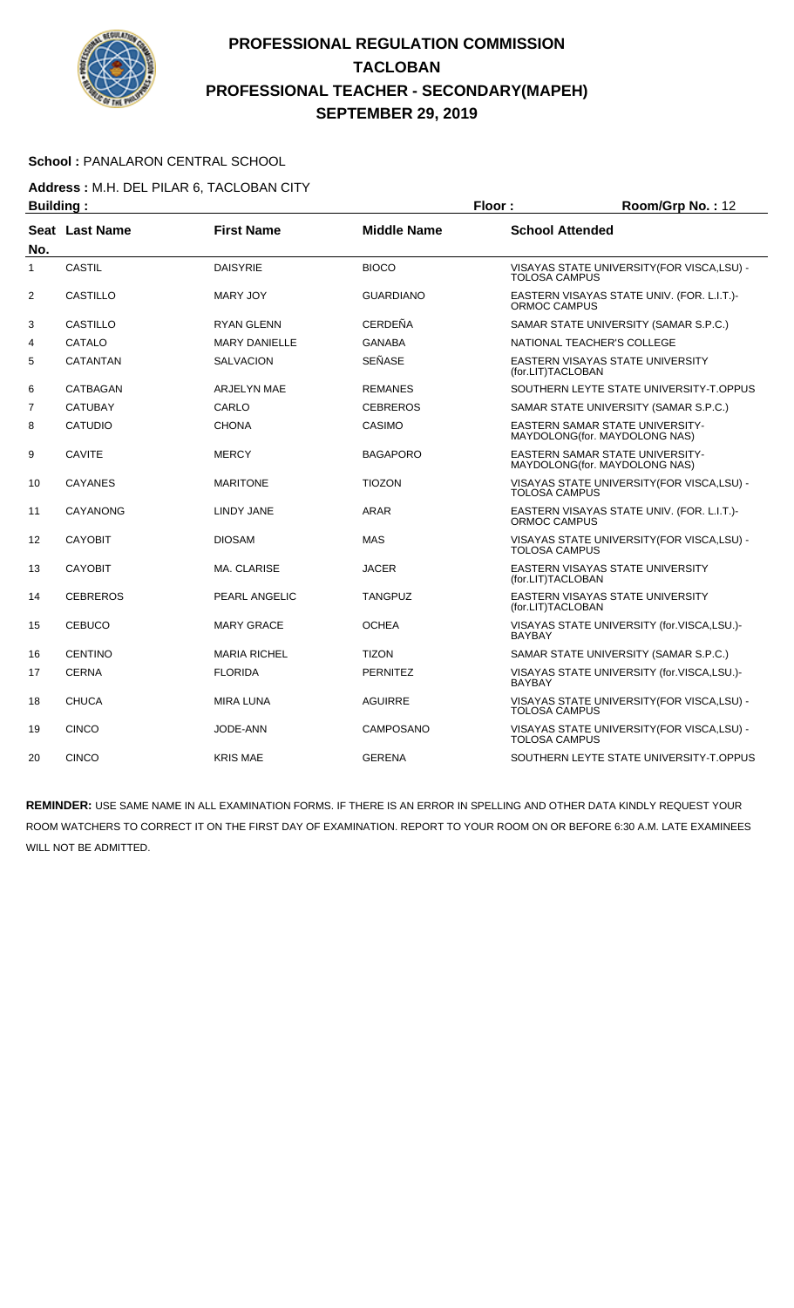

#### School : PANALARON CENTRAL SCHOOL

**Address :** M.H. DEL PILAR 6, TACLOBAN CITY

| <b>Building:</b> |                 |                      | Floor:             | Room/Grp No.: 12     |                                                                         |
|------------------|-----------------|----------------------|--------------------|----------------------|-------------------------------------------------------------------------|
| No.              | Seat Last Name  | <b>First Name</b>    | <b>Middle Name</b> |                      | <b>School Attended</b>                                                  |
| 1                | <b>CASTIL</b>   | <b>DAISYRIE</b>      | <b>BIOCO</b>       | <b>TOLOSA CAMPUS</b> | VISAYAS STATE UNIVERSITY (FOR VISCA, LSU) -                             |
| $\overline{2}$   | <b>CASTILLO</b> | <b>MARY JOY</b>      | <b>GUARDIANO</b>   | ORMOC CAMPUS         | EASTERN VISAYAS STATE UNIV. (FOR. L.I.T.)-                              |
| 3                | <b>CASTILLO</b> | <b>RYAN GLENN</b>    | <b>CERDEÑA</b>     |                      | SAMAR STATE UNIVERSITY (SAMAR S.P.C.)                                   |
| 4                | CATALO          | <b>MARY DANIELLE</b> | <b>GANABA</b>      |                      | NATIONAL TEACHER'S COLLEGE                                              |
| 5                | <b>CATANTAN</b> | <b>SALVACION</b>     | SEÑASE             | (for.LIT)TACLOBAN    | EASTERN VISAYAS STATE UNIVERSITY                                        |
| 6                | CATBAGAN        | <b>ARJELYN MAE</b>   | <b>REMANES</b>     |                      | SOUTHERN LEYTE STATE UNIVERSITY-T.OPPUS                                 |
| $\overline{7}$   | <b>CATUBAY</b>  | CARLO                | <b>CEBREROS</b>    |                      | SAMAR STATE UNIVERSITY (SAMAR S.P.C.)                                   |
| 8                | <b>CATUDIO</b>  | <b>CHONA</b>         | CASIMO             |                      | <b>EASTERN SAMAR STATE UNIVERSITY-</b><br>MAYDOLONG(for. MAYDOLONG NAS) |
| 9                | <b>CAVITE</b>   | <b>MERCY</b>         | <b>BAGAPORO</b>    |                      | <b>EASTERN SAMAR STATE UNIVERSITY-</b><br>MAYDOLONG(for. MAYDOLONG NAS) |
| 10               | <b>CAYANES</b>  | <b>MARITONE</b>      | <b>TIOZON</b>      | TOLOSA CAMPUS        | VISAYAS STATE UNIVERSITY (FOR VISCA, LSU) -                             |
| 11               | CAYANONG        | LINDY JANE           | ARAR               | ORMOC CAMPUS         | EASTERN VISAYAS STATE UNIV. (FOR. L.I.T.)-                              |
| 12               | <b>CAYOBIT</b>  | <b>DIOSAM</b>        | <b>MAS</b>         | <b>TOLOSA CAMPUS</b> | VISAYAS STATE UNIVERSITY (FOR VISCA, LSU) -                             |
| 13               | <b>CAYOBIT</b>  | <b>MA. CLARISE</b>   | <b>JACER</b>       | (for.LIT)TACLOBAN    | EASTERN VISAYAS STATE UNIVERSITY                                        |
| 14               | <b>CEBREROS</b> | PEARL ANGELIC        | <b>TANGPUZ</b>     | (for.LIT)TACLOBAN    | EASTERN VISAYAS STATE UNIVERSITY                                        |
| 15               | <b>CEBUCO</b>   | <b>MARY GRACE</b>    | <b>OCHEA</b>       | <b>BAYBAY</b>        | VISAYAS STATE UNIVERSITY (for.VISCA,LSU.)-                              |
| 16               | <b>CENTINO</b>  | <b>MARIA RICHEL</b>  | <b>TIZON</b>       |                      | SAMAR STATE UNIVERSITY (SAMAR S.P.C.)                                   |
| 17               | <b>CERNA</b>    | <b>FLORIDA</b>       | <b>PERNITEZ</b>    | <b>BAYBAY</b>        | VISAYAS STATE UNIVERSITY (for.VISCA,LSU.)-                              |
| 18               | <b>CHUCA</b>    | <b>MIRA LUNA</b>     | <b>AGUIRRE</b>     | <b>TOLOSA CAMPUS</b> | VISAYAS STATE UNIVERSITY (FOR VISCA, LSU) -                             |
| 19               | <b>CINCO</b>    | JODE-ANN             | <b>CAMPOSANO</b>   | <b>TOLOSA CAMPUS</b> | VISAYAS STATE UNIVERSITY(FOR VISCA,LSU) -                               |
| 20               | <b>CINCO</b>    | <b>KRIS MAE</b>      | <b>GERENA</b>      |                      | SOUTHERN LEYTE STATE UNIVERSITY-T.OPPUS                                 |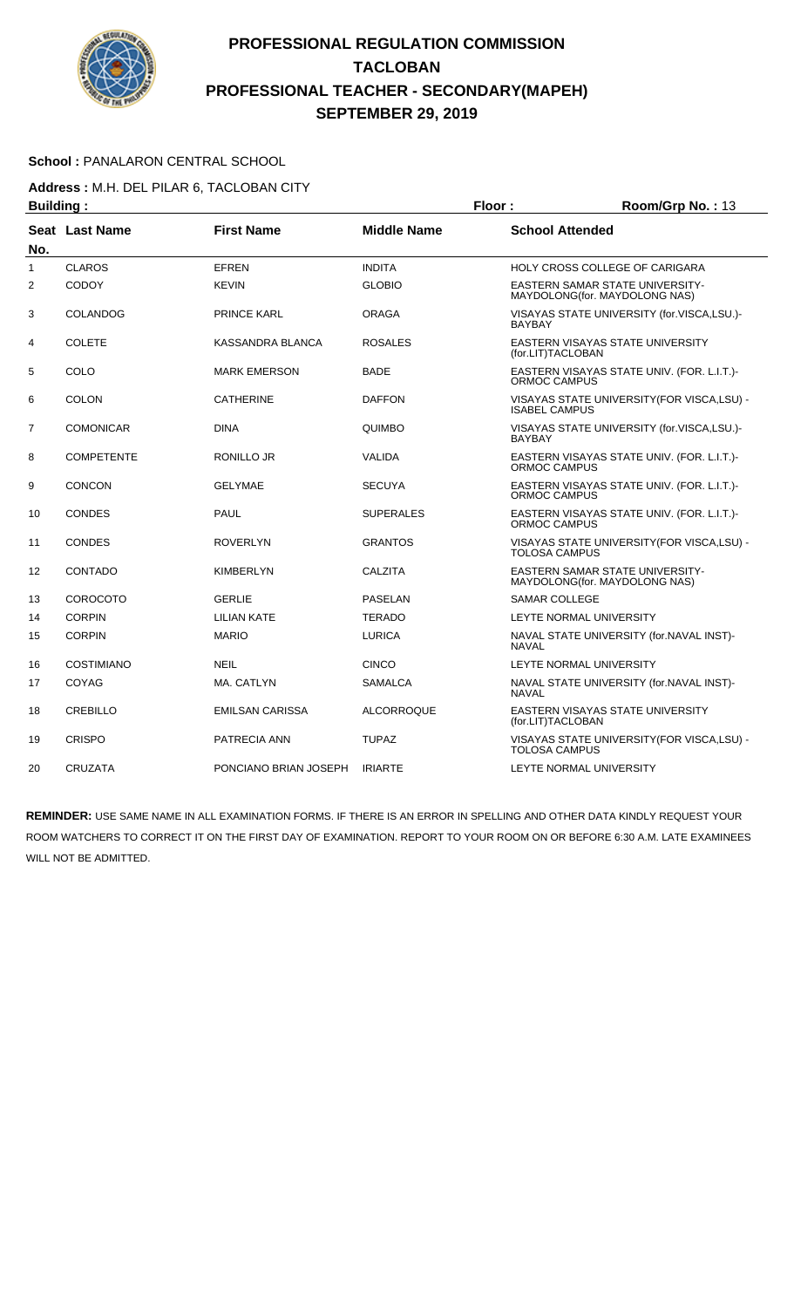

#### School : PANALARON CENTRAL SCHOOL

**Address :** M.H. DEL PILAR 6, TACLOBAN CITY

| <b>Building:</b> |                   |                        |                    | Floor:                 | Room/Grp No.: 13                                                        |
|------------------|-------------------|------------------------|--------------------|------------------------|-------------------------------------------------------------------------|
| No.              | Seat Last Name    | <b>First Name</b>      | <b>Middle Name</b> | <b>School Attended</b> |                                                                         |
| 1                | <b>CLAROS</b>     | <b>EFREN</b>           | <b>INDITA</b>      |                        | HOLY CROSS COLLEGE OF CARIGARA                                          |
| 2                | <b>CODOY</b>      | <b>KEVIN</b>           | <b>GLOBIO</b>      |                        | EASTERN SAMAR STATE UNIVERSITY-<br>MAYDOLONG(for. MAYDOLONG NAS)        |
| 3                | COLANDOG          | <b>PRINCE KARL</b>     | <b>ORAGA</b>       | <b>BAYBAY</b>          | VISAYAS STATE UNIVERSITY (for.VISCA,LSU.)-                              |
| 4                | <b>COLETE</b>     | KASSANDRA BLANCA       | <b>ROSALES</b>     | (for.LIT)TACLOBAN      | EASTERN VISAYAS STATE UNIVERSITY                                        |
| 5                | COLO              | <b>MARK EMERSON</b>    | <b>BADE</b>        | ORMOC CAMPUS           | EASTERN VISAYAS STATE UNIV. (FOR. L.I.T.)-                              |
| 6                | <b>COLON</b>      | <b>CATHERINE</b>       | <b>DAFFON</b>      | <b>ISABEL CAMPUS</b>   | VISAYAS STATE UNIVERSITY(FOR VISCA,LSU) -                               |
| 7                | <b>COMONICAR</b>  | <b>DINA</b>            | QUIMBO             | <b>BAYBAY</b>          | VISAYAS STATE UNIVERSITY (for.VISCA,LSU.)-                              |
| 8                | <b>COMPETENTE</b> | RONILLO JR             | <b>VALIDA</b>      | ORMOC CAMPUS           | EASTERN VISAYAS STATE UNIV. (FOR. L.I.T.)-                              |
| 9                | <b>CONCON</b>     | <b>GELYMAE</b>         | <b>SECUYA</b>      | ORMOC CAMPUS           | EASTERN VISAYAS STATE UNIV. (FOR. L.I.T.)-                              |
| 10               | <b>CONDES</b>     | PAUL                   | <b>SUPERALES</b>   | ORMOC CAMPUS           | EASTERN VISAYAS STATE UNIV. (FOR. L.I.T.)-                              |
| 11               | <b>CONDES</b>     | <b>ROVERLYN</b>        | <b>GRANTOS</b>     | <b>TOLOSA CAMPUS</b>   | VISAYAS STATE UNIVERSITY (FOR VISCA, LSU) -                             |
| 12               | CONTADO           | <b>KIMBERLYN</b>       | CALZITA            |                        | <b>EASTERN SAMAR STATE UNIVERSITY-</b><br>MAYDOLONG(for. MAYDOLONG NAS) |
| 13               | <b>COROCOTO</b>   | <b>GERLIE</b>          | <b>PASELAN</b>     | <b>SAMAR COLLEGE</b>   |                                                                         |
| 14               | <b>CORPIN</b>     | <b>LILIAN KATE</b>     | <b>TERADO</b>      |                        | LEYTE NORMAL UNIVERSITY                                                 |
| 15               | <b>CORPIN</b>     | <b>MARIO</b>           | <b>LURICA</b>      | <b>NAVAL</b>           | NAVAL STATE UNIVERSITY (for.NAVAL INST)-                                |
| 16               | <b>COSTIMIANO</b> | <b>NEIL</b>            | <b>CINCO</b>       |                        | LEYTE NORMAL UNIVERSITY                                                 |
| 17               | COYAG             | MA. CATLYN             | <b>SAMALCA</b>     | <b>NAVAL</b>           | NAVAL STATE UNIVERSITY (for.NAVAL INST)-                                |
| 18               | CREBILLO          | <b>EMILSAN CARISSA</b> | <b>ALCORROQUE</b>  | (for.LIT)TACLOBAN      | EASTERN VISAYAS STATE UNIVERSITY                                        |
| 19               | <b>CRISPO</b>     | PATRECIA ANN           | <b>TUPAZ</b>       | <b>TOLOSA CAMPUS</b>   | VISAYAS STATE UNIVERSITY (FOR VISCA, LSU) -                             |
| 20               | <b>CRUZATA</b>    | PONCIANO BRIAN JOSEPH  | <b>IRIARTE</b>     |                        | LEYTE NORMAL UNIVERSITY                                                 |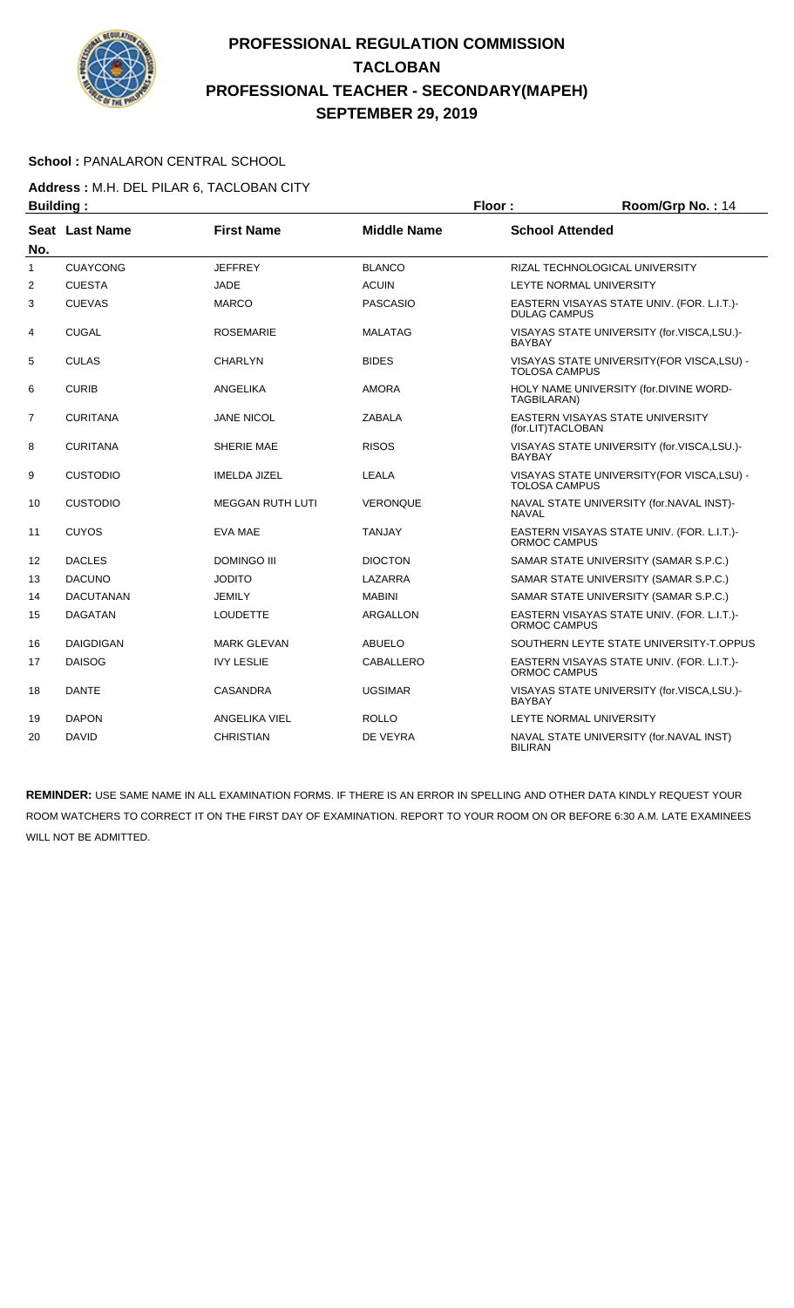

#### School : PANALARON CENTRAL SCHOOL

**Address :** M.H. DEL PILAR 6, TACLOBAN CITY

| <b>Building:</b> |                  |                         |                    | Floor:                 | Room/Grp No.: 14                            |
|------------------|------------------|-------------------------|--------------------|------------------------|---------------------------------------------|
| No.              | Seat Last Name   | <b>First Name</b>       | <b>Middle Name</b> | <b>School Attended</b> |                                             |
| 1                | <b>CUAYCONG</b>  | <b>JEFFREY</b>          | <b>BLANCO</b>      |                        | RIZAL TECHNOLOGICAL UNIVERSITY              |
| 2                | <b>CUESTA</b>    | <b>JADE</b>             | <b>ACUIN</b>       |                        | LEYTE NORMAL UNIVERSITY                     |
| 3                | <b>CUEVAS</b>    | <b>MARCO</b>            | <b>PASCASIO</b>    | <b>DULAG CAMPUS</b>    | EASTERN VISAYAS STATE UNIV. (FOR. L.I.T.)-  |
| 4                | <b>CUGAL</b>     | <b>ROSEMARIE</b>        | <b>MALATAG</b>     | <b>BAYBAY</b>          | VISAYAS STATE UNIVERSITY (for.VISCA,LSU.)-  |
| 5                | <b>CULAS</b>     | <b>CHARLYN</b>          | <b>BIDES</b>       | <b>TOLOSA CAMPUS</b>   | VISAYAS STATE UNIVERSITY (FOR VISCA, LSU) - |
| 6                | <b>CURIB</b>     | ANGELIKA                | <b>AMORA</b>       | TAGBILARAN)            | HOLY NAME UNIVERSITY (for.DIVINE WORD-      |
| $\overline{7}$   | <b>CURITANA</b>  | <b>JANE NICOL</b>       | <b>ZABALA</b>      | (for.LIT)TACLOBAN      | <b>EASTERN VISAYAS STATE UNIVERSITY</b>     |
| 8                | <b>CURITANA</b>  | <b>SHERIE MAE</b>       | <b>RISOS</b>       | <b>BAYBAY</b>          | VISAYAS STATE UNIVERSITY (for.VISCA,LSU.)-  |
| 9                | <b>CUSTODIO</b>  | <b>IMELDA JIZEL</b>     | LEALA              | <b>TOLOSA CAMPUS</b>   | VISAYAS STATE UNIVERSITY (FOR VISCA, LSU) - |
| 10               | <b>CUSTODIO</b>  | <b>MEGGAN RUTH LUTI</b> | <b>VERONQUE</b>    | <b>NAVAL</b>           | NAVAL STATE UNIVERSITY (for.NAVAL INST)-    |
| 11               | <b>CUYOS</b>     | EVA MAE                 | <b>TANJAY</b>      | ORMOC CAMPUS           | EASTERN VISAYAS STATE UNIV. (FOR. L.I.T.)-  |
| 12               | <b>DACLES</b>    | <b>DOMINGO III</b>      | <b>DIOCTON</b>     |                        | SAMAR STATE UNIVERSITY (SAMAR S.P.C.)       |
| 13               | <b>DACUNO</b>    | <b>JODITO</b>           | LAZARRA            |                        | SAMAR STATE UNIVERSITY (SAMAR S.P.C.)       |
| 14               | <b>DACUTANAN</b> | <b>JEMILY</b>           | <b>MABINI</b>      |                        | SAMAR STATE UNIVERSITY (SAMAR S.P.C.)       |
| 15               | <b>DAGATAN</b>   | <b>LOUDETTE</b>         | <b>ARGALLON</b>    | ORMOC CAMPUS           | EASTERN VISAYAS STATE UNIV. (FOR. L.I.T.)-  |
| 16               | <b>DAIGDIGAN</b> | <b>MARK GLEVAN</b>      | <b>ABUELO</b>      |                        | SOUTHERN LEYTE STATE UNIVERSITY-T.OPPUS     |
| 17               | <b>DAISOG</b>    | <b>IVY LESLIE</b>       | CABALLERO          | ORMOC CAMPUS           | EASTERN VISAYAS STATE UNIV. (FOR. L.I.T.)-  |
| 18               | <b>DANTE</b>     | <b>CASANDRA</b>         | <b>UGSIMAR</b>     | <b>BAYBAY</b>          | VISAYAS STATE UNIVERSITY (for.VISCA,LSU.)-  |
| 19               | <b>DAPON</b>     | <b>ANGELIKA VIEL</b>    | <b>ROLLO</b>       |                        | LEYTE NORMAL UNIVERSITY                     |
| 20               | <b>DAVID</b>     | <b>CHRISTIAN</b>        | DE VEYRA           | <b>BILIRAN</b>         | NAVAL STATE UNIVERSITY (for.NAVAL INST)     |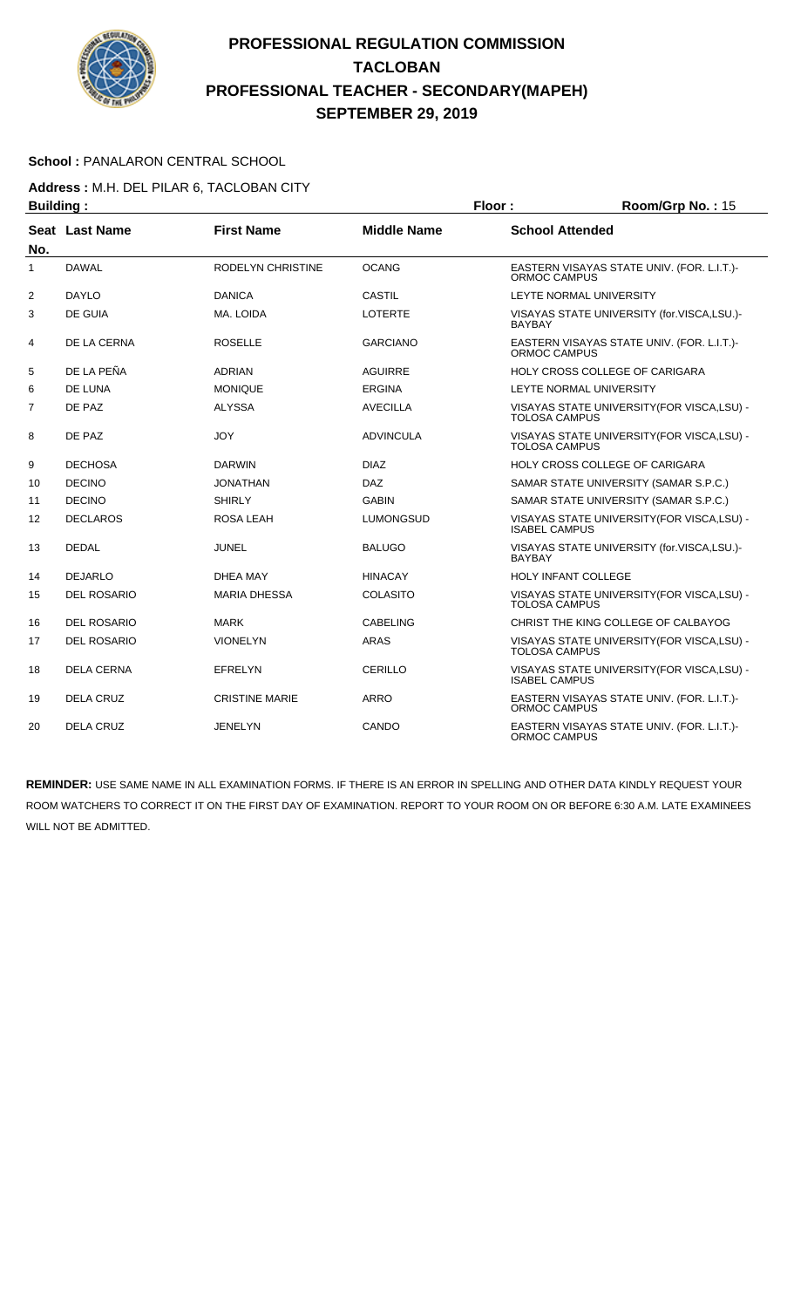

#### School : PANALARON CENTRAL SCHOOL

**Address :** M.H. DEL PILAR 6, TACLOBAN CITY

| <b>Building:</b> |                       |                          |                    | Floor:                 | Room/Grp No.: 15                            |
|------------------|-----------------------|--------------------------|--------------------|------------------------|---------------------------------------------|
|                  | <b>Seat Last Name</b> | <b>First Name</b>        | <b>Middle Name</b> | <b>School Attended</b> |                                             |
| No.              |                       |                          |                    |                        |                                             |
| 1                | <b>DAWAL</b>          | <b>RODELYN CHRISTINE</b> | <b>OCANG</b>       | ORMOC CAMPUS           | EASTERN VISAYAS STATE UNIV. (FOR. L.I.T.)-  |
| 2                | <b>DAYLO</b>          | <b>DANICA</b>            | <b>CASTIL</b>      |                        | LEYTE NORMAL UNIVERSITY                     |
| 3                | <b>DE GUIA</b>        | MA. LOIDA                | <b>LOTERTE</b>     | <b>BAYBAY</b>          | VISAYAS STATE UNIVERSITY (for.VISCA,LSU.)-  |
| 4                | DE LA CERNA           | <b>ROSELLE</b>           | <b>GARCIANO</b>    | ORMOC CAMPUS           | EASTERN VISAYAS STATE UNIV. (FOR. L.I.T.)-  |
| 5                | DE LA PEÑA            | <b>ADRIAN</b>            | <b>AGUIRRE</b>     |                        | HOLY CROSS COLLEGE OF CARIGARA              |
| 6                | DE LUNA               | <b>MONIQUE</b>           | <b>ERGINA</b>      |                        | <b>LEYTE NORMAL UNIVERSITY</b>              |
| $\overline{7}$   | DE PAZ                | <b>ALYSSA</b>            | <b>AVECILLA</b>    | <b>TOLOSA CAMPUS</b>   | VISAYAS STATE UNIVERSITY (FOR VISCA, LSU) - |
| 8                | DE PAZ                | <b>JOY</b>               | <b>ADVINCULA</b>   | <b>TOLOSA CAMPUS</b>   | VISAYAS STATE UNIVERSITY(FOR VISCA,LSU) -   |
| 9                | <b>DECHOSA</b>        | <b>DARWIN</b>            | <b>DIAZ</b>        |                        | <b>HOLY CROSS COLLEGE OF CARIGARA</b>       |
| 10               | <b>DECINO</b>         | <b>JONATHAN</b>          | <b>DAZ</b>         |                        | SAMAR STATE UNIVERSITY (SAMAR S.P.C.)       |
| 11               | <b>DECINO</b>         | <b>SHIRLY</b>            | <b>GABIN</b>       |                        | SAMAR STATE UNIVERSITY (SAMAR S.P.C.)       |
| 12               | <b>DECLAROS</b>       | ROSA LEAH                | <b>LUMONGSUD</b>   | <b>ISABEL CAMPUS</b>   | VISAYAS STATE UNIVERSITY (FOR VISCA, LSU) - |
| 13               | <b>DEDAL</b>          | <b>JUNEL</b>             | <b>BALUGO</b>      | <b>BAYBAY</b>          | VISAYAS STATE UNIVERSITY (for.VISCA,LSU.)-  |
| 14               | <b>DEJARLO</b>        | DHEA MAY                 | <b>HINACAY</b>     |                        | <b>HOLY INFANT COLLEGE</b>                  |
| 15               | <b>DEL ROSARIO</b>    | <b>MARIA DHESSA</b>      | <b>COLASITO</b>    | <b>TOLOSA CAMPUS</b>   | VISAYAS STATE UNIVERSITY (FOR VISCA, LSU) - |
| 16               | <b>DEL ROSARIO</b>    | <b>MARK</b>              | <b>CABELING</b>    |                        | CHRIST THE KING COLLEGE OF CALBAYOG         |
| 17               | <b>DEL ROSARIO</b>    | <b>VIONELYN</b>          | <b>ARAS</b>        | <b>TOLOSA CAMPUS</b>   | VISAYAS STATE UNIVERSITY (FOR VISCA, LSU) - |
| 18               | <b>DELA CERNA</b>     | <b>EFRELYN</b>           | CERILLO            | <b>ISABEL CAMPUS</b>   | VISAYAS STATE UNIVERSITY (FOR VISCA, LSU) - |
| 19               | <b>DELA CRUZ</b>      | <b>CRISTINE MARIE</b>    | ARRO               | ORMOC CAMPUS           | EASTERN VISAYAS STATE UNIV. (FOR. L.I.T.)-  |
| 20               | <b>DELA CRUZ</b>      | <b>JENELYN</b>           | CANDO              | ORMOC CAMPUS           | EASTERN VISAYAS STATE UNIV. (FOR. L.I.T.)-  |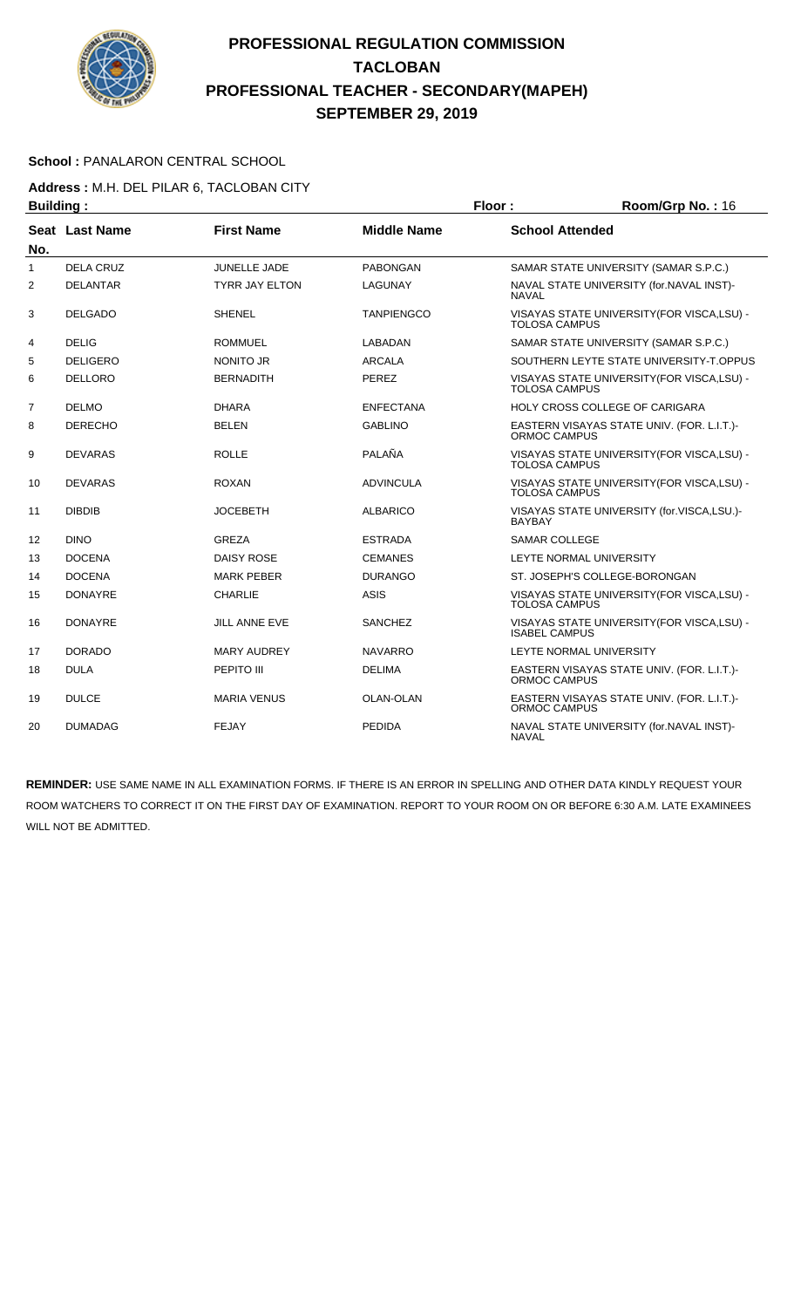

#### School : PANALARON CENTRAL SCHOOL

# **Address :** M.H. DEL PILAR 6, TACLOBAN CITY

| <b>Building:</b> |                       |                       |                    | Floor:                 | Room/Grp No.: 16                            |
|------------------|-----------------------|-----------------------|--------------------|------------------------|---------------------------------------------|
| No.              | <b>Seat Last Name</b> | <b>First Name</b>     | <b>Middle Name</b> | <b>School Attended</b> |                                             |
| 1                | <b>DELA CRUZ</b>      | <b>JUNELLE JADE</b>   | <b>PABONGAN</b>    |                        | SAMAR STATE UNIVERSITY (SAMAR S.P.C.)       |
| $\overline{2}$   | <b>DELANTAR</b>       | <b>TYRR JAY ELTON</b> | LAGUNAY            | <b>NAVAL</b>           | NAVAL STATE UNIVERSITY (for.NAVAL INST)-    |
| 3                | <b>DELGADO</b>        | <b>SHENEL</b>         | <b>TANPIENGCO</b>  | <b>TOLOSA CAMPUS</b>   | VISAYAS STATE UNIVERSITY(FOR VISCA,LSU) -   |
| 4                | <b>DELIG</b>          | <b>ROMMUEL</b>        | <b>LABADAN</b>     |                        | SAMAR STATE UNIVERSITY (SAMAR S.P.C.)       |
| 5                | <b>DELIGERO</b>       | <b>NONITO JR</b>      | <b>ARCALA</b>      |                        | SOUTHERN LEYTE STATE UNIVERSITY-T.OPPUS     |
| 6                | <b>DELLORO</b>        | <b>BERNADITH</b>      | PEREZ              | <b>TOLOSA CAMPUS</b>   | VISAYAS STATE UNIVERSITY (FOR VISCA, LSU) - |
| $\overline{7}$   | <b>DELMO</b>          | <b>DHARA</b>          | <b>ENFECTANA</b>   |                        | HOLY CROSS COLLEGE OF CARIGARA              |
| 8                | <b>DERECHO</b>        | <b>BELEN</b>          | <b>GABLINO</b>     | ORMOC CAMPUS           | EASTERN VISAYAS STATE UNIV. (FOR. L.I.T.)-  |
| 9                | <b>DEVARAS</b>        | <b>ROLLE</b>          | PALAÑA             | <b>TOLOSA CAMPUS</b>   | VISAYAS STATE UNIVERSITY (FOR VISCA, LSU) - |
| 10               | <b>DEVARAS</b>        | <b>ROXAN</b>          | <b>ADVINCULA</b>   | <b>TOLOSA CAMPUS</b>   | VISAYAS STATE UNIVERSITY (FOR VISCA, LSU) - |
| 11               | <b>DIBDIB</b>         | <b>JOCEBETH</b>       | <b>ALBARICO</b>    | <b>BAYBAY</b>          | VISAYAS STATE UNIVERSITY (for.VISCA,LSU.)-  |
| 12               | <b>DINO</b>           | <b>GREZA</b>          | <b>ESTRADA</b>     | <b>SAMAR COLLEGE</b>   |                                             |
| 13               | <b>DOCENA</b>         | <b>DAISY ROSE</b>     | <b>CEMANES</b>     |                        | LEYTE NORMAL UNIVERSITY                     |
| 14               | <b>DOCENA</b>         | <b>MARK PEBER</b>     | <b>DURANGO</b>     |                        | ST. JOSEPH'S COLLEGE-BORONGAN               |
| 15               | <b>DONAYRE</b>        | <b>CHARLIE</b>        | <b>ASIS</b>        | <b>TOLOSA CAMPUS</b>   | VISAYAS STATE UNIVERSITY (FOR VISCA, LSU) - |
| 16               | <b>DONAYRE</b>        | <b>JILL ANNE EVE</b>  | <b>SANCHEZ</b>     | <b>ISABEL CAMPUS</b>   | VISAYAS STATE UNIVERSITY (FOR VISCA, LSU) - |
| 17               | <b>DORADO</b>         | <b>MARY AUDREY</b>    | <b>NAVARRO</b>     |                        | LEYTE NORMAL UNIVERSITY                     |
| 18               | <b>DULA</b>           | PEPITO III            | <b>DELIMA</b>      | <b>ORMOC CAMPUS</b>    | EASTERN VISAYAS STATE UNIV. (FOR. L.I.T.)-  |
| 19               | <b>DULCE</b>          | <b>MARIA VENUS</b>    | OLAN-OLAN          | <b>ORMOC CAMPUS</b>    | EASTERN VISAYAS STATE UNIV. (FOR. L.I.T.)-  |
| 20               | <b>DUMADAG</b>        | <b>FEJAY</b>          | <b>PEDIDA</b>      | <b>NAVAL</b>           | NAVAL STATE UNIVERSITY (for.NAVAL INST)-    |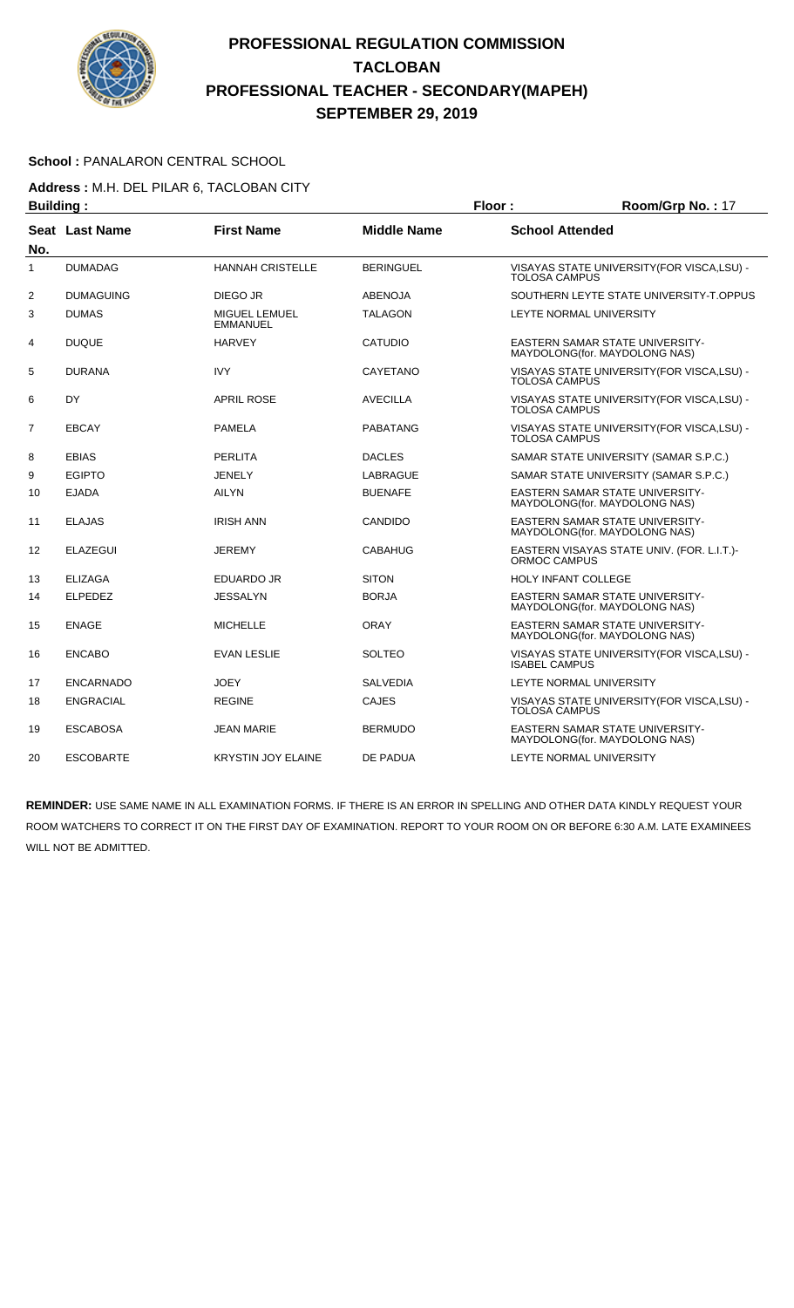

#### School : PANALARON CENTRAL SCHOOL

**Address :** M.H. DEL PILAR 6, TACLOBAN CITY

| <b>Building:</b> |                  |                                  |                    | Floor:                 | Room/Grp No.: 17                                                        |
|------------------|------------------|----------------------------------|--------------------|------------------------|-------------------------------------------------------------------------|
| No.              | Seat Last Name   | <b>First Name</b>                | <b>Middle Name</b> | <b>School Attended</b> |                                                                         |
| $\mathbf{1}$     | <b>DUMADAG</b>   | <b>HANNAH CRISTELLE</b>          | <b>BERINGUEL</b>   | <b>TOLOSA CAMPUS</b>   | VISAYAS STATE UNIVERSITY (FOR VISCA, LSU) -                             |
| 2                | <b>DUMAGUING</b> | DIEGO JR                         | <b>ABENOJA</b>     |                        | SOUTHERN LEYTE STATE UNIVERSITY-T.OPPUS                                 |
| 3                | <b>DUMAS</b>     | MIGUEL LEMUEL<br><b>EMMANUEL</b> | <b>TALAGON</b>     |                        | <b>LEYTE NORMAL UNIVERSITY</b>                                          |
| 4                | <b>DUQUE</b>     | <b>HARVEY</b>                    | <b>CATUDIO</b>     |                        | <b>EASTERN SAMAR STATE UNIVERSITY-</b><br>MAYDOLONG(for. MAYDOLONG NAS) |
| 5                | <b>DURANA</b>    | <b>IVY</b>                       | <b>CAYETANO</b>    | <b>TOLOSA CAMPUS</b>   | VISAYAS STATE UNIVERSITY (FOR VISCA, LSU) -                             |
| 6                | DY               | <b>APRIL ROSE</b>                | <b>AVECILLA</b>    | <b>TOLOSA CAMPUS</b>   | VISAYAS STATE UNIVERSITY (FOR VISCA, LSU) -                             |
| 7                | <b>EBCAY</b>     | <b>PAMELA</b>                    | <b>PABATANG</b>    | <b>TOLOSA CAMPUS</b>   | VISAYAS STATE UNIVERSITY (FOR VISCA, LSU) -                             |
| 8                | <b>EBIAS</b>     | <b>PERLITA</b>                   | <b>DACLES</b>      |                        | SAMAR STATE UNIVERSITY (SAMAR S.P.C.)                                   |
| 9                | <b>EGIPTO</b>    | <b>JENELY</b>                    | LABRAGUE           |                        | SAMAR STATE UNIVERSITY (SAMAR S.P.C.)                                   |
| 10               | <b>EJADA</b>     | <b>AILYN</b>                     | <b>BUENAFE</b>     |                        | EASTERN SAMAR STATE UNIVERSITY-<br>MAYDOLONG(for. MAYDOLONG NAS)        |
| 11               | <b>ELAJAS</b>    | <b>IRISH ANN</b>                 | <b>CANDIDO</b>     |                        | <b>EASTERN SAMAR STATE UNIVERSITY-</b><br>MAYDOLONG(for. MAYDOLONG NAS) |
| 12               | <b>ELAZEGUI</b>  | <b>JEREMY</b>                    | <b>CABAHUG</b>     | ORMOC CAMPUS           | EASTERN VISAYAS STATE UNIV. (FOR. L.I.T.)-                              |
| 13               | <b>ELIZAGA</b>   | EDUARDO JR                       | <b>SITON</b>       |                        | <b>HOLY INFANT COLLEGE</b>                                              |
| 14               | <b>ELPEDEZ</b>   | <b>JESSALYN</b>                  | <b>BORJA</b>       |                        | <b>EASTERN SAMAR STATE UNIVERSITY-</b><br>MAYDOLONG(for. MAYDOLONG NAS) |
| 15               | <b>ENAGE</b>     | <b>MICHELLE</b>                  | <b>ORAY</b>        |                        | <b>EASTERN SAMAR STATE UNIVERSITY-</b><br>MAYDOLONG(for. MAYDOLONG NAS) |
| 16               | <b>ENCABO</b>    | <b>EVAN LESLIE</b>               | <b>SOLTEO</b>      | <b>ISABEL CAMPUS</b>   | VISAYAS STATE UNIVERSITY (FOR VISCA, LSU) -                             |
| 17               | <b>ENCARNADO</b> | <b>JOEY</b>                      | <b>SALVEDIA</b>    |                        | LEYTE NORMAL UNIVERSITY                                                 |
| 18               | <b>ENGRACIAL</b> | <b>REGINE</b>                    | <b>CAJES</b>       | <b>TOLOSA CAMPUS</b>   | VISAYAS STATE UNIVERSITY (FOR VISCA, LSU) -                             |
| 19               | <b>ESCABOSA</b>  | <b>JEAN MARIE</b>                | <b>BERMUDO</b>     |                        | EASTERN SAMAR STATE UNIVERSITY-<br>MAYDOLONG(for. MAYDOLONG NAS)        |
| 20               | <b>ESCOBARTE</b> | <b>KRYSTIN JOY ELAINE</b>        | DE PADUA           |                        | <b>LEYTE NORMAL UNIVERSITY</b>                                          |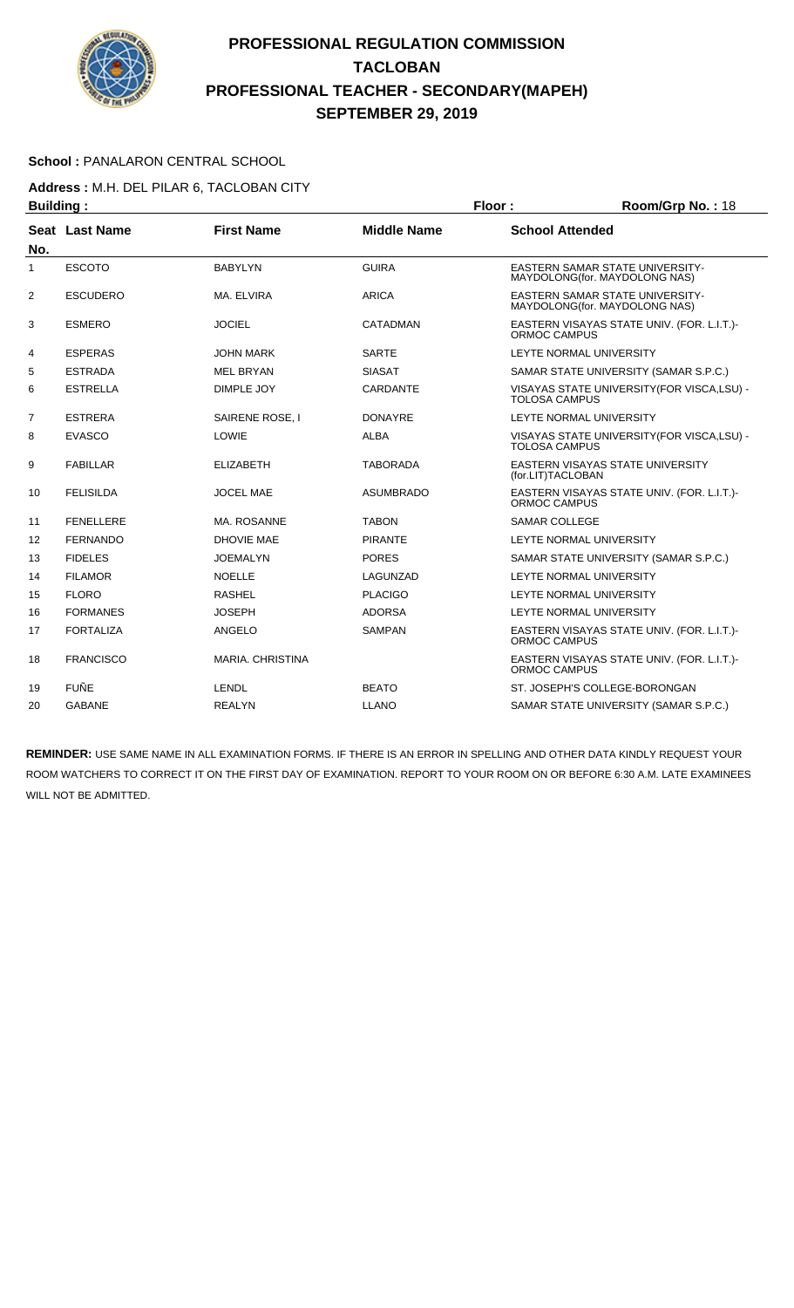

#### School : PANALARON CENTRAL SCHOOL

**Address :** M.H. DEL PILAR 6, TACLOBAN CITY

| <b>Building:</b><br>Floor: |                  |                         |                    | Room/Grp No.: 18       |                                                                         |
|----------------------------|------------------|-------------------------|--------------------|------------------------|-------------------------------------------------------------------------|
|                            | Seat Last Name   | <b>First Name</b>       | <b>Middle Name</b> | <b>School Attended</b> |                                                                         |
| No.                        |                  |                         |                    |                        |                                                                         |
| 1                          | <b>ESCOTO</b>    | <b>BABYLYN</b>          | <b>GUIRA</b>       |                        | <b>EASTERN SAMAR STATE UNIVERSITY-</b><br>MAYDOLONG(for. MAYDOLONG NAS) |
| 2                          | <b>ESCUDERO</b>  | MA. ELVIRA              | <b>ARICA</b>       |                        | <b>EASTERN SAMAR STATE UNIVERSITY-</b><br>MAYDOLONG(for. MAYDOLONG NAS) |
| 3                          | <b>ESMERO</b>    | <b>JOCIEL</b>           | CATADMAN           | ORMOC CAMPUS           | EASTERN VISAYAS STATE UNIV. (FOR. L.I.T.)-                              |
| 4                          | <b>ESPERAS</b>   | <b>JOHN MARK</b>        | <b>SARTE</b>       |                        | LEYTE NORMAL UNIVERSITY                                                 |
| 5                          | <b>ESTRADA</b>   | <b>MEL BRYAN</b>        | <b>SIASAT</b>      |                        | SAMAR STATE UNIVERSITY (SAMAR S.P.C.)                                   |
| 6                          | <b>ESTRELLA</b>  | DIMPLE JOY              | CARDANTE           | <b>TOLOSA CAMPUS</b>   | VISAYAS STATE UNIVERSITY (FOR VISCA, LSU) -                             |
| $\overline{7}$             | <b>ESTRERA</b>   | SAIRENE ROSE, I         | <b>DONAYRE</b>     |                        | LEYTE NORMAL UNIVERSITY                                                 |
| 8                          | <b>EVASCO</b>    | LOWIE                   | <b>ALBA</b>        | <b>TOLOSA CAMPUS</b>   | VISAYAS STATE UNIVERSITY (FOR VISCA, LSU) -                             |
| 9                          | <b>FABILLAR</b>  | <b>ELIZABETH</b>        | <b>TABORADA</b>    | (for.LIT)TACLOBAN      | EASTERN VISAYAS STATE UNIVERSITY                                        |
| 10                         | <b>FELISILDA</b> | <b>JOCEL MAE</b>        | <b>ASUMBRADO</b>   | <b>ORMOC CAMPUS</b>    | EASTERN VISAYAS STATE UNIV. (FOR. L.I.T.)-                              |
| 11                         | <b>FENELLERE</b> | MA. ROSANNE             | <b>TABON</b>       | <b>SAMAR COLLEGE</b>   |                                                                         |
| 12                         | <b>FERNANDO</b>  | DHOVIE MAE              | <b>PIRANTE</b>     |                        | LEYTE NORMAL UNIVERSITY                                                 |
| 13                         | <b>FIDELES</b>   | <b>JOEMALYN</b>         | <b>PORES</b>       |                        | SAMAR STATE UNIVERSITY (SAMAR S.P.C.)                                   |
| 14                         | <b>FILAMOR</b>   | <b>NOELLE</b>           | LAGUNZAD           |                        | LEYTE NORMAL UNIVERSITY                                                 |
| 15                         | <b>FLORO</b>     | <b>RASHEL</b>           | <b>PLACIGO</b>     |                        | LEYTE NORMAL UNIVERSITY                                                 |
| 16                         | <b>FORMANES</b>  | <b>JOSEPH</b>           | <b>ADORSA</b>      |                        | LEYTE NORMAL UNIVERSITY                                                 |
| 17                         | <b>FORTALIZA</b> | ANGELO                  | <b>SAMPAN</b>      | <b>ORMOC CAMPUS</b>    | EASTERN VISAYAS STATE UNIV. (FOR. L.I.T.)-                              |
| 18                         | <b>FRANCISCO</b> | <b>MARIA, CHRISTINA</b> |                    | ORMOC CAMPUS           | EASTERN VISAYAS STATE UNIV. (FOR. L.I.T.)-                              |
| 19                         | <b>FUÑE</b>      | <b>LENDL</b>            | <b>BEATO</b>       |                        | ST. JOSEPH'S COLLEGE-BORONGAN                                           |
| 20                         | <b>GABANE</b>    | <b>REALYN</b>           | LLANO              |                        | SAMAR STATE UNIVERSITY (SAMAR S.P.C.)                                   |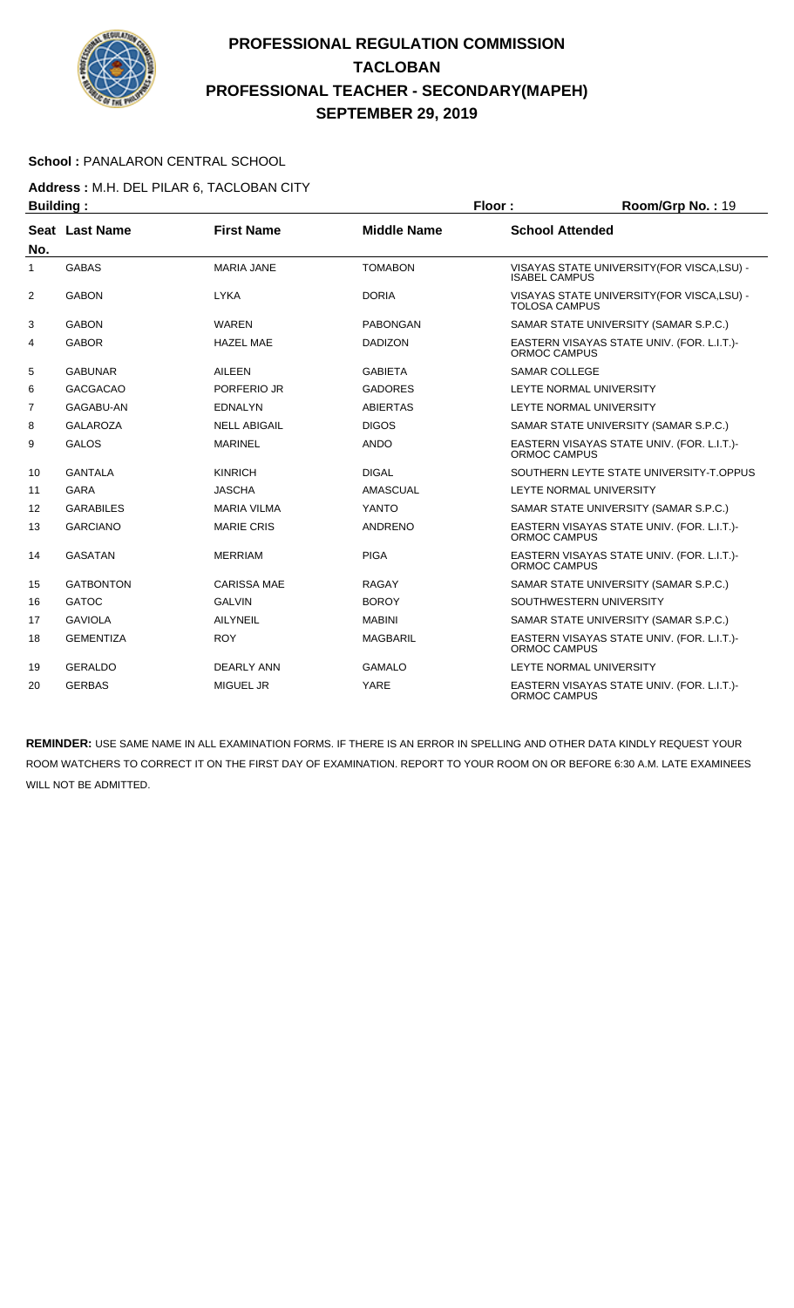

#### School : PANALARON CENTRAL SCHOOL

**Address :** M.H. DEL PILAR 6, TACLOBAN CITY

| <b>Building:</b><br>Floor: |                  | Room/Grp No.: 19    |                    |                      |                                             |
|----------------------------|------------------|---------------------|--------------------|----------------------|---------------------------------------------|
|                            | Seat Last Name   | <b>First Name</b>   | <b>Middle Name</b> |                      | <b>School Attended</b>                      |
| No.                        |                  |                     |                    |                      |                                             |
| 1                          | <b>GABAS</b>     | <b>MARIA JANE</b>   | <b>TOMABON</b>     | <b>ISABEL CAMPUS</b> | VISAYAS STATE UNIVERSITY(FOR VISCA,LSU) -   |
| 2                          | <b>GABON</b>     | <b>LYKA</b>         | <b>DORIA</b>       | <b>TOLOSA CAMPUS</b> | VISAYAS STATE UNIVERSITY (FOR VISCA, LSU) - |
| 3                          | <b>GABON</b>     | <b>WAREN</b>        | <b>PABONGAN</b>    |                      | SAMAR STATE UNIVERSITY (SAMAR S.P.C.)       |
| 4                          | <b>GABOR</b>     | <b>HAZEL MAE</b>    | <b>DADIZON</b>     | ORMOC CAMPUS         | EASTERN VISAYAS STATE UNIV. (FOR. L.I.T.)-  |
| 5                          | <b>GABUNAR</b>   | AILEEN              | <b>GABIETA</b>     | <b>SAMAR COLLEGE</b> |                                             |
| 6                          | <b>GACGACAO</b>  | PORFERIO JR         | <b>GADORES</b>     |                      | LEYTE NORMAL UNIVERSITY                     |
| $\overline{7}$             | GAGABU-AN        | <b>EDNALYN</b>      | <b>ABIERTAS</b>    |                      | LEYTE NORMAL UNIVERSITY                     |
| 8                          | <b>GALAROZA</b>  | <b>NELL ABIGAIL</b> | <b>DIGOS</b>       |                      | SAMAR STATE UNIVERSITY (SAMAR S.P.C.)       |
| 9                          | <b>GALOS</b>     | <b>MARINEL</b>      | <b>ANDO</b>        | ORMOC CAMPUS         | EASTERN VISAYAS STATE UNIV. (FOR. L.I.T.)-  |
| 10                         | <b>GANTALA</b>   | <b>KINRICH</b>      | <b>DIGAL</b>       |                      | SOUTHERN LEYTE STATE UNIVERSITY-T.OPPUS     |
| 11                         | <b>GARA</b>      | <b>JASCHA</b>       | AMASCUAL           |                      | LEYTE NORMAL UNIVERSITY                     |
| 12                         | <b>GARABILES</b> | <b>MARIA VILMA</b>  | <b>YANTO</b>       |                      | SAMAR STATE UNIVERSITY (SAMAR S.P.C.)       |
| 13                         | <b>GARCIANO</b>  | <b>MARIE CRIS</b>   | ANDRENO            | ORMOC CAMPUS         | EASTERN VISAYAS STATE UNIV. (FOR. L.I.T.)-  |
| 14                         | <b>GASATAN</b>   | <b>MERRIAM</b>      | <b>PIGA</b>        | ORMOC CAMPUS         | EASTERN VISAYAS STATE UNIV. (FOR. L.I.T.)-  |
| 15                         | <b>GATBONTON</b> | <b>CARISSA MAE</b>  | <b>RAGAY</b>       |                      | SAMAR STATE UNIVERSITY (SAMAR S.P.C.)       |
| 16                         | <b>GATOC</b>     | <b>GALVIN</b>       | <b>BOROY</b>       |                      | SOUTHWESTERN UNIVERSITY                     |
| 17                         | <b>GAVIOLA</b>   | <b>AILYNEIL</b>     | <b>MABINI</b>      |                      | SAMAR STATE UNIVERSITY (SAMAR S.P.C.)       |
| 18                         | <b>GEMENTIZA</b> | <b>ROY</b>          | <b>MAGBARIL</b>    | <b>ORMOC CAMPUS</b>  | EASTERN VISAYAS STATE UNIV. (FOR. L.I.T.)-  |
| 19                         | <b>GERALDO</b>   | <b>DEARLY ANN</b>   | <b>GAMALO</b>      |                      | LEYTE NORMAL UNIVERSITY                     |
| 20                         | <b>GERBAS</b>    | <b>MIGUEL JR</b>    | <b>YARE</b>        | ORMOC CAMPUS         | EASTERN VISAYAS STATE UNIV. (FOR. L.I.T.)-  |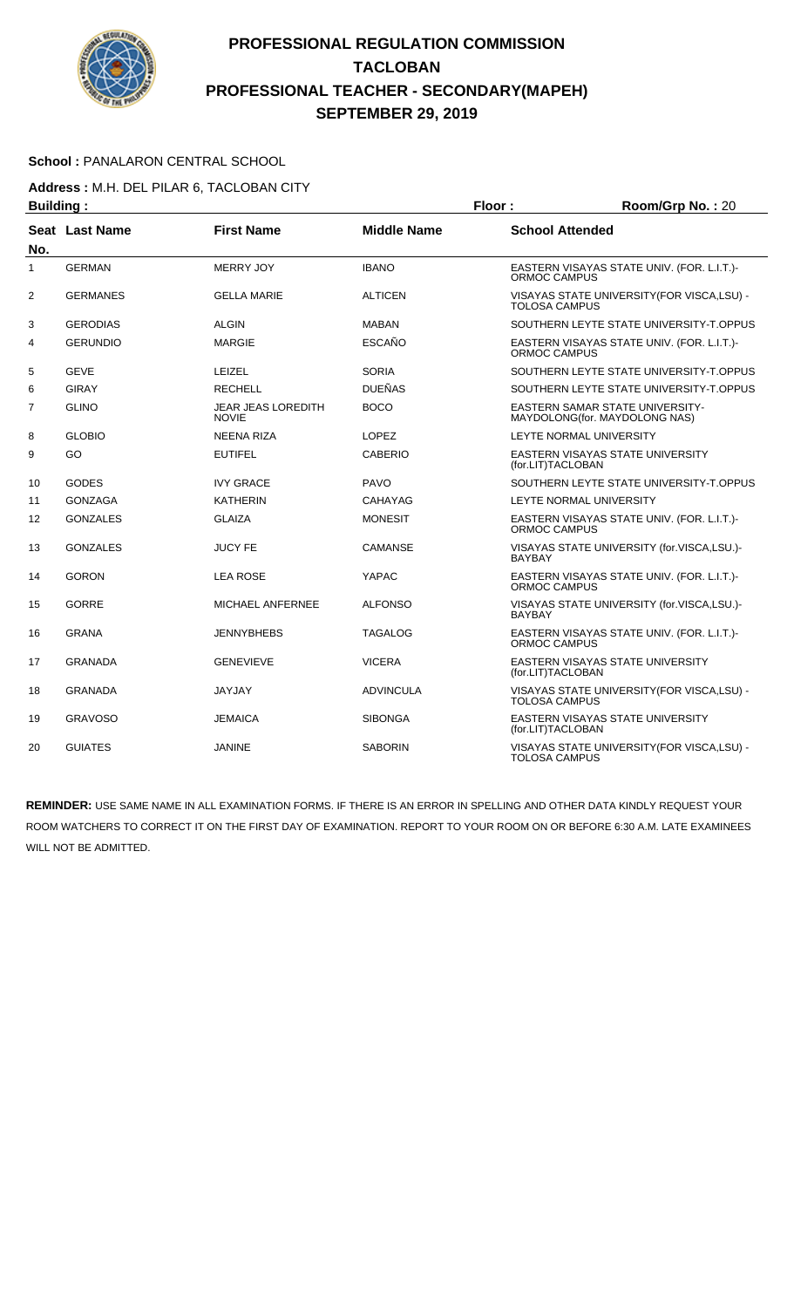

#### School : PANALARON CENTRAL SCHOOL

**Address :** M.H. DEL PILAR 6, TACLOBAN CITY

| <b>Building:</b> |                       |                                           | Room/Grp No.: 20<br>Floor: |                        |                                                                         |
|------------------|-----------------------|-------------------------------------------|----------------------------|------------------------|-------------------------------------------------------------------------|
| No.              | <b>Seat Last Name</b> | <b>First Name</b>                         | <b>Middle Name</b>         | <b>School Attended</b> |                                                                         |
| 1                | <b>GERMAN</b>         | <b>MERRY JOY</b>                          | <b>IBANO</b>               | <b>ORMOC CAMPUS</b>    | EASTERN VISAYAS STATE UNIV. (FOR. L.I.T.)-                              |
| $\overline{2}$   | <b>GERMANES</b>       | <b>GELLA MARIE</b>                        | <b>ALTICEN</b>             | <b>TOLOSA CAMPUS</b>   | VISAYAS STATE UNIVERSITY (FOR VISCA, LSU) -                             |
| 3                | <b>GERODIAS</b>       | <b>ALGIN</b>                              | <b>MABAN</b>               |                        | SOUTHERN LEYTE STATE UNIVERSITY-T.OPPUS                                 |
| 4                | <b>GERUNDIO</b>       | <b>MARGIE</b>                             | <b>ESCAÑO</b>              | ORMOC CAMPUS           | EASTERN VISAYAS STATE UNIV. (FOR. L.I.T.)-                              |
| 5                | <b>GEVE</b>           | LEIZEL                                    | <b>SORIA</b>               |                        | SOUTHERN LEYTE STATE UNIVERSITY-T.OPPUS                                 |
| 6                | <b>GIRAY</b>          | <b>RECHELL</b>                            | <b>DUEÑAS</b>              |                        | SOUTHERN LEYTE STATE UNIVERSITY-T.OPPUS                                 |
| $\overline{7}$   | <b>GLINO</b>          | <b>JEAR JEAS LOREDITH</b><br><b>NOVIE</b> | <b>BOCO</b>                |                        | <b>EASTERN SAMAR STATE UNIVERSITY-</b><br>MAYDOLONG(for. MAYDOLONG NAS) |
| 8                | <b>GLOBIO</b>         | <b>NEENA RIZA</b>                         | <b>LOPEZ</b>               |                        | LEYTE NORMAL UNIVERSITY                                                 |
| 9                | GO                    | <b>EUTIFEL</b>                            | <b>CABERIO</b>             | (for.LIT)TACLOBAN      | EASTERN VISAYAS STATE UNIVERSITY                                        |
| 10               | <b>GODES</b>          | <b>IVY GRACE</b>                          | <b>PAVO</b>                |                        | SOUTHERN LEYTE STATE UNIVERSITY-T.OPPUS                                 |
| 11               | <b>GONZAGA</b>        | <b>KATHERIN</b>                           | CAHAYAG                    |                        | LEYTE NORMAL UNIVERSITY                                                 |
| 12               | <b>GONZALES</b>       | <b>GLAIZA</b>                             | <b>MONESIT</b>             | ORMOC CAMPUS           | EASTERN VISAYAS STATE UNIV. (FOR. L.I.T.)-                              |
| 13               | <b>GONZALES</b>       | <b>JUCY FE</b>                            | <b>CAMANSE</b>             | <b>BAYBAY</b>          | VISAYAS STATE UNIVERSITY (for.VISCA,LSU.)-                              |
| 14               | <b>GORON</b>          | <b>LEA ROSE</b>                           | YAPAC                      | ORMOC CAMPUS           | EASTERN VISAYAS STATE UNIV. (FOR. L.I.T.)-                              |
| 15               | <b>GORRE</b>          | <b>MICHAEL ANFERNEE</b>                   | <b>ALFONSO</b>             | <b>BAYBAY</b>          | VISAYAS STATE UNIVERSITY (for.VISCA,LSU.)-                              |
| 16               | <b>GRANA</b>          | <b>JENNYBHEBS</b>                         | <b>TAGALOG</b>             | ORMOC CAMPUS           | EASTERN VISAYAS STATE UNIV. (FOR. L.I.T.)-                              |
| 17               | <b>GRANADA</b>        | <b>GENEVIEVE</b>                          | <b>VICERA</b>              | (for.LIT)TACLOBAN      | EASTERN VISAYAS STATE UNIVERSITY                                        |
| 18               | <b>GRANADA</b>        | <b>JAYJAY</b>                             | <b>ADVINCULA</b>           | <b>TOLOSA CAMPUS</b>   | VISAYAS STATE UNIVERSITY (FOR VISCA, LSU) -                             |
| 19               | <b>GRAVOSO</b>        | <b>JEMAICA</b>                            | <b>SIBONGA</b>             | (for.LIT)TACLOBAN      | EASTERN VISAYAS STATE UNIVERSITY                                        |
| 20               | <b>GUIATES</b>        | <b>JANINE</b>                             | <b>SABORIN</b>             | <b>TOLOSA CAMPUS</b>   | VISAYAS STATE UNIVERSITY (FOR VISCA, LSU) -                             |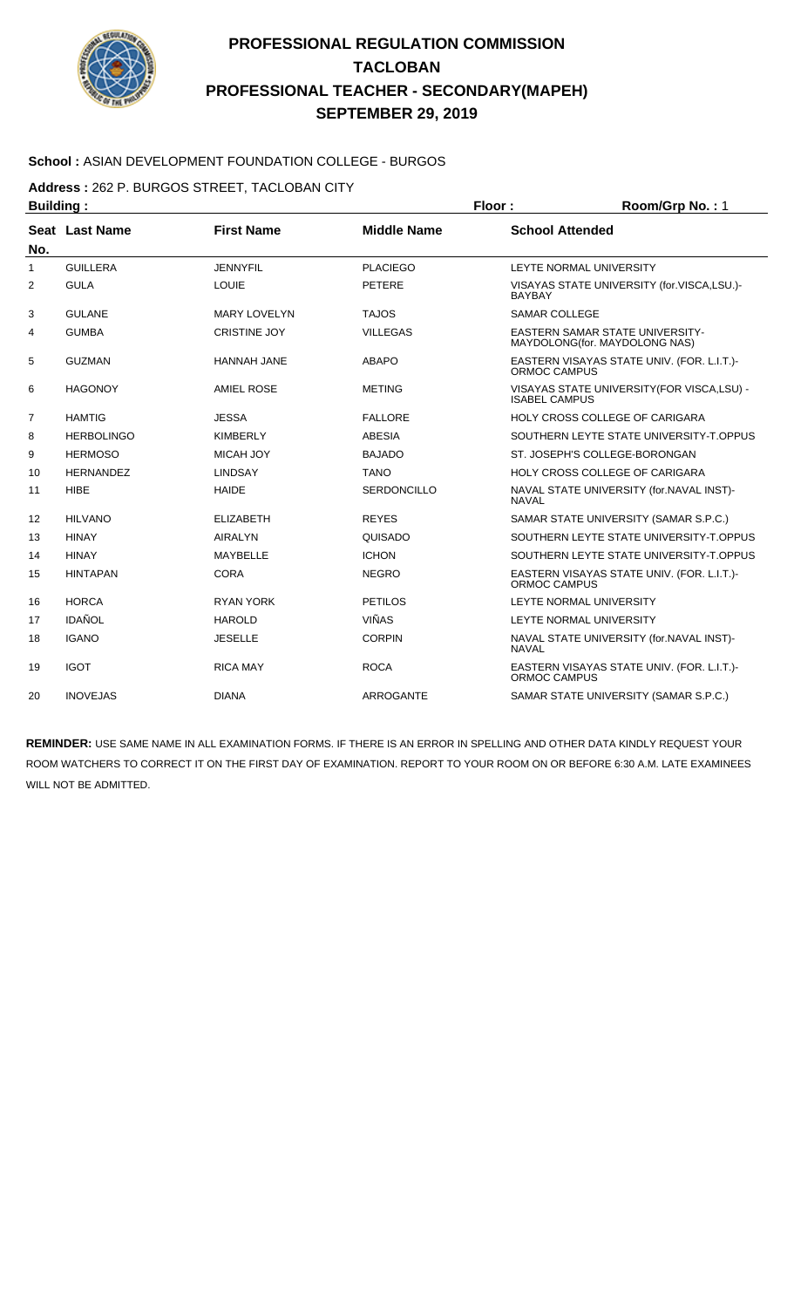

#### **School :** ASIAN DEVELOPMENT FOUNDATION COLLEGE - BURGOS

**Address :** 262 P. BURGOS STREET, TACLOBAN CITY

| <b>Building:</b> |                   |                     |                    | Floor:                 | Room/Grp No.: 1                                                          |
|------------------|-------------------|---------------------|--------------------|------------------------|--------------------------------------------------------------------------|
|                  | Seat Last Name    | <b>First Name</b>   | <b>Middle Name</b> | <b>School Attended</b> |                                                                          |
| No.              |                   |                     |                    |                        |                                                                          |
| 1                | <b>GUILLERA</b>   | <b>JENNYFIL</b>     | <b>PLACIEGO</b>    |                        | LEYTE NORMAL UNIVERSITY                                                  |
| 2                | <b>GULA</b>       | <b>LOUIE</b>        | <b>PETERE</b>      | <b>BAYBAY</b>          | VISAYAS STATE UNIVERSITY (for.VISCA,LSU.)-                               |
| 3                | <b>GULANE</b>     | <b>MARY LOVELYN</b> | <b>TAJOS</b>       | <b>SAMAR COLLEGE</b>   |                                                                          |
| 4                | <b>GUMBA</b>      | <b>CRISTINE JOY</b> | <b>VILLEGAS</b>    |                        | <b>EASTERN SAMAR STATE UNIVERSITY-</b><br>MAYDOLONG (for. MAYDOLONG NAS) |
| 5                | <b>GUZMAN</b>     | <b>HANNAH JANE</b>  | <b>ABAPO</b>       | ORMOC CAMPUS           | EASTERN VISAYAS STATE UNIV. (FOR. L.I.T.)-                               |
| 6                | <b>HAGONOY</b>    | <b>AMIEL ROSE</b>   | <b>METING</b>      | <b>ISABEL CAMPUS</b>   | VISAYAS STATE UNIVERSITY(FOR VISCA,LSU) -                                |
| 7                | <b>HAMTIG</b>     | <b>JESSA</b>        | <b>FALLORE</b>     |                        | HOLY CROSS COLLEGE OF CARIGARA                                           |
| 8                | <b>HERBOLINGO</b> | <b>KIMBERLY</b>     | <b>ABESIA</b>      |                        | SOUTHERN LEYTE STATE UNIVERSITY-T.OPPUS                                  |
| 9                | <b>HERMOSO</b>    | <b>MICAH JOY</b>    | <b>BAJADO</b>      |                        | ST. JOSEPH'S COLLEGE-BORONGAN                                            |
| 10               | <b>HERNANDEZ</b>  | <b>LINDSAY</b>      | <b>TANO</b>        |                        | <b>HOLY CROSS COLLEGE OF CARIGARA</b>                                    |
| 11               | <b>HIBE</b>       | <b>HAIDE</b>        | <b>SERDONCILLO</b> | <b>NAVAL</b>           | NAVAL STATE UNIVERSITY (for.NAVAL INST)-                                 |
| 12               | <b>HILVANO</b>    | <b>ELIZABETH</b>    | <b>REYES</b>       |                        | SAMAR STATE UNIVERSITY (SAMAR S.P.C.)                                    |
| 13               | <b>HINAY</b>      | <b>AIRALYN</b>      | QUISADO            |                        | SOUTHERN LEYTE STATE UNIVERSITY-T.OPPUS                                  |
| 14               | <b>HINAY</b>      | MAYBELLE            | <b>ICHON</b>       |                        | SOUTHERN LEYTE STATE UNIVERSITY-T.OPPUS                                  |
| 15               | <b>HINTAPAN</b>   | <b>CORA</b>         | <b>NEGRO</b>       | ORMOC CAMPUS           | EASTERN VISAYAS STATE UNIV. (FOR. L.I.T.)-                               |
| 16               | <b>HORCA</b>      | <b>RYAN YORK</b>    | PETILOS            |                        | LEYTE NORMAL UNIVERSITY                                                  |
| 17               | <b>IDAÑOL</b>     | <b>HAROLD</b>       | <b>VIÑAS</b>       |                        | LEYTE NORMAL UNIVERSITY                                                  |
| 18               | <b>IGANO</b>      | <b>JESELLE</b>      | <b>CORPIN</b>      | <b>NAVAL</b>           | NAVAL STATE UNIVERSITY (for.NAVAL INST)-                                 |
| 19               | <b>IGOT</b>       | <b>RICA MAY</b>     | <b>ROCA</b>        | <b>ORMOC CAMPUS</b>    | EASTERN VISAYAS STATE UNIV. (FOR. L.I.T.)-                               |
| 20               | <b>INOVEJAS</b>   | <b>DIANA</b>        | <b>ARROGANTE</b>   |                        | SAMAR STATE UNIVERSITY (SAMAR S.P.C.)                                    |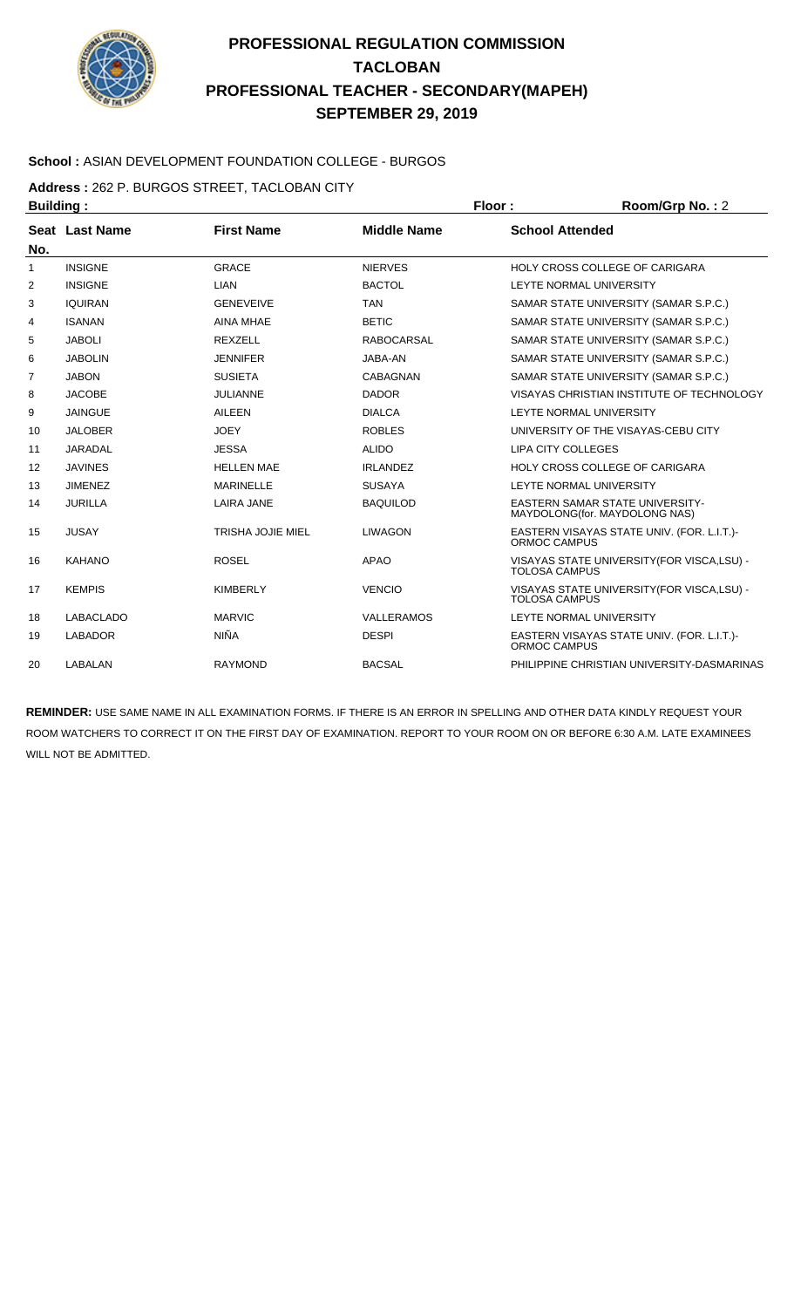

#### **School :** ASIAN DEVELOPMENT FOUNDATION COLLEGE - BURGOS

**Address :** 262 P. BURGOS STREET, TACLOBAN CITY

| <b>Building:</b>  |                  |                          |                    | Floor:                    | Room/Grp No.: 2                                                         |
|-------------------|------------------|--------------------------|--------------------|---------------------------|-------------------------------------------------------------------------|
|                   | Seat Last Name   | <b>First Name</b>        | <b>Middle Name</b> | <b>School Attended</b>    |                                                                         |
| No.               |                  |                          |                    |                           |                                                                         |
| 1                 | <b>INSIGNE</b>   | GRACE                    | <b>NIERVES</b>     |                           | HOLY CROSS COLLEGE OF CARIGARA                                          |
| 2                 | <b>INSIGNE</b>   | <b>LIAN</b>              | <b>BACTOL</b>      |                           | LEYTE NORMAL UNIVERSITY                                                 |
| 3                 | <b>IQUIRAN</b>   | <b>GENEVEIVE</b>         | <b>TAN</b>         |                           | SAMAR STATE UNIVERSITY (SAMAR S.P.C.)                                   |
| 4                 | <b>ISANAN</b>    | <b>AINA MHAE</b>         | <b>BETIC</b>       |                           | SAMAR STATE UNIVERSITY (SAMAR S.P.C.)                                   |
| 5                 | <b>JABOLI</b>    | REXZELL                  | <b>RABOCARSAL</b>  |                           | SAMAR STATE UNIVERSITY (SAMAR S.P.C.)                                   |
| 6                 | <b>JABOLIN</b>   | <b>JENNIFER</b>          | JABA-AN            |                           | SAMAR STATE UNIVERSITY (SAMAR S.P.C.)                                   |
| 7                 | <b>JABON</b>     | <b>SUSIETA</b>           | <b>CABAGNAN</b>    |                           | SAMAR STATE UNIVERSITY (SAMAR S.P.C.)                                   |
| 8                 | <b>JACOBE</b>    | <b>JULIANNE</b>          | <b>DADOR</b>       |                           | VISAYAS CHRISTIAN INSTITUTE OF TECHNOLOGY                               |
| 9                 | <b>JAINGUE</b>   | <b>AILEEN</b>            | <b>DIALCA</b>      |                           | LEYTE NORMAL UNIVERSITY                                                 |
| 10                | <b>JALOBER</b>   | <b>JOEY</b>              | <b>ROBLES</b>      |                           | UNIVERSITY OF THE VISAYAS-CEBU CITY                                     |
| 11                | <b>JARADAL</b>   | <b>JESSA</b>             | <b>ALIDO</b>       | <b>LIPA CITY COLLEGES</b> |                                                                         |
| $12 \overline{ }$ | <b>JAVINES</b>   | <b>HELLEN MAE</b>        | <b>IRLANDEZ</b>    |                           | <b>HOLY CROSS COLLEGE OF CARIGARA</b>                                   |
| 13                | <b>JIMENEZ</b>   | <b>MARINELLE</b>         | <b>SUSAYA</b>      |                           | LEYTE NORMAL UNIVERSITY                                                 |
| 14                | <b>JURILLA</b>   | <b>LAIRA JANE</b>        | <b>BAQUILOD</b>    |                           | <b>EASTERN SAMAR STATE UNIVERSITY-</b><br>MAYDOLONG(for. MAYDOLONG NAS) |
| 15                | <b>JUSAY</b>     | <b>TRISHA JOJIE MIEL</b> | <b>LIWAGON</b>     | ORMOC CAMPUS              | EASTERN VISAYAS STATE UNIV. (FOR. L.I.T.)-                              |
| 16                | <b>KAHANO</b>    | <b>ROSEL</b>             | <b>APAO</b>        | <b>TOLOSA CAMPUS</b>      | VISAYAS STATE UNIVERSITY (FOR VISCA, LSU) -                             |
| 17                | <b>KEMPIS</b>    | <b>KIMBERLY</b>          | <b>VENCIO</b>      | <b>TOLOSA CAMPUS</b>      | VISAYAS STATE UNIVERSITY (FOR VISCA, LSU) -                             |
| 18                | <b>LABACLADO</b> | <b>MARVIC</b>            | VALLERAMOS         |                           | LEYTE NORMAL UNIVERSITY                                                 |
| 19                | <b>LABADOR</b>   | <b>NIÑA</b>              | <b>DESPI</b>       | <b>ORMOC CAMPUS</b>       | EASTERN VISAYAS STATE UNIV. (FOR. L.I.T.)-                              |
| 20                | LABALAN          | <b>RAYMOND</b>           | <b>BACSAL</b>      |                           | PHILIPPINE CHRISTIAN UNIVERSITY-DASMARINAS                              |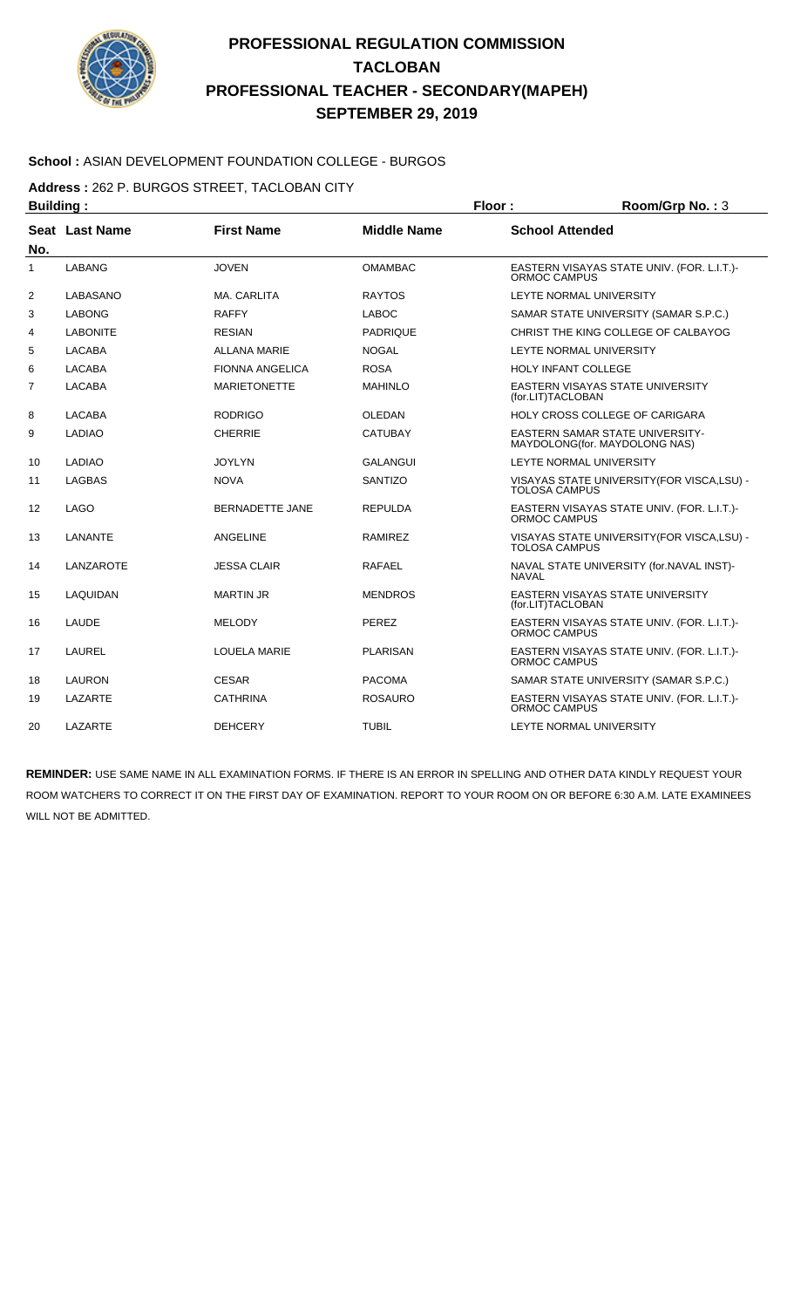

#### **School :** ASIAN DEVELOPMENT FOUNDATION COLLEGE - BURGOS

**Address :** 262 P. BURGOS STREET, TACLOBAN CITY

| <b>Building:</b> |                  |                        |                    | Floor:                 | Room/Grp No.: 3                                                         |
|------------------|------------------|------------------------|--------------------|------------------------|-------------------------------------------------------------------------|
| No.              | Seat Last Name   | <b>First Name</b>      | <b>Middle Name</b> | <b>School Attended</b> |                                                                         |
| 1                | <b>LABANG</b>    | <b>JOVEN</b>           | <b>OMAMBAC</b>     | ORMOC CAMPUS           | EASTERN VISAYAS STATE UNIV. (FOR. L.I.T.)-                              |
| 2                | LABASANO         | MA. CARLITA            | <b>RAYTOS</b>      |                        | LEYTE NORMAL UNIVERSITY                                                 |
| 3                | <b>LABONG</b>    | <b>RAFFY</b>           | <b>LABOC</b>       |                        | SAMAR STATE UNIVERSITY (SAMAR S.P.C.)                                   |
| 4                | <b>LABONITE</b>  | <b>RESIAN</b>          | <b>PADRIQUE</b>    |                        | CHRIST THE KING COLLEGE OF CALBAYOG                                     |
| 5                | <b>LACABA</b>    | <b>ALLANA MARIE</b>    | <b>NOGAL</b>       |                        | LEYTE NORMAL UNIVERSITY                                                 |
| 6                | <b>LACABA</b>    | <b>FIONNA ANGELICA</b> | <b>ROSA</b>        |                        | <b>HOLY INFANT COLLEGE</b>                                              |
| $\overline{7}$   | <b>LACABA</b>    | <b>MARIETONETTE</b>    | <b>MAHINLO</b>     | (for.LIT)TACLOBAN      | EASTERN VISAYAS STATE UNIVERSITY                                        |
| 8                | <b>LACABA</b>    | <b>RODRIGO</b>         | <b>OLEDAN</b>      |                        | HOLY CROSS COLLEGE OF CARIGARA                                          |
| 9                | <b>LADIAO</b>    | <b>CHERRIE</b>         | <b>CATUBAY</b>     |                        | <b>EASTERN SAMAR STATE UNIVERSITY-</b><br>MAYDOLONG(for. MAYDOLONG NAS) |
| 10               | LADIAO           | <b>JOYLYN</b>          | GALANGUI           |                        | LEYTE NORMAL UNIVERSITY                                                 |
| 11               | <b>LAGBAS</b>    | <b>NOVA</b>            | <b>SANTIZO</b>     | <b>TOLOSA CAMPUS</b>   | VISAYAS STATE UNIVERSITY (FOR VISCA, LSU) -                             |
| 12               | <b>LAGO</b>      | <b>BERNADETTE JANE</b> | <b>REPULDA</b>     | ORMOC CAMPUS           | EASTERN VISAYAS STATE UNIV. (FOR. L.I.T.)-                              |
| 13               | LANANTE          | ANGELINE               | <b>RAMIREZ</b>     | <b>TOLOSA CAMPUS</b>   | VISAYAS STATE UNIVERSITY (FOR VISCA, LSU) -                             |
| 14               | <b>LANZAROTE</b> | <b>JESSA CLAIR</b>     | <b>RAFAEL</b>      | <b>NAVAL</b>           | NAVAL STATE UNIVERSITY (for.NAVAL INST)-                                |
| 15               | LAQUIDAN         | <b>MARTIN JR</b>       | <b>MENDROS</b>     | (for.LIT)TACLOBAN      | EASTERN VISAYAS STATE UNIVERSITY                                        |
| 16               | LAUDE            | <b>MELODY</b>          | PEREZ              | ORMOC CAMPUS           | EASTERN VISAYAS STATE UNIV. (FOR. L.I.T.)-                              |
| 17               | <b>LAUREL</b>    | <b>LOUELA MARIE</b>    | <b>PLARISAN</b>    | ORMOC CAMPUS           | EASTERN VISAYAS STATE UNIV. (FOR. L.I.T.)-                              |
| 18               | <b>LAURON</b>    | <b>CESAR</b>           | <b>PACOMA</b>      |                        | SAMAR STATE UNIVERSITY (SAMAR S.P.C.)                                   |
| 19               | LAZARTE          | <b>CATHRINA</b>        | <b>ROSAURO</b>     | ORMOC CAMPUS           | EASTERN VISAYAS STATE UNIV. (FOR. L.I.T.)-                              |
| 20               | LAZARTE          | <b>DEHCERY</b>         | <b>TUBIL</b>       |                        | LEYTE NORMAL UNIVERSITY                                                 |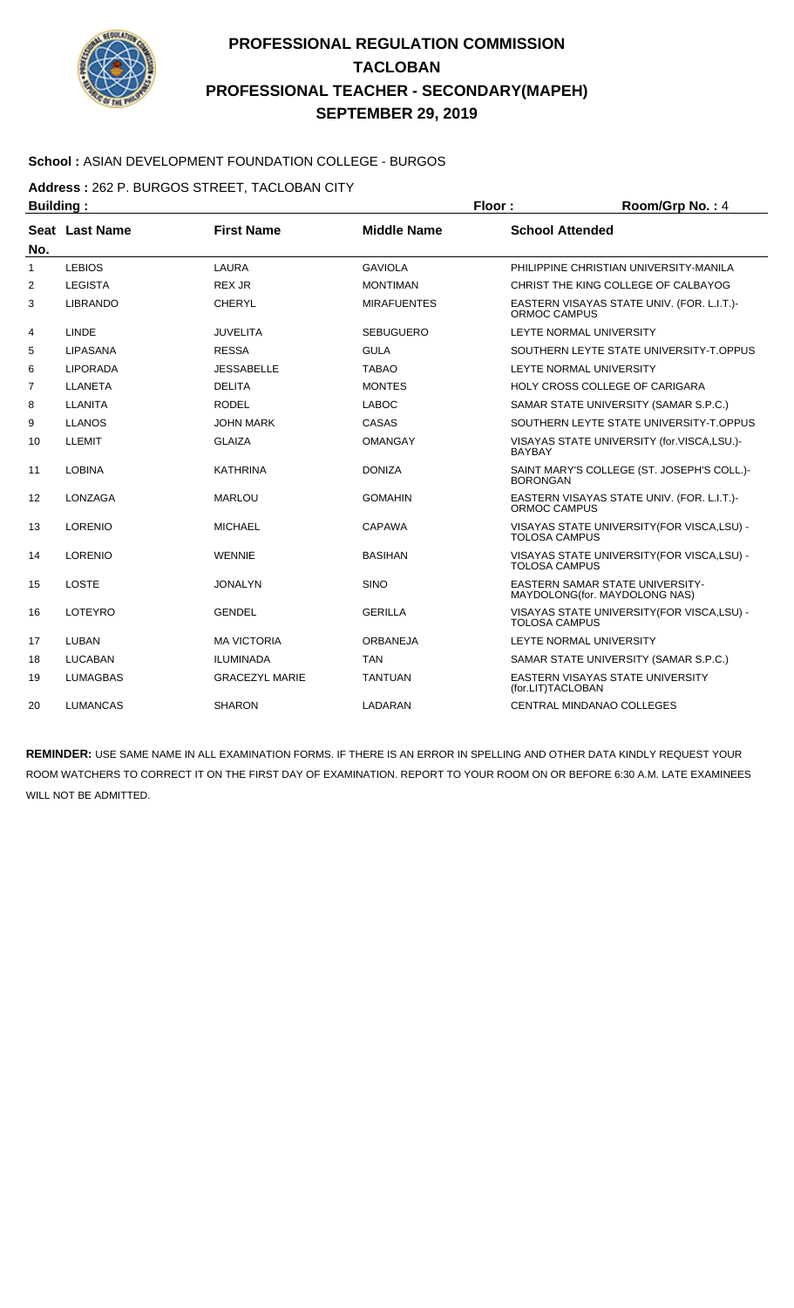

#### **School :** ASIAN DEVELOPMENT FOUNDATION COLLEGE - BURGOS

**Address :** 262 P. BURGOS STREET, TACLOBAN CITY

| <b>Building:</b> |                 |                       |                    | Floor:                                                      | Room/Grp No.: 4                                                         |
|------------------|-----------------|-----------------------|--------------------|-------------------------------------------------------------|-------------------------------------------------------------------------|
| No.              | Seat Last Name  | <b>First Name</b>     | <b>Middle Name</b> | <b>School Attended</b>                                      |                                                                         |
| 1                | <b>LEBIOS</b>   | LAURA                 | <b>GAVIOLA</b>     |                                                             | PHILIPPINE CHRISTIAN UNIVERSITY-MANILA                                  |
| 2                | <b>LEGISTA</b>  | <b>REX JR</b>         | <b>MONTIMAN</b>    |                                                             | CHRIST THE KING COLLEGE OF CALBAYOG                                     |
| 3                | <b>LIBRANDO</b> | <b>CHERYL</b>         | <b>MIRAFUENTES</b> | ORMOC CAMPUS                                                | EASTERN VISAYAS STATE UNIV. (FOR. L.I.T.)-                              |
| 4                | LINDE           | <b>JUVELITA</b>       | <b>SEBUGUERO</b>   |                                                             | LEYTE NORMAL UNIVERSITY                                                 |
| 5                | LIPASANA        | <b>RESSA</b>          | <b>GULA</b>        |                                                             | SOUTHERN LEYTE STATE UNIVERSITY-T.OPPUS                                 |
| 6                | <b>LIPORADA</b> | <b>JESSABELLE</b>     | <b>TABAO</b>       |                                                             | LEYTE NORMAL UNIVERSITY                                                 |
| 7                | <b>LLANETA</b>  | <b>DELITA</b>         | <b>MONTES</b>      |                                                             | <b>HOLY CROSS COLLEGE OF CARIGARA</b>                                   |
| 8                | LLANITA         | <b>RODEL</b>          | <b>LABOC</b>       |                                                             | SAMAR STATE UNIVERSITY (SAMAR S.P.C.)                                   |
| 9                | <b>LLANOS</b>   | <b>JOHN MARK</b>      | CASAS              |                                                             | SOUTHERN LEYTE STATE UNIVERSITY-T.OPPUS                                 |
| 10               | LLEMIT          | <b>GLAIZA</b>         | <b>OMANGAY</b>     | VISAYAS STATE UNIVERSITY (for.VISCA,LSU.)-<br><b>BAYBAY</b> |                                                                         |
| 11               | <b>LOBINA</b>   | <b>KATHRINA</b>       | <b>DONIZA</b>      | <b>BORONGAN</b>                                             | SAINT MARY'S COLLEGE (ST. JOSEPH'S COLL.)-                              |
| 12               | <b>LONZAGA</b>  | <b>MARLOU</b>         | <b>GOMAHIN</b>     | ORMOC CAMPUS                                                | EASTERN VISAYAS STATE UNIV. (FOR. L.I.T.)-                              |
| 13               | LORENIO         | <b>MICHAEL</b>        | CAPAWA             | <b>TOLOSA CAMPUS</b>                                        | VISAYAS STATE UNIVERSITY (FOR VISCA, LSU) -                             |
| 14               | LORENIO         | <b>WENNIE</b>         | <b>BASIHAN</b>     | <b>TOLOSA CAMPUS</b>                                        | VISAYAS STATE UNIVERSITY (FOR VISCA, LSU) -                             |
| 15               | <b>LOSTE</b>    | <b>JONALYN</b>        | <b>SINO</b>        |                                                             | <b>EASTERN SAMAR STATE UNIVERSITY-</b><br>MAYDOLONG(for. MAYDOLONG NAS) |
| 16               | LOTEYRO         | <b>GENDEL</b>         | <b>GERILLA</b>     | <b>TOLOSA CAMPUS</b>                                        | VISAYAS STATE UNIVERSITY (FOR VISCA, LSU) -                             |
| 17               | LUBAN           | <b>MA VICTORIA</b>    | <b>ORBANEJA</b>    |                                                             | LEYTE NORMAL UNIVERSITY                                                 |
| 18               | <b>LUCABAN</b>  | <b>ILUMINADA</b>      | <b>TAN</b>         |                                                             | SAMAR STATE UNIVERSITY (SAMAR S.P.C.)                                   |
| 19               | <b>LUMAGBAS</b> | <b>GRACEZYL MARIE</b> | <b>TANTUAN</b>     | (for.LIT)TACLOBAN                                           | EASTERN VISAYAS STATE UNIVERSITY                                        |
| 20               | <b>LUMANCAS</b> | <b>SHARON</b>         | LADARAN            |                                                             | <b>CENTRAL MINDANAO COLLEGES</b>                                        |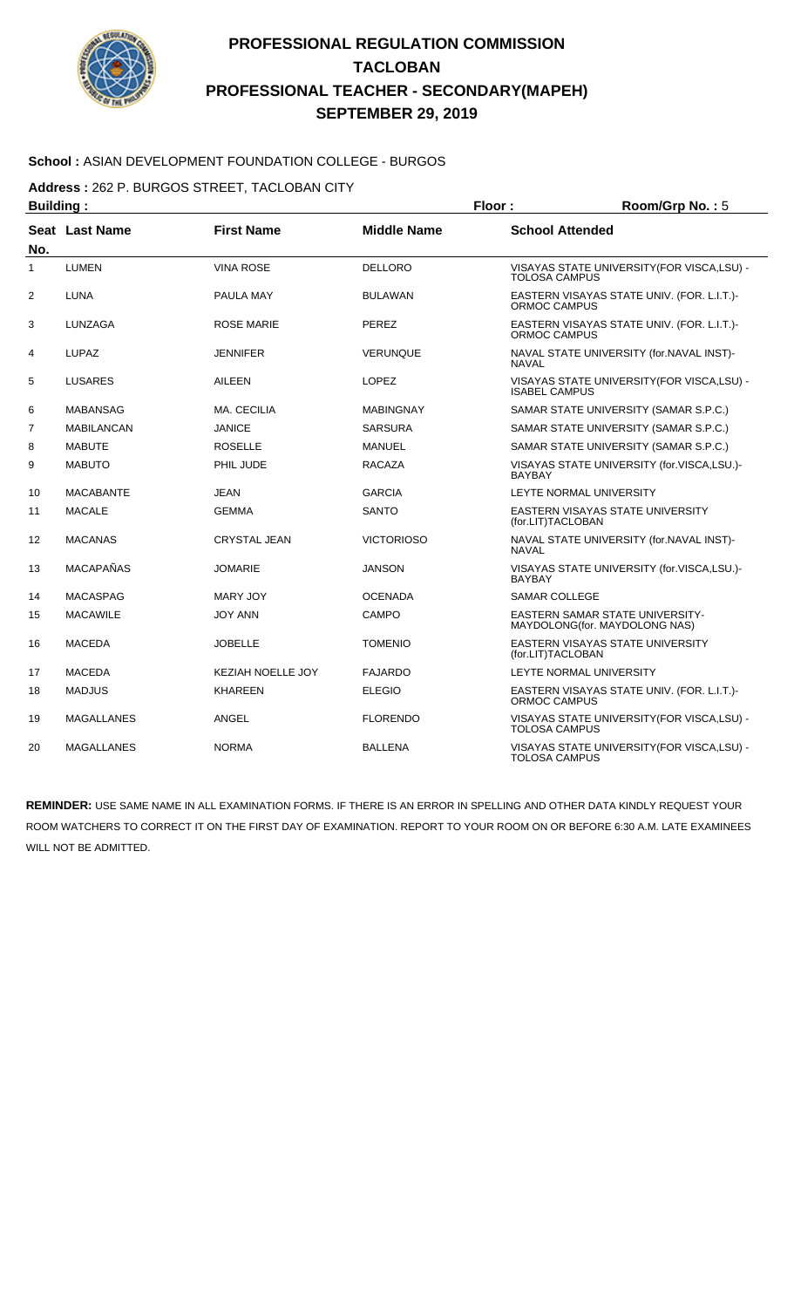

#### **School :** ASIAN DEVELOPMENT FOUNDATION COLLEGE - BURGOS

**Address :** 262 P. BURGOS STREET, TACLOBAN CITY

| <b>Building:</b> |                   |                          |                    | Floor:                 | Room/Grp No.: 5                                                  |
|------------------|-------------------|--------------------------|--------------------|------------------------|------------------------------------------------------------------|
| No.              | Seat Last Name    | <b>First Name</b>        | <b>Middle Name</b> | <b>School Attended</b> |                                                                  |
| $\mathbf{1}$     | LUMEN             | <b>VINA ROSE</b>         | <b>DELLORO</b>     | TOLOSA CAMPUS          | VISAYAS STATE UNIVERSITY (FOR VISCA, LSU) -                      |
| $\overline{2}$   | <b>LUNA</b>       | PAULA MAY                | <b>BULAWAN</b>     | ORMOC CAMPUS           | EASTERN VISAYAS STATE UNIV. (FOR. L.I.T.)-                       |
| 3                | LUNZAGA           | <b>ROSE MARIE</b>        | PEREZ              | ORMOC CAMPUS           | EASTERN VISAYAS STATE UNIV. (FOR. L.I.T.)-                       |
| 4                | LUPAZ             | <b>JENNIFER</b>          | <b>VERUNQUE</b>    | <b>NAVAL</b>           | NAVAL STATE UNIVERSITY (for.NAVAL INST)-                         |
| 5                | <b>LUSARES</b>    | <b>AILEEN</b>            | <b>LOPEZ</b>       | <b>ISABEL CAMPUS</b>   | VISAYAS STATE UNIVERSITY (FOR VISCA, LSU) -                      |
| 6                | <b>MABANSAG</b>   | MA. CECILIA              | <b>MABINGNAY</b>   |                        | SAMAR STATE UNIVERSITY (SAMAR S.P.C.)                            |
| $\overline{7}$   | <b>MABILANCAN</b> | <b>JANICE</b>            | <b>SARSURA</b>     |                        | SAMAR STATE UNIVERSITY (SAMAR S.P.C.)                            |
| 8                | <b>MABUTE</b>     | <b>ROSELLE</b>           | <b>MANUEL</b>      |                        | SAMAR STATE UNIVERSITY (SAMAR S.P.C.)                            |
| 9                | <b>MABUTO</b>     | PHIL JUDE                | <b>RACAZA</b>      | <b>BAYBAY</b>          | VISAYAS STATE UNIVERSITY (for.VISCA,LSU.)-                       |
| 10               | <b>MACABANTE</b>  | <b>JEAN</b>              | <b>GARCIA</b>      |                        | LEYTE NORMAL UNIVERSITY                                          |
| 11               | <b>MACALE</b>     | <b>GEMMA</b>             | SANTO              | (for.LIT)TACLOBAN      | EASTERN VISAYAS STATE UNIVERSITY                                 |
| 12               | <b>MACANAS</b>    | <b>CRYSTAL JEAN</b>      | <b>VICTORIOSO</b>  | <b>NAVAL</b>           | NAVAL STATE UNIVERSITY (for.NAVAL INST)-                         |
| 13               | <b>MACAPAÑAS</b>  | JOMARIE                  | <b>JANSON</b>      | <b>BAYBAY</b>          | VISAYAS STATE UNIVERSITY (for.VISCA,LSU.)-                       |
| 14               | <b>MACASPAG</b>   | <b>MARY JOY</b>          | <b>OCENADA</b>     | SAMAR COLLEGE          |                                                                  |
| 15               | <b>MACAWILE</b>   | <b>JOY ANN</b>           | CAMPO              |                        | EASTERN SAMAR STATE UNIVERSITY-<br>MAYDOLONG(for. MAYDOLONG NAS) |
| 16               | <b>MACEDA</b>     | JOBELLE                  | TOMENIO            | (for.LIT)TACLOBAN      | <b>EASTERN VISAYAS STATE UNIVERSITY</b>                          |
| 17               | <b>MACEDA</b>     | <b>KEZIAH NOELLE JOY</b> | <b>FAJARDO</b>     |                        | LEYTE NORMAL UNIVERSITY                                          |
| 18               | <b>MADJUS</b>     | <b>KHAREEN</b>           | <b>ELEGIO</b>      | ORMOC CAMPUS           | EASTERN VISAYAS STATE UNIV. (FOR. L.I.T.)-                       |
| 19               | <b>MAGALLANES</b> | ANGEL                    | <b>FLORENDO</b>    | <b>TOLOSA CAMPUS</b>   | VISAYAS STATE UNIVERSITY (FOR VISCA, LSU) -                      |
| 20               | <b>MAGALLANES</b> | <b>NORMA</b>             | <b>BALLENA</b>     | <b>TOLOSA CAMPUS</b>   | VISAYAS STATE UNIVERSITY (FOR VISCA, LSU) -                      |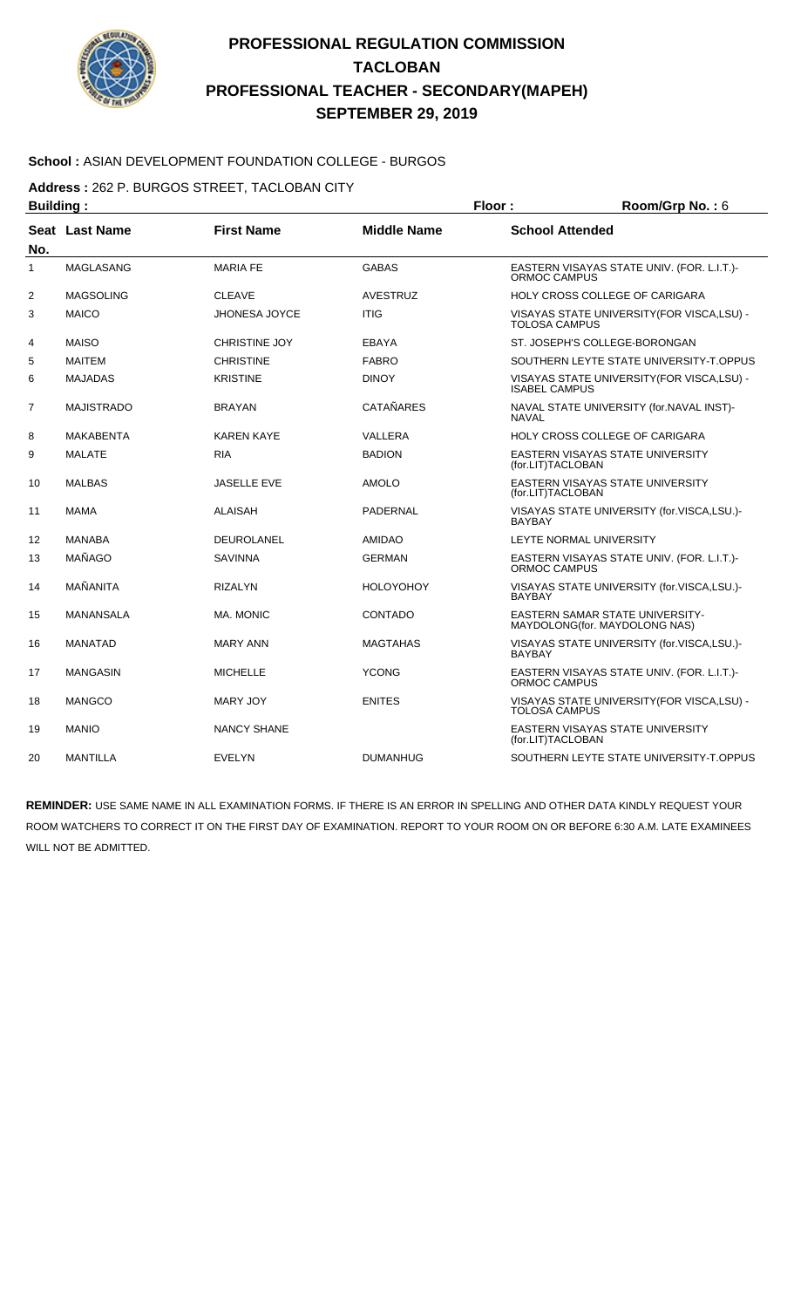

#### **School :** ASIAN DEVELOPMENT FOUNDATION COLLEGE - BURGOS

**Address :** 262 P. BURGOS STREET, TACLOBAN CITY

| <b>Building:</b> |                       |                      | Floor:             | Room/Grp No.: 6                                                         |
|------------------|-----------------------|----------------------|--------------------|-------------------------------------------------------------------------|
| No.              | <b>Seat Last Name</b> | <b>First Name</b>    | <b>Middle Name</b> | <b>School Attended</b>                                                  |
| $\mathbf{1}$     | MAGLASANG             | <b>MARIA FE</b>      | <b>GABAS</b>       | EASTERN VISAYAS STATE UNIV. (FOR. L.I.T.)-<br><b>ORMOC CAMPUS</b>       |
| 2                | <b>MAGSOLING</b>      | <b>CLEAVE</b>        | <b>AVESTRUZ</b>    | <b>HOLY CROSS COLLEGE OF CARIGARA</b>                                   |
| 3                | <b>MAICO</b>          | <b>JHONESA JOYCE</b> | <b>ITIG</b>        | VISAYAS STATE UNIVERSITY (FOR VISCA, LSU) -<br><b>TOLOSA CAMPUS</b>     |
| 4                | <b>MAISO</b>          | <b>CHRISTINE JOY</b> | EBAYA              | ST. JOSEPH'S COLLEGE-BORONGAN                                           |
| 5                | <b>MAITEM</b>         | <b>CHRISTINE</b>     | <b>FABRO</b>       | SOUTHERN LEYTE STATE UNIVERSITY-T.OPPUS                                 |
| 6                | <b>MAJADAS</b>        | <b>KRISTINE</b>      | <b>DINOY</b>       | VISAYAS STATE UNIVERSITY (FOR VISCA, LSU) -<br><b>ISABEL CAMPUS</b>     |
| $\overline{7}$   | <b>MAJISTRADO</b>     | <b>BRAYAN</b>        | <b>CATAÑARES</b>   | NAVAL STATE UNIVERSITY (for.NAVAL INST)-<br><b>NAVAL</b>                |
| 8                | <b>MAKABENTA</b>      | <b>KAREN KAYE</b>    | VALLERA            | <b>HOLY CROSS COLLEGE OF CARIGARA</b>                                   |
| 9                | <b>MALATE</b>         | <b>RIA</b>           | <b>BADION</b>      | EASTERN VISAYAS STATE UNIVERSITY<br>(for.LIT)TACLOBAN                   |
| 10               | <b>MALBAS</b>         | <b>JASELLE EVE</b>   | <b>AMOLO</b>       | EASTERN VISAYAS STATE UNIVERSITY<br>(for.LIT)TACLOBAN                   |
| 11               | MAMA                  | <b>ALAISAH</b>       | PADERNAL           | VISAYAS STATE UNIVERSITY (for.VISCA,LSU.)-<br><b>BAYBAY</b>             |
| 12               | <b>MANABA</b>         | <b>DEUROLANEL</b>    | <b>AMIDAO</b>      | LEYTE NORMAL UNIVERSITY                                                 |
| 13               | MAÑAGO                | <b>SAVINNA</b>       | <b>GERMAN</b>      | EASTERN VISAYAS STATE UNIV. (FOR. L.I.T.)-<br><b>ORMOC CAMPUS</b>       |
| 14               | MAÑANITA              | <b>RIZALYN</b>       | <b>HOLOYOHOY</b>   | VISAYAS STATE UNIVERSITY (for.VISCA,LSU.)-<br><b>BAYBAY</b>             |
| 15               | <b>MANANSALA</b>      | MA. MONIC            | <b>CONTADO</b>     | <b>EASTERN SAMAR STATE UNIVERSITY-</b><br>MAYDOLONG(for. MAYDOLONG NAS) |
| 16               | <b>MANATAD</b>        | <b>MARY ANN</b>      | MAGTAHAS           | VISAYAS STATE UNIVERSITY (for.VISCA,LSU.)-<br><b>BAYBAY</b>             |
| 17               | <b>MANGASIN</b>       | <b>MICHELLE</b>      | <b>YCONG</b>       | EASTERN VISAYAS STATE UNIV. (FOR. L.I.T.)-<br>ORMOC CAMPUS              |
| 18               | <b>MANGCO</b>         | <b>MARY JOY</b>      | <b>ENITES</b>      | VISAYAS STATE UNIVERSITY (FOR VISCA, LSU) -<br><b>TOLOSA CAMPUS</b>     |
| 19               | <b>MANIO</b>          | NANCY SHANE          |                    | EASTERN VISAYAS STATE UNIVERSITY<br>(for.LIT)TACLOBAN                   |
| 20               | <b>MANTILLA</b>       | <b>EVELYN</b>        | <b>DUMANHUG</b>    | SOUTHERN LEYTE STATE UNIVERSITY-T.OPPUS                                 |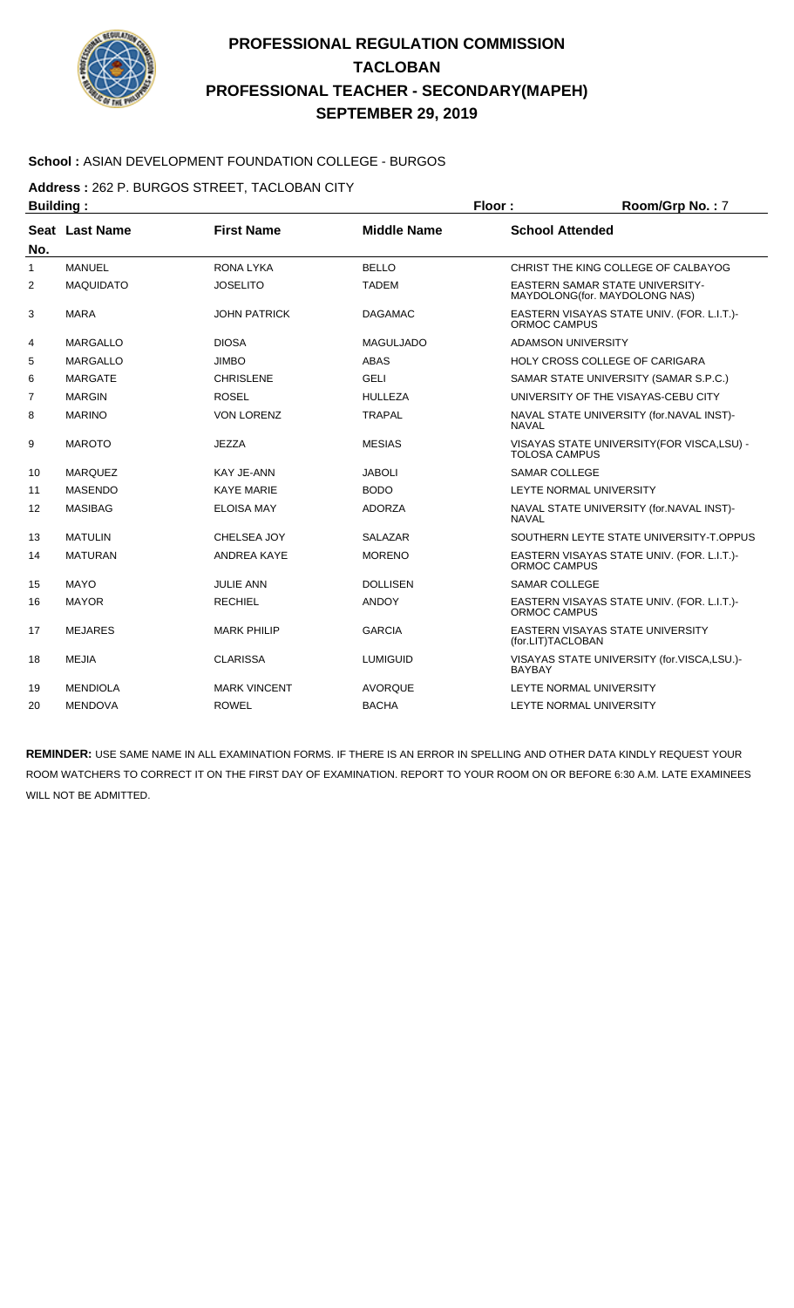

#### **School :** ASIAN DEVELOPMENT FOUNDATION COLLEGE - BURGOS

**Address :** 262 P. BURGOS STREET, TACLOBAN CITY

| <b>Building:</b> |                  |                     |                    | Floor:                                                   | Room/Grp No.: 7                                                         |
|------------------|------------------|---------------------|--------------------|----------------------------------------------------------|-------------------------------------------------------------------------|
| No.              | Seat Last Name   | <b>First Name</b>   | <b>Middle Name</b> | <b>School Attended</b>                                   |                                                                         |
| 1                | <b>MANUEL</b>    | <b>RONA LYKA</b>    | <b>BELLO</b>       |                                                          | CHRIST THE KING COLLEGE OF CALBAYOG                                     |
| $\overline{2}$   | <b>MAQUIDATO</b> | <b>JOSELITO</b>     | <b>TADEM</b>       |                                                          | <b>EASTERN SAMAR STATE UNIVERSITY-</b><br>MAYDOLONG(for. MAYDOLONG NAS) |
| 3                | <b>MARA</b>      | <b>JOHN PATRICK</b> | <b>DAGAMAC</b>     | ORMOC CAMPUS                                             | EASTERN VISAYAS STATE UNIV. (FOR. L.I.T.)-                              |
| 4                | <b>MARGALLO</b>  | <b>DIOSA</b>        | <b>MAGULJADO</b>   |                                                          | <b>ADAMSON UNIVERSITY</b>                                               |
| 5                | <b>MARGALLO</b>  | <b>JIMBO</b>        | <b>ABAS</b>        |                                                          | HOLY CROSS COLLEGE OF CARIGARA                                          |
| 6                | <b>MARGATE</b>   | <b>CHRISLENE</b>    | <b>GELI</b>        |                                                          | SAMAR STATE UNIVERSITY (SAMAR S.P.C.)                                   |
| $\overline{7}$   | <b>MARGIN</b>    | <b>ROSEL</b>        | <b>HULLEZA</b>     |                                                          | UNIVERSITY OF THE VISAYAS-CEBU CITY                                     |
| 8                | <b>MARINO</b>    | <b>VON LORENZ</b>   | <b>TRAPAL</b>      | NAVAL STATE UNIVERSITY (for.NAVAL INST)-<br><b>NAVAL</b> |                                                                         |
| 9                | <b>MAROTO</b>    | <b>JEZZA</b>        | <b>MESIAS</b>      | <b>TOLOSA CAMPUS</b>                                     | VISAYAS STATE UNIVERSITY (FOR VISCA, LSU) -                             |
| 10               | <b>MARQUEZ</b>   | KAY JE-ANN          | <b>JABOLI</b>      | <b>SAMAR COLLEGE</b>                                     |                                                                         |
| 11               | <b>MASENDO</b>   | <b>KAYE MARIE</b>   | <b>BODO</b>        |                                                          | LEYTE NORMAL UNIVERSITY                                                 |
| 12               | <b>MASIBAG</b>   | <b>ELOISA MAY</b>   | <b>ADORZA</b>      | <b>NAVAL</b>                                             | NAVAL STATE UNIVERSITY (for.NAVAL INST)-                                |
| 13               | <b>MATULIN</b>   | CHELSEA JOY         | <b>SALAZAR</b>     |                                                          | SOUTHERN LEYTE STATE UNIVERSITY-T.OPPUS                                 |
| 14               | <b>MATURAN</b>   | <b>ANDREA KAYE</b>  | <b>MORENO</b>      | <b>ORMOC CAMPUS</b>                                      | EASTERN VISAYAS STATE UNIV. (FOR. L.I.T.)-                              |
| 15               | <b>MAYO</b>      | <b>JULIE ANN</b>    | <b>DOLLISEN</b>    | <b>SAMAR COLLEGE</b>                                     |                                                                         |
| 16               | <b>MAYOR</b>     | <b>RECHIEL</b>      | <b>ANDOY</b>       | ORMOC CAMPUS                                             | EASTERN VISAYAS STATE UNIV. (FOR. L.I.T.)-                              |
| 17               | <b>MEJARES</b>   | <b>MARK PHILIP</b>  | <b>GARCIA</b>      | (for.LIT)TACLOBAN                                        | EASTERN VISAYAS STATE UNIVERSITY                                        |
| 18               | <b>MEJIA</b>     | <b>CLARISSA</b>     | <b>LUMIGUID</b>    | <b>BAYBAY</b>                                            | VISAYAS STATE UNIVERSITY (for.VISCA,LSU.)-                              |
| 19               | <b>MENDIOLA</b>  | <b>MARK VINCENT</b> | <b>AVORQUE</b>     |                                                          | LEYTE NORMAL UNIVERSITY                                                 |
| 20               | <b>MENDOVA</b>   | <b>ROWEL</b>        | <b>BACHA</b>       |                                                          | LEYTE NORMAL UNIVERSITY                                                 |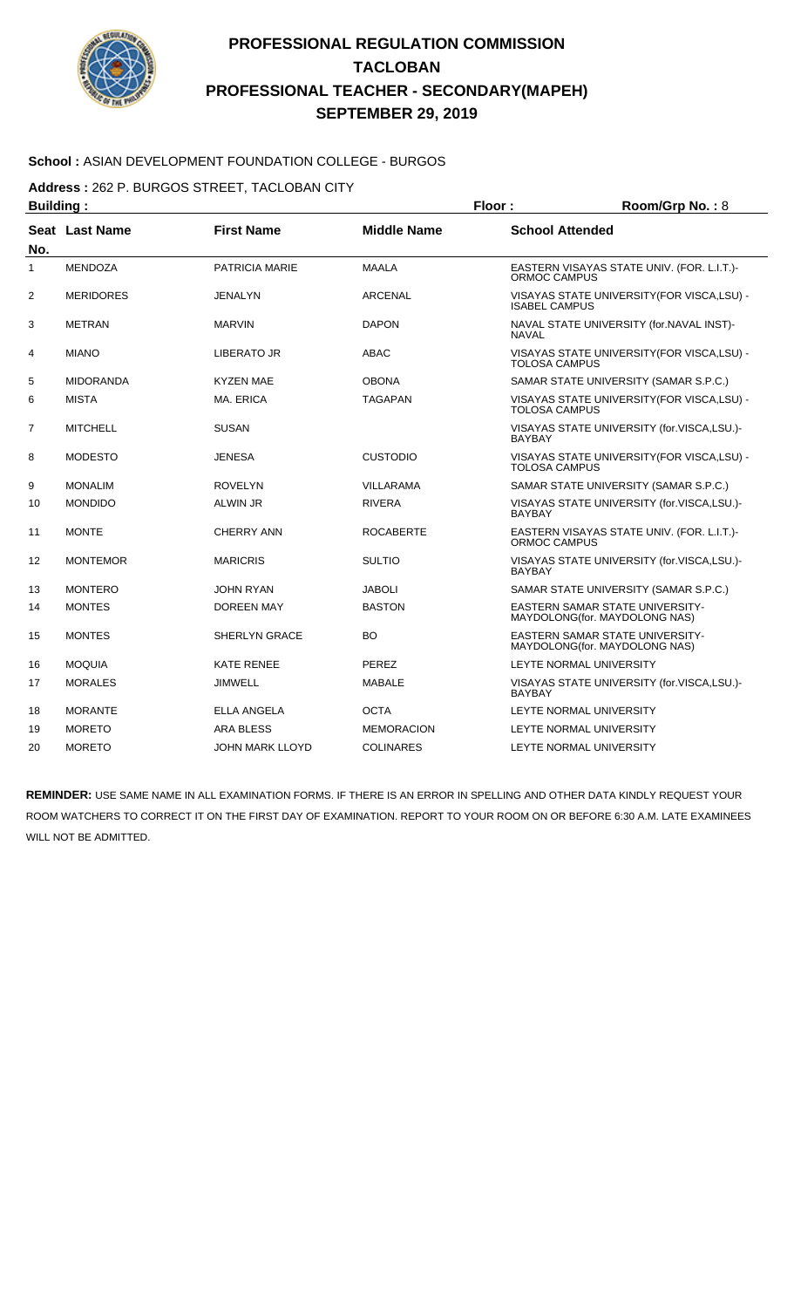

#### **School :** ASIAN DEVELOPMENT FOUNDATION COLLEGE - BURGOS

**Address :** 262 P. BURGOS STREET, TACLOBAN CITY

| <b>Building:</b>  |                  |                       |                    | Floor:                 | Room/Grp No.: 8                                                         |
|-------------------|------------------|-----------------------|--------------------|------------------------|-------------------------------------------------------------------------|
| No.               | Seat Last Name   | <b>First Name</b>     | <b>Middle Name</b> | <b>School Attended</b> |                                                                         |
| 1                 | <b>MENDOZA</b>   | <b>PATRICIA MARIE</b> | <b>MAALA</b>       | <b>ORMOC CAMPUS</b>    | EASTERN VISAYAS STATE UNIV. (FOR. L.I.T.)-                              |
| $\overline{2}$    | <b>MERIDORES</b> | JENALYN               | <b>ARCENAL</b>     | <b>ISABEL CAMPUS</b>   | VISAYAS STATE UNIVERSITY (FOR VISCA, LSU) -                             |
| 3                 | <b>METRAN</b>    | <b>MARVIN</b>         | <b>DAPON</b>       | <b>NAVAL</b>           | NAVAL STATE UNIVERSITY (for.NAVAL INST)-                                |
| 4                 | <b>MIANO</b>     | LIBERATO JR           | ABAC               | <b>TOLOSA CAMPUS</b>   | VISAYAS STATE UNIVERSITY (FOR VISCA, LSU) -                             |
| 5                 | <b>MIDORANDA</b> | <b>KYZEN MAE</b>      | <b>OBONA</b>       |                        | SAMAR STATE UNIVERSITY (SAMAR S.P.C.)                                   |
| 6                 | <b>MISTA</b>     | MA. ERICA             | <b>TAGAPAN</b>     | <b>TOLOSA CAMPUS</b>   | VISAYAS STATE UNIVERSITY (FOR VISCA, LSU) -                             |
| 7                 | <b>MITCHELL</b>  | <b>SUSAN</b>          |                    | <b>BAYBAY</b>          | VISAYAS STATE UNIVERSITY (for.VISCA,LSU.)-                              |
| 8                 | <b>MODESTO</b>   | <b>JENESA</b>         | <b>CUSTODIO</b>    | <b>TOLOSA CAMPUS</b>   | VISAYAS STATE UNIVERSITY (FOR VISCA, LSU) -                             |
| 9                 | <b>MONALIM</b>   | <b>ROVELYN</b>        | <b>VILLARAMA</b>   |                        | SAMAR STATE UNIVERSITY (SAMAR S.P.C.)                                   |
| 10                | <b>MONDIDO</b>   | <b>ALWIN JR</b>       | <b>RIVERA</b>      | <b>BAYBAY</b>          | VISAYAS STATE UNIVERSITY (for.VISCA,LSU.)-                              |
| 11                | <b>MONTE</b>     | <b>CHERRY ANN</b>     | <b>ROCABERTE</b>   | <b>ORMOC CAMPUS</b>    | EASTERN VISAYAS STATE UNIV. (FOR. L.I.T.)-                              |
| $12 \overline{ }$ | <b>MONTEMOR</b>  | <b>MARICRIS</b>       | <b>SULTIO</b>      | <b>BAYBAY</b>          | VISAYAS STATE UNIVERSITY (for.VISCA,LSU.)-                              |
| 13                | <b>MONTERO</b>   | <b>JOHN RYAN</b>      | <b>JABOLI</b>      |                        | SAMAR STATE UNIVERSITY (SAMAR S.P.C.)                                   |
| 14                | <b>MONTES</b>    | <b>DOREEN MAY</b>     | <b>BASTON</b>      |                        | EASTERN SAMAR STATE UNIVERSITY-<br>MAYDOLONG(for. MAYDOLONG NAS)        |
| 15                | <b>MONTES</b>    | <b>SHERLYN GRACE</b>  | <b>BO</b>          |                        | <b>EASTERN SAMAR STATE UNIVERSITY-</b><br>MAYDOLONG(for. MAYDOLONG NAS) |
| 16                | <b>MOQUIA</b>    | <b>KATE RENEE</b>     | <b>PEREZ</b>       |                        | LEYTE NORMAL UNIVERSITY                                                 |
| 17                | <b>MORALES</b>   | <b>JIMWELL</b>        | <b>MABALE</b>      | <b>BAYBAY</b>          | VISAYAS STATE UNIVERSITY (for.VISCA,LSU.)-                              |
| 18                | <b>MORANTE</b>   | <b>ELLA ANGELA</b>    | <b>OCTA</b>        |                        | LEYTE NORMAL UNIVERSITY                                                 |
| 19                | <b>MORETO</b>    | ARA BLESS             | <b>MEMORACION</b>  |                        | LEYTE NORMAL UNIVERSITY                                                 |
| 20                | <b>MORETO</b>    | JOHN MARK LLOYD       | <b>COLINARES</b>   |                        | LEYTE NORMAL UNIVERSITY                                                 |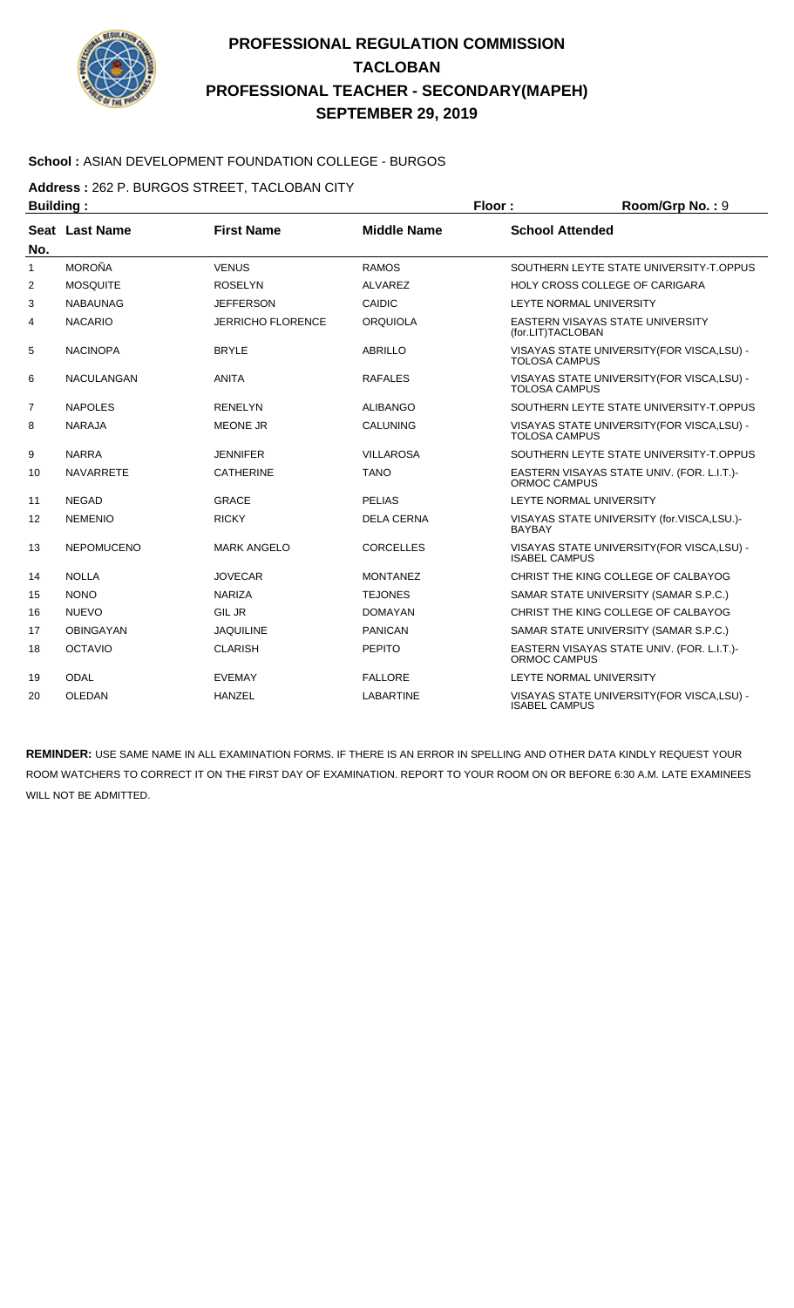

#### **School :** ASIAN DEVELOPMENT FOUNDATION COLLEGE - BURGOS

**Address :** 262 P. BURGOS STREET, TACLOBAN CITY

| <b>Building:</b> |                   |                          | Floor:<br>Room/Grp No.: 9 |                        |                                             |
|------------------|-------------------|--------------------------|---------------------------|------------------------|---------------------------------------------|
| No.              | Seat Last Name    | <b>First Name</b>        | <b>Middle Name</b>        | <b>School Attended</b> |                                             |
| 1                | <b>MOROÑA</b>     | <b>VENUS</b>             | <b>RAMOS</b>              |                        | SOUTHERN LEYTE STATE UNIVERSITY-T.OPPUS     |
| $\overline{2}$   | <b>MOSQUITE</b>   | <b>ROSELYN</b>           | <b>ALVAREZ</b>            |                        | HOLY CROSS COLLEGE OF CARIGARA              |
| 3                | <b>NABAUNAG</b>   | <b>JEFFERSON</b>         | <b>CAIDIC</b>             |                        | LEYTE NORMAL UNIVERSITY                     |
| 4                | <b>NACARIO</b>    | <b>JERRICHO FLORENCE</b> | <b>ORQUIOLA</b>           | (for.LIT)TACLOBAN      | <b>EASTERN VISAYAS STATE UNIVERSITY</b>     |
| 5                | <b>NACINOPA</b>   | <b>BRYLE</b>             | <b>ABRILLO</b>            | <b>TOLOSA CAMPUS</b>   | VISAYAS STATE UNIVERSITY(FOR VISCA,LSU) -   |
| 6                | <b>NACULANGAN</b> | <b>ANITA</b>             | <b>RAFALES</b>            | <b>TOLOSA CAMPUS</b>   | VISAYAS STATE UNIVERSITY (FOR VISCA, LSU) - |
| 7                | <b>NAPOLES</b>    | <b>RENELYN</b>           | <b>ALIBANGO</b>           |                        | SOUTHERN LEYTE STATE UNIVERSITY-T.OPPUS     |
| 8                | <b>NARAJA</b>     | <b>MEONE JR</b>          | <b>CALUNING</b>           | <b>TOLOSA CAMPUS</b>   | VISAYAS STATE UNIVERSITY (FOR VISCA, LSU) - |
| 9                | <b>NARRA</b>      | <b>JENNIFER</b>          | <b>VILLAROSA</b>          |                        | SOUTHERN LEYTE STATE UNIVERSITY-T.OPPUS     |
| 10               | <b>NAVARRETE</b>  | <b>CATHERINE</b>         | <b>TANO</b>               | ORMOC CAMPUS           | EASTERN VISAYAS STATE UNIV. (FOR. L.I.T.)-  |
| 11               | <b>NEGAD</b>      | <b>GRACE</b>             | <b>PELIAS</b>             |                        | LEYTE NORMAL UNIVERSITY                     |
| 12               | <b>NEMENIO</b>    | <b>RICKY</b>             | <b>DELA CERNA</b>         | <b>BAYBAY</b>          | VISAYAS STATE UNIVERSITY (for.VISCA,LSU.)-  |
| 13               | <b>NEPOMUCENO</b> | <b>MARK ANGELO</b>       | <b>CORCELLES</b>          | <b>ISABEL CAMPUS</b>   | VISAYAS STATE UNIVERSITY (FOR VISCA, LSU) - |
| 14               | <b>NOLLA</b>      | <b>JOVECAR</b>           | <b>MONTANEZ</b>           |                        | CHRIST THE KING COLLEGE OF CALBAYOG         |
| 15               | <b>NONO</b>       | <b>NARIZA</b>            | <b>TEJONES</b>            |                        | SAMAR STATE UNIVERSITY (SAMAR S.P.C.)       |
| 16               | <b>NUEVO</b>      | <b>GIL JR</b>            | <b>DOMAYAN</b>            |                        | CHRIST THE KING COLLEGE OF CALBAYOG         |
| 17               | <b>OBINGAYAN</b>  | <b>JAQUILINE</b>         | <b>PANICAN</b>            |                        | SAMAR STATE UNIVERSITY (SAMAR S.P.C.)       |
| 18               | <b>OCTAVIO</b>    | <b>CLARISH</b>           | <b>PEPITO</b>             | <b>ORMOC CAMPUS</b>    | EASTERN VISAYAS STATE UNIV. (FOR. L.I.T.)-  |
| 19               | <b>ODAL</b>       | <b>EVEMAY</b>            | <b>FALLORE</b>            |                        | LEYTE NORMAL UNIVERSITY                     |
| 20               | OLEDAN            | <b>HANZEL</b>            | <b>LABARTINE</b>          | <b>ISABEL CAMPUS</b>   | VISAYAS STATE UNIVERSITY (FOR VISCA, LSU) - |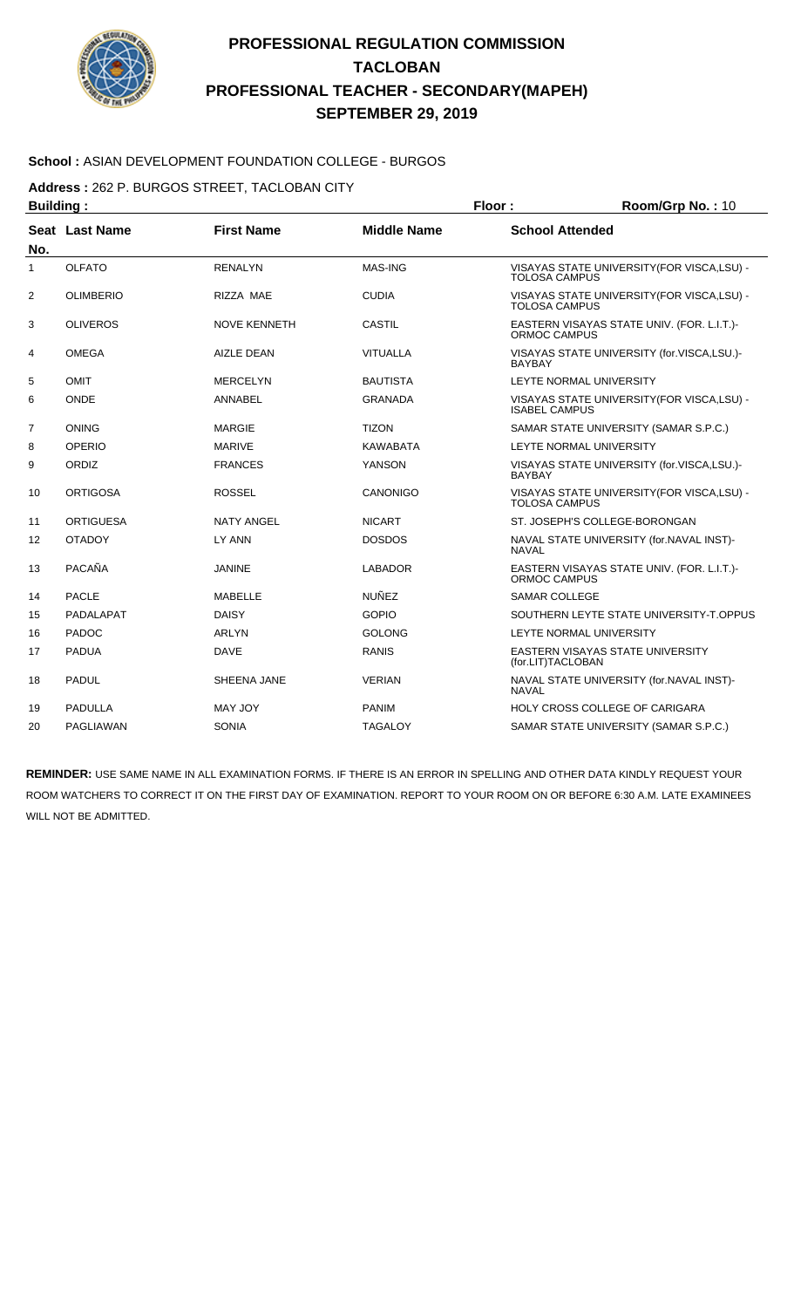

#### **School :** ASIAN DEVELOPMENT FOUNDATION COLLEGE - BURGOS

**Address :** 262 P. BURGOS STREET, TACLOBAN CITY

| <b>Building:</b> |                  |                     |                    | Floor:<br>Room/Grp No.: 10                                  |                                             |
|------------------|------------------|---------------------|--------------------|-------------------------------------------------------------|---------------------------------------------|
| No.              | Seat Last Name   | <b>First Name</b>   | <b>Middle Name</b> | <b>School Attended</b>                                      |                                             |
| 1                | <b>OLFATO</b>    | <b>RENALYN</b>      | MAS-ING            | <b>TOLOSA CAMPUS</b>                                        | VISAYAS STATE UNIVERSITY (FOR VISCA, LSU) - |
| $\overline{2}$   | <b>OLIMBERIO</b> | RIZZA MAE           | <b>CUDIA</b>       | <b>TOLOSA CAMPUS</b>                                        | VISAYAS STATE UNIVERSITY (FOR VISCA, LSU) - |
| 3                | <b>OLIVEROS</b>  | <b>NOVE KENNETH</b> | <b>CASTIL</b>      | <b>ORMOC CAMPUS</b>                                         | EASTERN VISAYAS STATE UNIV. (FOR. L.I.T.)-  |
| 4                | <b>OMEGA</b>     | <b>AIZLE DEAN</b>   | <b>VITUALLA</b>    | <b>BAYBAY</b>                                               | VISAYAS STATE UNIVERSITY (for.VISCA,LSU.)-  |
| 5                | <b>OMIT</b>      | <b>MERCELYN</b>     | <b>BAUTISTA</b>    |                                                             | LEYTE NORMAL UNIVERSITY                     |
| 6                | <b>ONDE</b>      | ANNABEL             | <b>GRANADA</b>     | <b>ISABEL CAMPUS</b>                                        | VISAYAS STATE UNIVERSITY (FOR VISCA, LSU) - |
| $\overline{7}$   | <b>ONING</b>     | <b>MARGIE</b>       | <b>TIZON</b>       |                                                             | SAMAR STATE UNIVERSITY (SAMAR S.P.C.)       |
| 8                | <b>OPERIO</b>    | <b>MARIVE</b>       | <b>KAWABATA</b>    |                                                             | LEYTE NORMAL UNIVERSITY                     |
| 9                | ORDIZ            | <b>FRANCES</b>      | <b>YANSON</b>      | VISAYAS STATE UNIVERSITY (for.VISCA,LSU.)-<br><b>BAYBAY</b> |                                             |
| 10               | <b>ORTIGOSA</b>  | <b>ROSSEL</b>       | <b>CANONIGO</b>    | <b>TOLOSA CAMPUS</b>                                        | VISAYAS STATE UNIVERSITY (FOR VISCA, LSU) - |
| 11               | <b>ORTIGUESA</b> | <b>NATY ANGEL</b>   | <b>NICART</b>      |                                                             | ST. JOSEPH'S COLLEGE-BORONGAN               |
| 12               | <b>OTADOY</b>    | LY ANN              | <b>DOSDOS</b>      | <b>NAVAL</b>                                                | NAVAL STATE UNIVERSITY (for.NAVAL INST)-    |
| 13               | <b>PACAÑA</b>    | <b>JANINE</b>       | <b>LABADOR</b>     | ORMOC CAMPUS                                                | EASTERN VISAYAS STATE UNIV. (FOR. L.I.T.)-  |
| 14               | <b>PACLE</b>     | MABELLE             | NUÑFZ              | <b>SAMAR COLLEGE</b>                                        |                                             |
| 15               | PADALAPAT        | <b>DAISY</b>        | <b>GOPIO</b>       |                                                             | SOUTHERN LEYTE STATE UNIVERSITY-T.OPPUS     |
| 16               | <b>PADOC</b>     | <b>ARLYN</b>        | <b>GOLONG</b>      |                                                             | LEYTE NORMAL UNIVERSITY                     |
| 17               | <b>PADUA</b>     | <b>DAVE</b>         | <b>RANIS</b>       | (for.LIT)TACLOBAN                                           | EASTERN VISAYAS STATE UNIVERSITY            |
| 18               | <b>PADUL</b>     | SHEENA JANE         | <b>VERIAN</b>      | <b>NAVAL</b>                                                | NAVAL STATE UNIVERSITY (for.NAVAL INST)-    |
| 19               | <b>PADULLA</b>   | <b>MAY JOY</b>      | <b>PANIM</b>       |                                                             | HOLY CROSS COLLEGE OF CARIGARA              |
| 20               | <b>PAGLIAWAN</b> | <b>SONIA</b>        | <b>TAGALOY</b>     |                                                             | SAMAR STATE UNIVERSITY (SAMAR S.P.C.)       |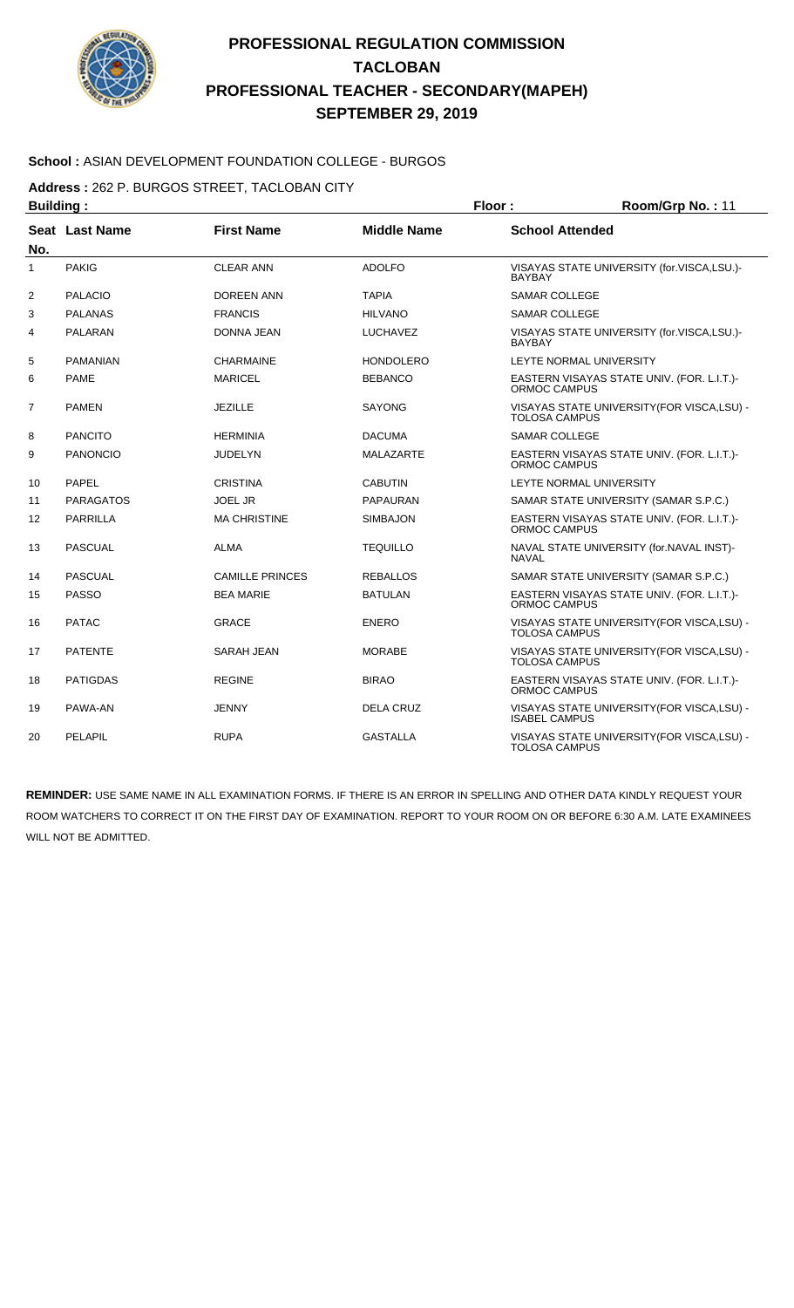

#### **School :** ASIAN DEVELOPMENT FOUNDATION COLLEGE - BURGOS

**Address :** 262 P. BURGOS STREET, TACLOBAN CITY

| <b>Building:</b> |                  |                        |                    | Floor:                 | Room/Grp No.: 11                            |
|------------------|------------------|------------------------|--------------------|------------------------|---------------------------------------------|
| No.              | Seat Last Name   | <b>First Name</b>      | <b>Middle Name</b> | <b>School Attended</b> |                                             |
| 1                | <b>PAKIG</b>     | <b>CLEAR ANN</b>       | <b>ADOLFO</b>      | <b>BAYBAY</b>          | VISAYAS STATE UNIVERSITY (for.VISCA,LSU.)-  |
| $\overline{2}$   | <b>PALACIO</b>   | <b>DOREEN ANN</b>      | <b>TAPIA</b>       | <b>SAMAR COLLEGE</b>   |                                             |
| 3                | <b>PALANAS</b>   | <b>FRANCIS</b>         | <b>HILVANO</b>     | <b>SAMAR COLLEGE</b>   |                                             |
| 4                | PALARAN          | <b>DONNA JEAN</b>      | <b>LUCHAVEZ</b>    | <b>BAYBAY</b>          | VISAYAS STATE UNIVERSITY (for.VISCA,LSU.)-  |
| 5                | <b>PAMANIAN</b>  | <b>CHARMAINE</b>       | <b>HONDOLERO</b>   |                        | LEYTE NORMAL UNIVERSITY                     |
| 6                | <b>PAME</b>      | <b>MARICEL</b>         | <b>BEBANCO</b>     | <b>ORMOC CAMPUS</b>    | EASTERN VISAYAS STATE UNIV. (FOR. L.I.T.)-  |
| 7                | <b>PAMEN</b>     | <b>JEZILLE</b>         | <b>SAYONG</b>      | <b>TOLOSA CAMPUS</b>   | VISAYAS STATE UNIVERSITY (FOR VISCA, LSU) - |
| 8                | <b>PANCITO</b>   | <b>HERMINIA</b>        | <b>DACUMA</b>      | <b>SAMAR COLLEGE</b>   |                                             |
| 9                | <b>PANONCIO</b>  | <b>JUDELYN</b>         | <b>MALAZARTE</b>   | <b>ORMOC CAMPUS</b>    | EASTERN VISAYAS STATE UNIV. (FOR. L.I.T.)-  |
| 10               | <b>PAPEL</b>     | <b>CRISTINA</b>        | <b>CABUTIN</b>     |                        | LEYTE NORMAL UNIVERSITY                     |
| 11               | <b>PARAGATOS</b> | <b>JOEL JR</b>         | <b>PAPAURAN</b>    |                        | SAMAR STATE UNIVERSITY (SAMAR S.P.C.)       |
| 12               | <b>PARRILLA</b>  | <b>MA CHRISTINE</b>    | <b>SIMBAJON</b>    | ORMOC CAMPUS           | EASTERN VISAYAS STATE UNIV. (FOR. L.I.T.)-  |
| 13               | <b>PASCUAL</b>   | <b>ALMA</b>            | <b>TEQUILLO</b>    | <b>NAVAL</b>           | NAVAL STATE UNIVERSITY (for.NAVAL INST)-    |
| 14               | PASCUAL          | <b>CAMILLE PRINCES</b> | <b>REBALLOS</b>    |                        | SAMAR STATE UNIVERSITY (SAMAR S.P.C.)       |
| 15               | <b>PASSO</b>     | <b>BEA MARIE</b>       | <b>BATULAN</b>     | ORMOC CAMPUS           | EASTERN VISAYAS STATE UNIV. (FOR. L.I.T.)-  |
| 16               | <b>PATAC</b>     | <b>GRACE</b>           | <b>ENERO</b>       | <b>TOLOSA CAMPUS</b>   | VISAYAS STATE UNIVERSITY (FOR VISCA, LSU) - |
| 17               | <b>PATENTE</b>   | SARAH JEAN             | <b>MORABE</b>      | <b>TOLOSA CAMPUS</b>   | VISAYAS STATE UNIVERSITY (FOR VISCA, LSU) - |
| 18               | <b>PATIGDAS</b>  | <b>REGINE</b>          | <b>BIRAO</b>       | ORMOC CAMPUS           | EASTERN VISAYAS STATE UNIV. (FOR. L.I.T.)-  |
| 19               | PAWA-AN          | <b>JENNY</b>           | <b>DELA CRUZ</b>   | <b>ISABEL CAMPUS</b>   | VISAYAS STATE UNIVERSITY (FOR VISCA, LSU) - |
| 20               | <b>PELAPIL</b>   | <b>RUPA</b>            | <b>GASTALLA</b>    | <b>TOLOSA CAMPUS</b>   | VISAYAS STATE UNIVERSITY (FOR VISCA, LSU) - |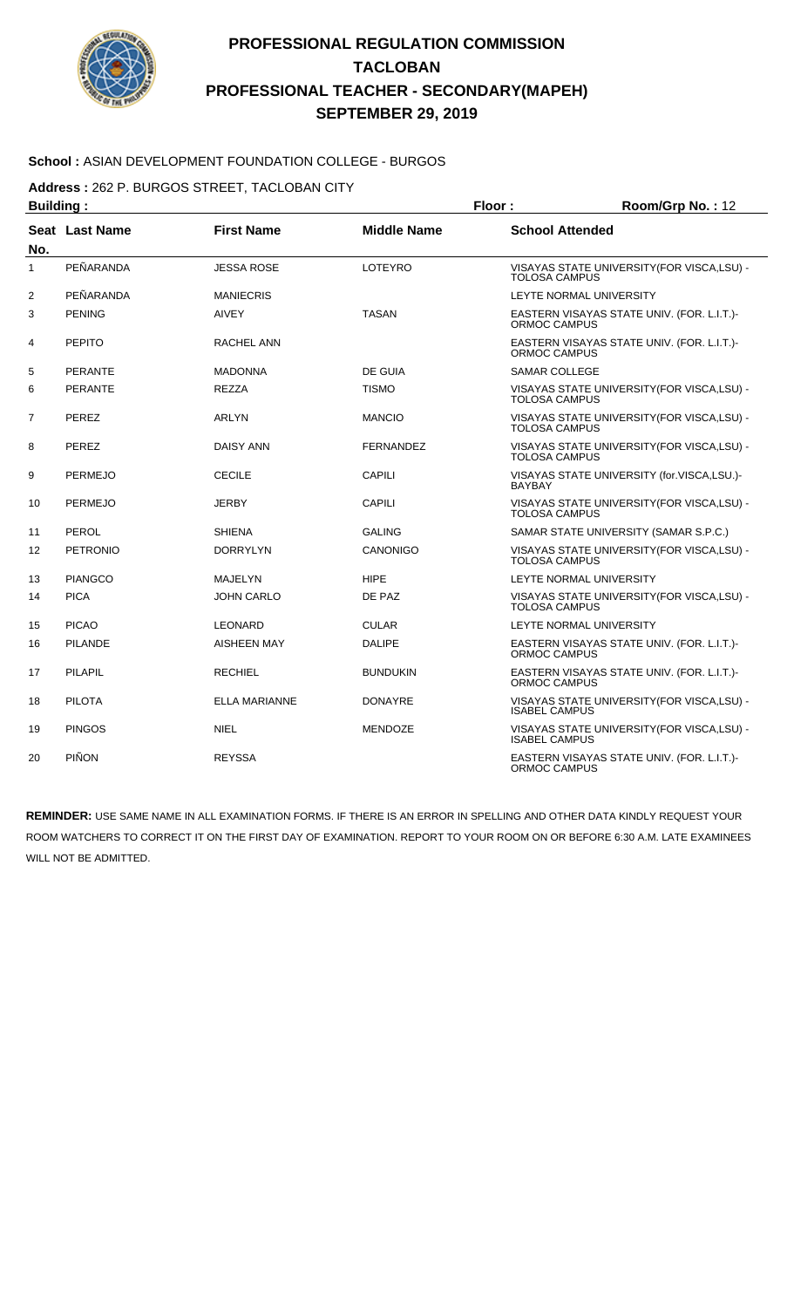

#### **School :** ASIAN DEVELOPMENT FOUNDATION COLLEGE - BURGOS

**Address :** 262 P. BURGOS STREET, TACLOBAN CITY

| <b>Building:</b> |                 |                      |                    | Floor:                                                      | Room/Grp No.: 12                            |
|------------------|-----------------|----------------------|--------------------|-------------------------------------------------------------|---------------------------------------------|
| No.              | Seat Last Name  | <b>First Name</b>    | <b>Middle Name</b> | <b>School Attended</b>                                      |                                             |
| 1                | PEÑARANDA       | <b>JESSA ROSE</b>    | LOTEYRO            | <b>TOLOSA CAMPUS</b>                                        | VISAYAS STATE UNIVERSITY (FOR VISCA, LSU) - |
| $\overline{2}$   | PEÑARANDA       | <b>MANIECRIS</b>     |                    | <b>LEYTE NORMAL UNIVERSITY</b>                              |                                             |
| 3                | <b>PENING</b>   | <b>AIVEY</b>         | <b>TASAN</b>       | ORMOC CAMPUS                                                | EASTERN VISAYAS STATE UNIV. (FOR. L.I.T.)-  |
| 4                | <b>PEPITO</b>   | RACHEL ANN           |                    | ORMOC CAMPUS                                                | EASTERN VISAYAS STATE UNIV. (FOR. L.I.T.)-  |
| 5                | <b>PERANTE</b>  | <b>MADONNA</b>       | DE GUIA            | <b>SAMAR COLLEGE</b>                                        |                                             |
| 6                | <b>PERANTE</b>  | <b>REZZA</b>         | <b>TISMO</b>       | <b>TOLOSA CAMPUS</b>                                        | VISAYAS STATE UNIVERSITY (FOR VISCA, LSU) - |
| $\overline{7}$   | <b>PEREZ</b>    | <b>ARLYN</b>         | <b>MANCIO</b>      | <b>TOLOSA CAMPUS</b>                                        | VISAYAS STATE UNIVERSITY (FOR VISCA, LSU) - |
| 8                | PEREZ           | <b>DAISY ANN</b>     | <b>FERNANDEZ</b>   | <b>TOLOSA CAMPUS</b>                                        | VISAYAS STATE UNIVERSITY (FOR VISCA, LSU) - |
| 9                | <b>PERMEJO</b>  | <b>CECILE</b>        | CAPILI             | VISAYAS STATE UNIVERSITY (for.VISCA,LSU.)-<br><b>BAYBAY</b> |                                             |
| 10               | <b>PERMEJO</b>  | <b>JERBY</b>         | CAPILI             | <b>TOLOSA CAMPUS</b>                                        | VISAYAS STATE UNIVERSITY (FOR VISCA, LSU) - |
| 11               | PEROL           | <b>SHIENA</b>        | <b>GALING</b>      |                                                             | SAMAR STATE UNIVERSITY (SAMAR S.P.C.)       |
| 12               | <b>PETRONIO</b> | <b>DORRYLYN</b>      | CANONIGO           | <b>TOLOSA CAMPUS</b>                                        | VISAYAS STATE UNIVERSITY (FOR VISCA, LSU) - |
| 13               | <b>PIANGCO</b>  | MAJELYN              | <b>HIPE</b>        | LEYTE NORMAL UNIVERSITY                                     |                                             |
| 14               | <b>PICA</b>     | <b>JOHN CARLO</b>    | DE PAZ             | <b>TOLOSA CAMPUS</b>                                        | VISAYAS STATE UNIVERSITY (FOR VISCA, LSU) - |
| 15               | <b>PICAO</b>    | <b>LEONARD</b>       | <b>CULAR</b>       | LEYTE NORMAL UNIVERSITY                                     |                                             |
| 16               | <b>PILANDE</b>  | <b>AISHEEN MAY</b>   | <b>DALIPE</b>      | ORMOC CAMPUS                                                | EASTERN VISAYAS STATE UNIV. (FOR. L.I.T.)-  |
| 17               | <b>PILAPIL</b>  | <b>RECHIEL</b>       | <b>BUNDUKIN</b>    | <b>ORMOC CAMPUS</b>                                         | EASTERN VISAYAS STATE UNIV. (FOR. L.I.T.)-  |
| 18               | <b>PILOTA</b>   | <b>ELLA MARIANNE</b> | <b>DONAYRE</b>     | <b>ISABEL CAMPUS</b>                                        | VISAYAS STATE UNIVERSITY (FOR VISCA, LSU) - |
| 19               | <b>PINGOS</b>   | <b>NIEL</b>          | <b>MENDOZE</b>     | <b>ISABEL CAMPUS</b>                                        | VISAYAS STATE UNIVERSITY(FOR VISCA,LSU) -   |
| 20               | <b>PIÑON</b>    | <b>REYSSA</b>        |                    | ORMOC CAMPUS                                                | EASTERN VISAYAS STATE UNIV. (FOR. L.I.T.)-  |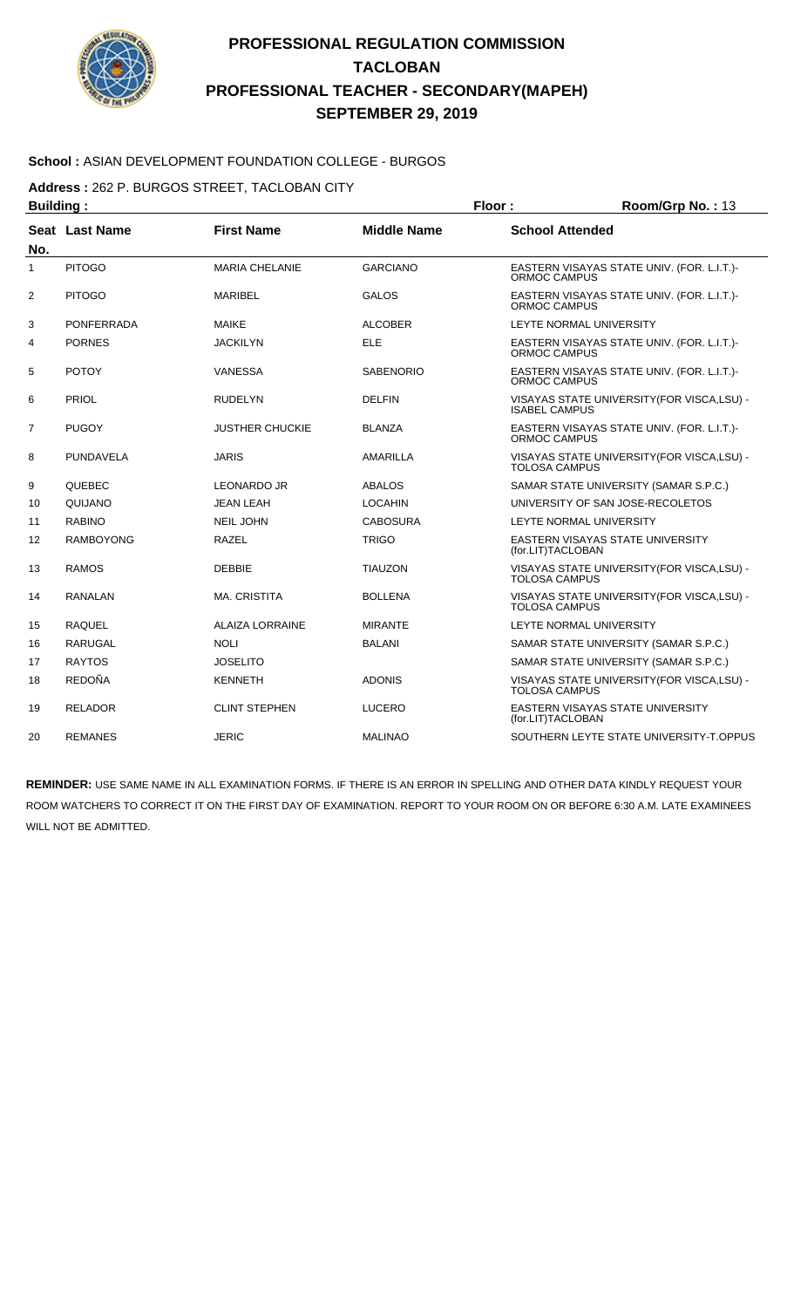

#### **School :** ASIAN DEVELOPMENT FOUNDATION COLLEGE - BURGOS

**Address :** 262 P. BURGOS STREET, TACLOBAN CITY

| <b>Building:</b> |                   |                        |                    | Floor:                                                            | Room/Grp No.: 13                            |
|------------------|-------------------|------------------------|--------------------|-------------------------------------------------------------------|---------------------------------------------|
| No.              | Seat Last Name    | <b>First Name</b>      | <b>Middle Name</b> | <b>School Attended</b>                                            |                                             |
| 1                | <b>PITOGO</b>     | <b>MARIA CHELANIE</b>  | <b>GARCIANO</b>    | ORMOC CAMPUS                                                      | EASTERN VISAYAS STATE UNIV. (FOR. L.I.T.)-  |
| $\overline{2}$   | <b>PITOGO</b>     | <b>MARIBEL</b>         | <b>GALOS</b>       | <b>ORMOC CAMPUS</b>                                               | EASTERN VISAYAS STATE UNIV. (FOR. L.I.T.)-  |
| 3                | <b>PONFERRADA</b> | <b>MAIKE</b>           | <b>ALCOBER</b>     |                                                                   | LEYTE NORMAL UNIVERSITY                     |
| 4                | <b>PORNES</b>     | <b>JACKILYN</b>        | ELE                | ORMOC CAMPUS                                                      | EASTERN VISAYAS STATE UNIV. (FOR. L.I.T.)-  |
| 5                | <b>POTOY</b>      | <b>VANESSA</b>         | <b>SABENORIO</b>   | ORMOC CAMPUS                                                      | EASTERN VISAYAS STATE UNIV. (FOR. L.I.T.)-  |
| 6                | PRIOL             | <b>RUDELYN</b>         | <b>DELFIN</b>      | <b>ISABEL CAMPUS</b>                                              | VISAYAS STATE UNIVERSITY (FOR VISCA, LSU) - |
| $\overline{7}$   | <b>PUGOY</b>      | <b>JUSTHER CHUCKIE</b> | <b>BLANZA</b>      | EASTERN VISAYAS STATE UNIV. (FOR. L.I.T.)-<br>ORMOC CAMPUS        |                                             |
| 8                | <b>PUNDAVELA</b>  | <b>JARIS</b>           | AMARILLA           | VISAYAS STATE UNIVERSITY(FOR VISCA,LSU) -<br><b>TOLOSA CAMPUS</b> |                                             |
| 9                | <b>QUEBEC</b>     | <b>LEONARDO JR</b>     | <b>ABALOS</b>      |                                                                   | SAMAR STATE UNIVERSITY (SAMAR S.P.C.)       |
| 10               | QUIJANO           | <b>JEAN LEAH</b>       | <b>LOCAHIN</b>     |                                                                   | UNIVERSITY OF SAN JOSE-RECOLETOS            |
| 11               | <b>RABINO</b>     | <b>NEIL JOHN</b>       | <b>CABOSURA</b>    |                                                                   | LEYTE NORMAL UNIVERSITY                     |
| 12               | <b>RAMBOYONG</b>  | <b>RAZEL</b>           | <b>TRIGO</b>       | (for.LIT)TACLOBAN                                                 | <b>EASTERN VISAYAS STATE UNIVERSITY</b>     |
| 13               | <b>RAMOS</b>      | <b>DEBBIE</b>          | <b>TIAUZON</b>     | <b>TOLOSA CAMPUS</b>                                              | VISAYAS STATE UNIVERSITY (FOR VISCA, LSU) - |
| 14               | RANALAN           | <b>MA. CRISTITA</b>    | <b>BOLLENA</b>     | <b>TOLOSA CAMPUS</b>                                              | VISAYAS STATE UNIVERSITY (FOR VISCA, LSU) - |
| 15               | <b>RAQUEL</b>     | <b>ALAIZA LORRAINE</b> | <b>MIRANTE</b>     |                                                                   | LEYTE NORMAL UNIVERSITY                     |
| 16               | <b>RARUGAL</b>    | <b>NOLI</b>            | <b>BALANI</b>      |                                                                   | SAMAR STATE UNIVERSITY (SAMAR S.P.C.)       |
| 17               | <b>RAYTOS</b>     | <b>JOSELITO</b>        |                    |                                                                   | SAMAR STATE UNIVERSITY (SAMAR S.P.C.)       |
| 18               | <b>REDOÑA</b>     | <b>KENNETH</b>         | <b>ADONIS</b>      | <b>TOLOSA CAMPUS</b>                                              | VISAYAS STATE UNIVERSITY (FOR VISCA, LSU) - |
| 19               | <b>RELADOR</b>    | <b>CLINT STEPHEN</b>   | <b>LUCERO</b>      | EASTERN VISAYAS STATE UNIVERSITY<br>(for.LIT)TACLOBAN             |                                             |
| 20               | <b>REMANES</b>    | <b>JERIC</b>           | <b>MALINAO</b>     |                                                                   | SOUTHERN LEYTE STATE UNIVERSITY-T.OPPUS     |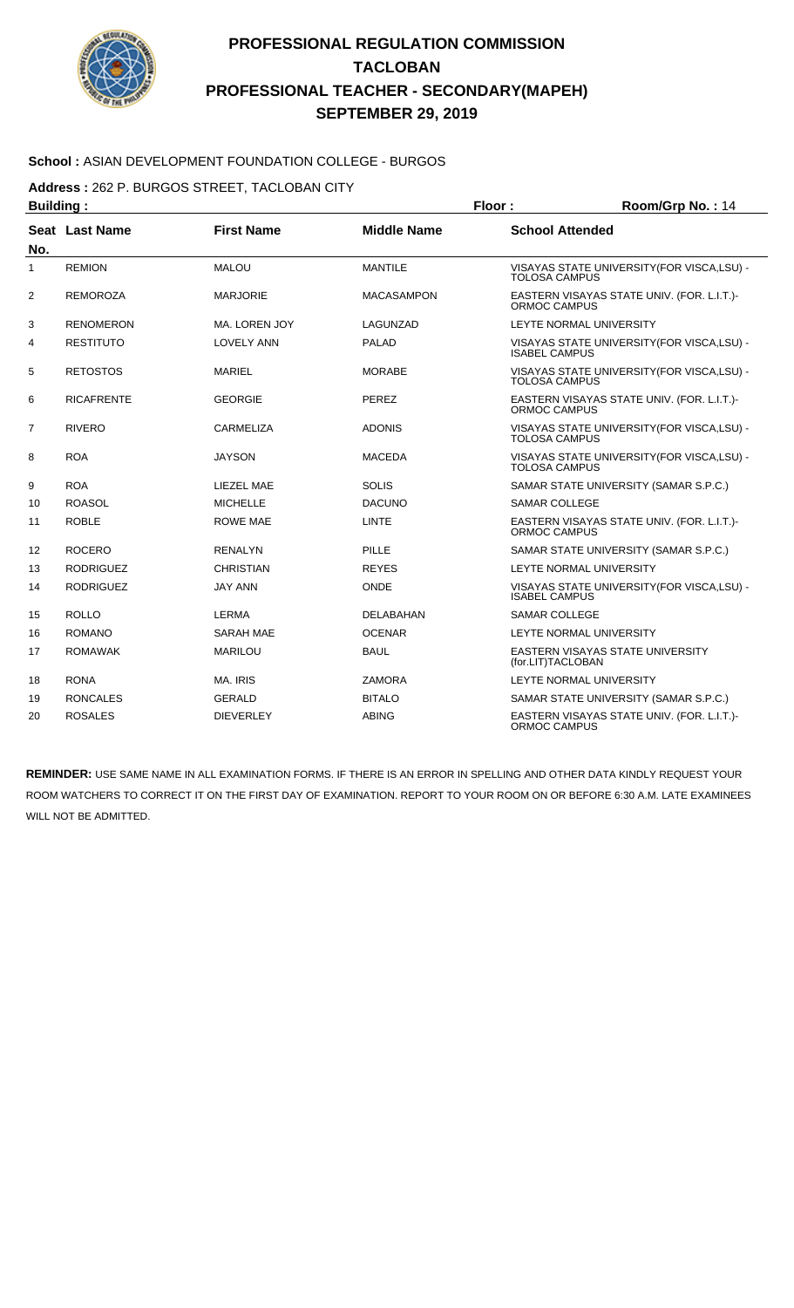

#### **School :** ASIAN DEVELOPMENT FOUNDATION COLLEGE - BURGOS

**Address :** 262 P. BURGOS STREET, TACLOBAN CITY

| <b>Building:</b> |                   |                   |                    | Floor:                 | Room/Grp No.: 14                            |
|------------------|-------------------|-------------------|--------------------|------------------------|---------------------------------------------|
| No.              | Seat Last Name    | <b>First Name</b> | <b>Middle Name</b> | <b>School Attended</b> |                                             |
| 1                | <b>REMION</b>     | <b>MALOU</b>      | <b>MANTILE</b>     | <b>TOLOSA CAMPUS</b>   | VISAYAS STATE UNIVERSITY (FOR VISCA, LSU) - |
| 2                | <b>REMOROZA</b>   | <b>MARJORIE</b>   | <b>MACASAMPON</b>  | ORMOC CAMPUS           | EASTERN VISAYAS STATE UNIV. (FOR. L.I.T.)-  |
| 3                | <b>RENOMERON</b>  | MA. LOREN JOY     | LAGUNZAD           |                        | LEYTE NORMAL UNIVERSITY                     |
| 4                | <b>RESTITUTO</b>  | <b>LOVELY ANN</b> | <b>PALAD</b>       | <b>ISABEL CAMPUS</b>   | VISAYAS STATE UNIVERSITY (FOR VISCA, LSU) - |
| 5                | <b>RETOSTOS</b>   | <b>MARIEL</b>     | <b>MORABE</b>      | <b>TOLOSA CAMPUS</b>   | VISAYAS STATE UNIVERSITY (FOR VISCA, LSU) - |
| 6                | <b>RICAFRENTE</b> | <b>GEORGIE</b>    | <b>PEREZ</b>       | ORMOC CAMPUS           | EASTERN VISAYAS STATE UNIV. (FOR. L.I.T.)-  |
| $\overline{7}$   | <b>RIVERO</b>     | CARMELIZA         | <b>ADONIS</b>      | <b>TOLOSA CAMPUS</b>   | VISAYAS STATE UNIVERSITY (FOR VISCA, LSU) - |
| 8                | <b>ROA</b>        | <b>JAYSON</b>     | <b>MACEDA</b>      | <b>TOLOSA CAMPUS</b>   | VISAYAS STATE UNIVERSITY (FOR VISCA, LSU) - |
| 9                | <b>ROA</b>        | LIEZEL MAE        | <b>SOLIS</b>       |                        | SAMAR STATE UNIVERSITY (SAMAR S.P.C.)       |
| 10               | <b>ROASOL</b>     | <b>MICHELLE</b>   | <b>DACUNO</b>      | <b>SAMAR COLLEGE</b>   |                                             |
| 11               | <b>ROBLE</b>      | <b>ROWE MAE</b>   | <b>LINTE</b>       | ORMOC CAMPUS           | EASTERN VISAYAS STATE UNIV. (FOR. L.I.T.)-  |
| 12               | <b>ROCERO</b>     | <b>RENALYN</b>    | PILLE              |                        | SAMAR STATE UNIVERSITY (SAMAR S.P.C.)       |
| 13               | <b>RODRIGUEZ</b>  | <b>CHRISTIAN</b>  | <b>REYES</b>       |                        | LEYTE NORMAL UNIVERSITY                     |
| 14               | <b>RODRIGUEZ</b>  | <b>JAY ANN</b>    | <b>ONDE</b>        | <b>ISABEL CAMPUS</b>   | VISAYAS STATE UNIVERSITY (FOR VISCA, LSU) - |
| 15               | <b>ROLLO</b>      | <b>LERMA</b>      | DELABAHAN          | <b>SAMAR COLLEGE</b>   |                                             |
| 16               | <b>ROMANO</b>     | <b>SARAH MAE</b>  | <b>OCENAR</b>      |                        | LEYTE NORMAL UNIVERSITY                     |
| 17               | <b>ROMAWAK</b>    | <b>MARILOU</b>    | <b>BAUL</b>        | (for.LIT)TACLOBAN      | EASTERN VISAYAS STATE UNIVERSITY            |
| 18               | <b>RONA</b>       | MA. IRIS          | <b>ZAMORA</b>      |                        | LEYTE NORMAL UNIVERSITY                     |
| 19               | <b>RONCALES</b>   | <b>GERALD</b>     | <b>BITALO</b>      |                        | SAMAR STATE UNIVERSITY (SAMAR S.P.C.)       |
| 20               | <b>ROSALES</b>    | <b>DIEVERLEY</b>  | <b>ABING</b>       | ORMOC CAMPUS           | EASTERN VISAYAS STATE UNIV. (FOR. L.I.T.)-  |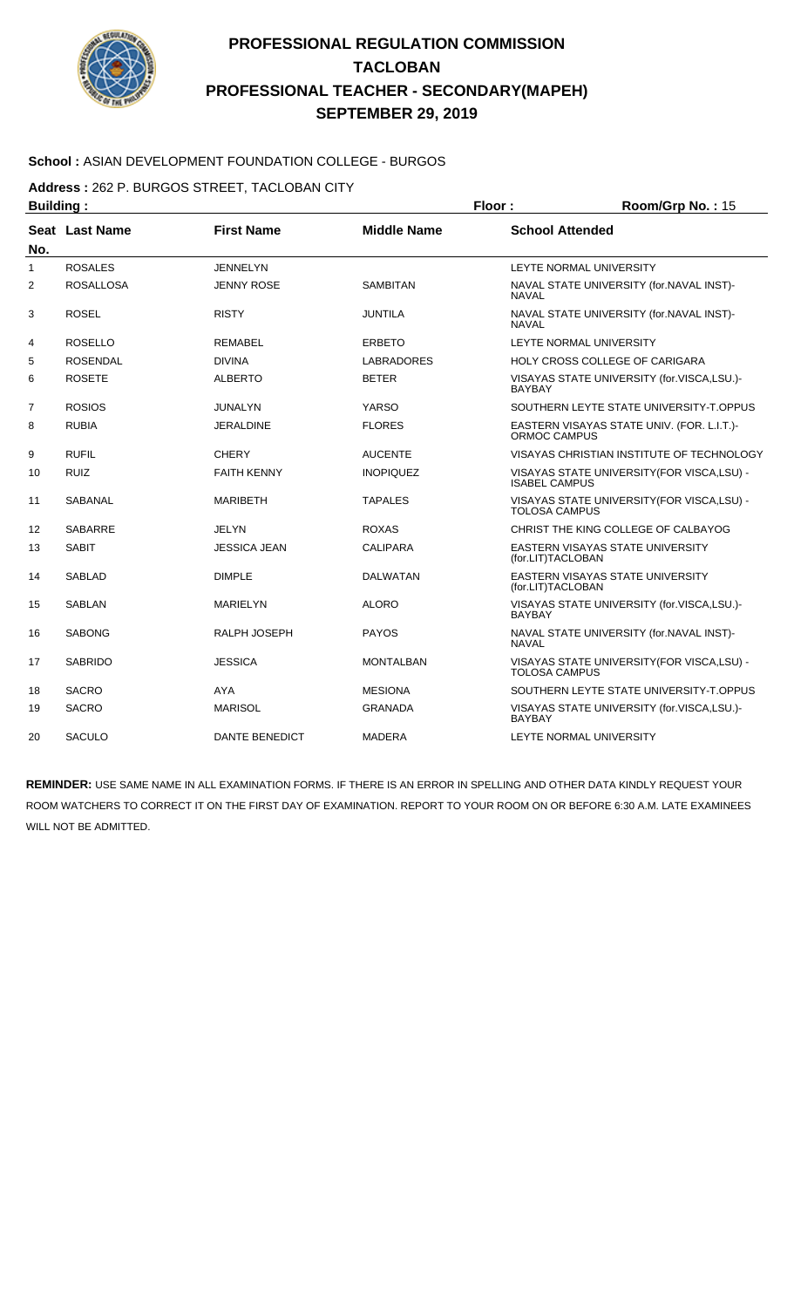

#### **School :** ASIAN DEVELOPMENT FOUNDATION COLLEGE - BURGOS

**Address :** 262 P. BURGOS STREET, TACLOBAN CITY

| <b>Building:</b> |                  |                       |                    | Floor:                 | Room/Grp No.: 15                            |
|------------------|------------------|-----------------------|--------------------|------------------------|---------------------------------------------|
| No.              | Seat Last Name   | <b>First Name</b>     | <b>Middle Name</b> | <b>School Attended</b> |                                             |
| 1                | <b>ROSALES</b>   | <b>JENNELYN</b>       |                    |                        | LEYTE NORMAL UNIVERSITY                     |
| 2                | <b>ROSALLOSA</b> | <b>JENNY ROSE</b>     | <b>SAMBITAN</b>    | <b>NAVAL</b>           | NAVAL STATE UNIVERSITY (for.NAVAL INST)-    |
| 3                | <b>ROSEL</b>     | <b>RISTY</b>          | <b>JUNTILA</b>     | <b>NAVAL</b>           | NAVAL STATE UNIVERSITY (for.NAVAL INST)-    |
| 4                | <b>ROSELLO</b>   | <b>REMABEL</b>        | <b>ERBETO</b>      |                        | LEYTE NORMAL UNIVERSITY                     |
| 5                | <b>ROSENDAL</b>  | <b>DIVINA</b>         | <b>LABRADORES</b>  |                        | HOLY CROSS COLLEGE OF CARIGARA              |
| 6                | <b>ROSETE</b>    | <b>ALBERTO</b>        | <b>BETER</b>       | <b>BAYBAY</b>          | VISAYAS STATE UNIVERSITY (for.VISCA,LSU.)-  |
| $\overline{7}$   | <b>ROSIOS</b>    | <b>JUNALYN</b>        | YARSO              |                        | SOUTHERN LEYTE STATE UNIVERSITY-T.OPPUS     |
| 8                | <b>RUBIA</b>     | <b>JERALDINE</b>      | <b>FLORES</b>      | <b>ORMOC CAMPUS</b>    | EASTERN VISAYAS STATE UNIV. (FOR. L.I.T.)-  |
| 9                | <b>RUFIL</b>     | <b>CHERY</b>          | <b>AUCENTE</b>     |                        | VISAYAS CHRISTIAN INSTITUTE OF TECHNOLOGY   |
| 10               | <b>RUIZ</b>      | <b>FAITH KENNY</b>    | <b>INOPIQUEZ</b>   | <b>ISABEL CAMPUS</b>   | VISAYAS STATE UNIVERSITY(FOR VISCA,LSU) -   |
| 11               | <b>SABANAL</b>   | <b>MARIBETH</b>       | <b>TAPALES</b>     | TOLOSA CAMPUS          | VISAYAS STATE UNIVERSITY (FOR VISCA, LSU) - |
| 12               | <b>SABARRE</b>   | JELYN                 | <b>ROXAS</b>       |                        | CHRIST THE KING COLLEGE OF CALBAYOG         |
| 13               | <b>SABIT</b>     | <b>JESSICA JEAN</b>   | <b>CALIPARA</b>    | (for.LIT)TACLOBAN      | EASTERN VISAYAS STATE UNIVERSITY            |
| 14               | <b>SABLAD</b>    | <b>DIMPLE</b>         | <b>DALWATAN</b>    | (for.LIT)TACLOBAN      | EASTERN VISAYAS STATE UNIVERSITY            |
| 15               | <b>SABLAN</b>    | <b>MARIELYN</b>       | <b>ALORO</b>       | <b>BAYBAY</b>          | VISAYAS STATE UNIVERSITY (for.VISCA,LSU.)-  |
| 16               | <b>SABONG</b>    | RALPH JOSEPH          | <b>PAYOS</b>       | <b>NAVAL</b>           | NAVAL STATE UNIVERSITY (for.NAVAL INST)-    |
| 17               | <b>SABRIDO</b>   | <b>JESSICA</b>        | <b>MONTALBAN</b>   | <b>TOLOSA CAMPUS</b>   | VISAYAS STATE UNIVERSITY (FOR VISCA, LSU) - |
| 18               | <b>SACRO</b>     | <b>AYA</b>            | <b>MESIONA</b>     |                        | SOUTHERN LEYTE STATE UNIVERSITY-T.OPPUS     |
| 19               | <b>SACRO</b>     | <b>MARISOL</b>        | <b>GRANADA</b>     | <b>BAYBAY</b>          | VISAYAS STATE UNIVERSITY (for.VISCA,LSU.)-  |
| 20               | <b>SACULO</b>    | <b>DANTE BENEDICT</b> | <b>MADERA</b>      |                        | LEYTE NORMAL UNIVERSITY                     |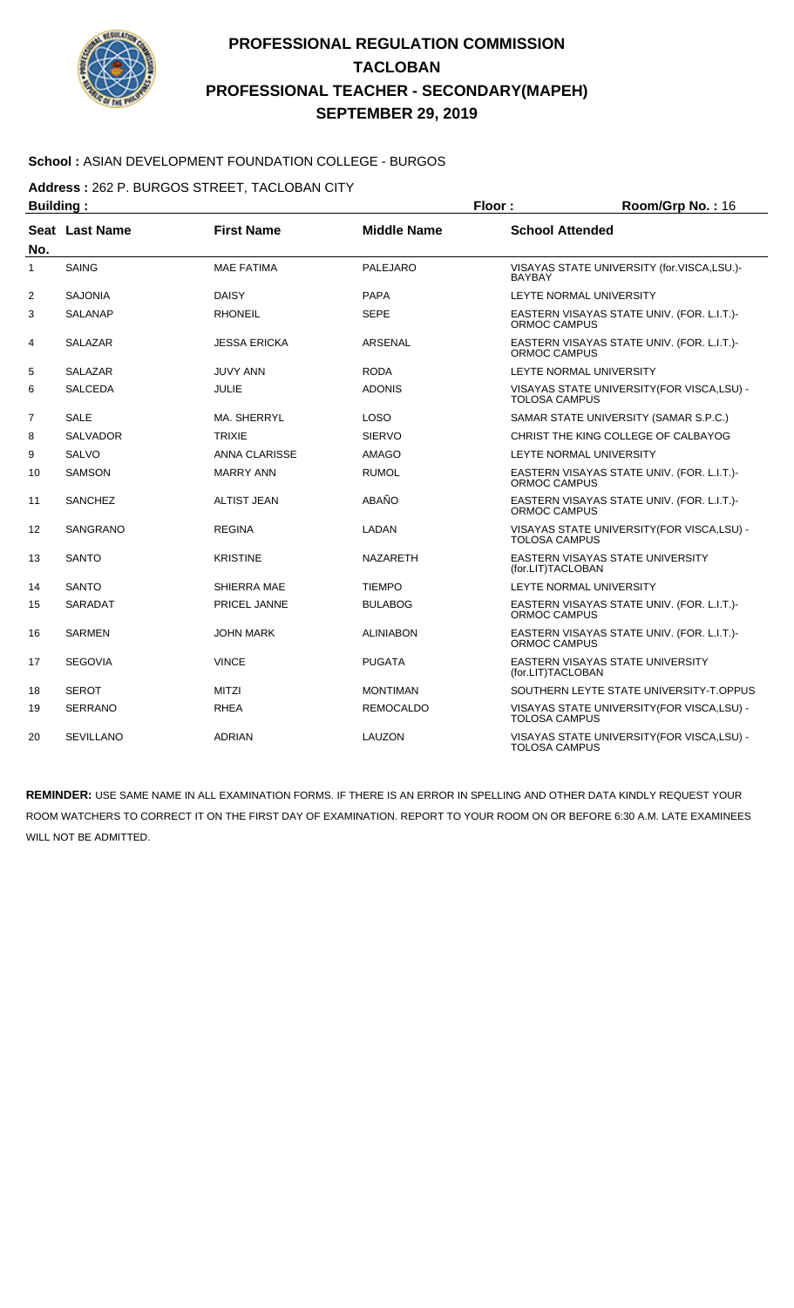

#### **School :** ASIAN DEVELOPMENT FOUNDATION COLLEGE - BURGOS

**Address :** 262 P. BURGOS STREET, TACLOBAN CITY

| <b>Building:</b> |                  |                     |                    | Floor:<br>Room/Grp No.: 16 |                                             |
|------------------|------------------|---------------------|--------------------|----------------------------|---------------------------------------------|
| No.              | Seat Last Name   | <b>First Name</b>   | <b>Middle Name</b> | <b>School Attended</b>     |                                             |
| 1                | <b>SAING</b>     | <b>MAE FATIMA</b>   | <b>PALEJARO</b>    | <b>BAYBAY</b>              | VISAYAS STATE UNIVERSITY (for.VISCA,LSU.)-  |
| $\overline{2}$   | <b>SAJONIA</b>   | <b>DAISY</b>        | <b>PAPA</b>        |                            | LEYTE NORMAL UNIVERSITY                     |
| 3                | <b>SALANAP</b>   | <b>RHONEIL</b>      | <b>SEPE</b>        | ORMOC CAMPUS               | EASTERN VISAYAS STATE UNIV. (FOR. L.I.T.)-  |
| 4                | <b>SALAZAR</b>   | <b>JESSA ERICKA</b> | ARSENAL            | <b>ORMOC CAMPUS</b>        | EASTERN VISAYAS STATE UNIV. (FOR. L.I.T.)-  |
| 5                | <b>SALAZAR</b>   | <b>JUVY ANN</b>     | <b>RODA</b>        |                            | LEYTE NORMAL UNIVERSITY                     |
| 6                | <b>SALCEDA</b>   | <b>JULIE</b>        | <b>ADONIS</b>      | <b>TOLOSA CAMPUS</b>       | VISAYAS STATE UNIVERSITY (FOR VISCA, LSU) - |
| $\overline{7}$   | <b>SALE</b>      | MA. SHERRYL         | <b>LOSO</b>        |                            | SAMAR STATE UNIVERSITY (SAMAR S.P.C.)       |
| 8                | <b>SALVADOR</b>  | <b>TRIXIE</b>       | <b>SIERVO</b>      |                            | CHRIST THE KING COLLEGE OF CALBAYOG         |
| 9                | <b>SALVO</b>     | ANNA CLARISSE       | <b>AMAGO</b>       |                            | LEYTE NORMAL UNIVERSITY                     |
| 10               | <b>SAMSON</b>    | <b>MARRY ANN</b>    | <b>RUMOL</b>       | ORMOC CAMPUS               | EASTERN VISAYAS STATE UNIV. (FOR. L.I.T.)-  |
| 11               | <b>SANCHEZ</b>   | <b>ALTIST JEAN</b>  | ABAÑO              | ORMOC CAMPUS               | EASTERN VISAYAS STATE UNIV. (FOR. L.I.T.)-  |
| 12               | SANGRANO         | <b>REGINA</b>       | LADAN              | <b>TOLOSA CAMPUS</b>       | VISAYAS STATE UNIVERSITY (FOR VISCA, LSU) - |
| 13               | <b>SANTO</b>     | <b>KRISTINE</b>     | <b>NAZARETH</b>    | (for.LIT)TACLOBAN          | EASTERN VISAYAS STATE UNIVERSITY            |
| 14               | <b>SANTO</b>     | <b>SHIERRA MAE</b>  | <b>TIEMPO</b>      |                            | LEYTE NORMAL UNIVERSITY                     |
| 15               | SARADAT          | <b>PRICEL JANNE</b> | <b>BULABOG</b>     | ORMOC CAMPUS               | EASTERN VISAYAS STATE UNIV. (FOR. L.I.T.)-  |
| 16               | <b>SARMEN</b>    | <b>JOHN MARK</b>    | <b>ALINIABON</b>   | <b>ORMOC CAMPUS</b>        | EASTERN VISAYAS STATE UNIV. (FOR. L.I.T.)-  |
| 17               | <b>SEGOVIA</b>   | <b>VINCE</b>        | <b>PUGATA</b>      | (for.LIT)TACLOBAN          | EASTERN VISAYAS STATE UNIVERSITY            |
| 18               | <b>SEROT</b>     | <b>MITZI</b>        | <b>MONTIMAN</b>    |                            | SOUTHERN LEYTE STATE UNIVERSITY-T.OPPUS     |
| 19               | <b>SERRANO</b>   | <b>RHEA</b>         | <b>REMOCALDO</b>   | <b>TOLOSA CAMPUS</b>       | VISAYAS STATE UNIVERSITY (FOR VISCA, LSU) - |
| 20               | <b>SEVILLANO</b> | <b>ADRIAN</b>       | LAUZON             | <b>TOLOSA CAMPUS</b>       | VISAYAS STATE UNIVERSITY (FOR VISCA, LSU) - |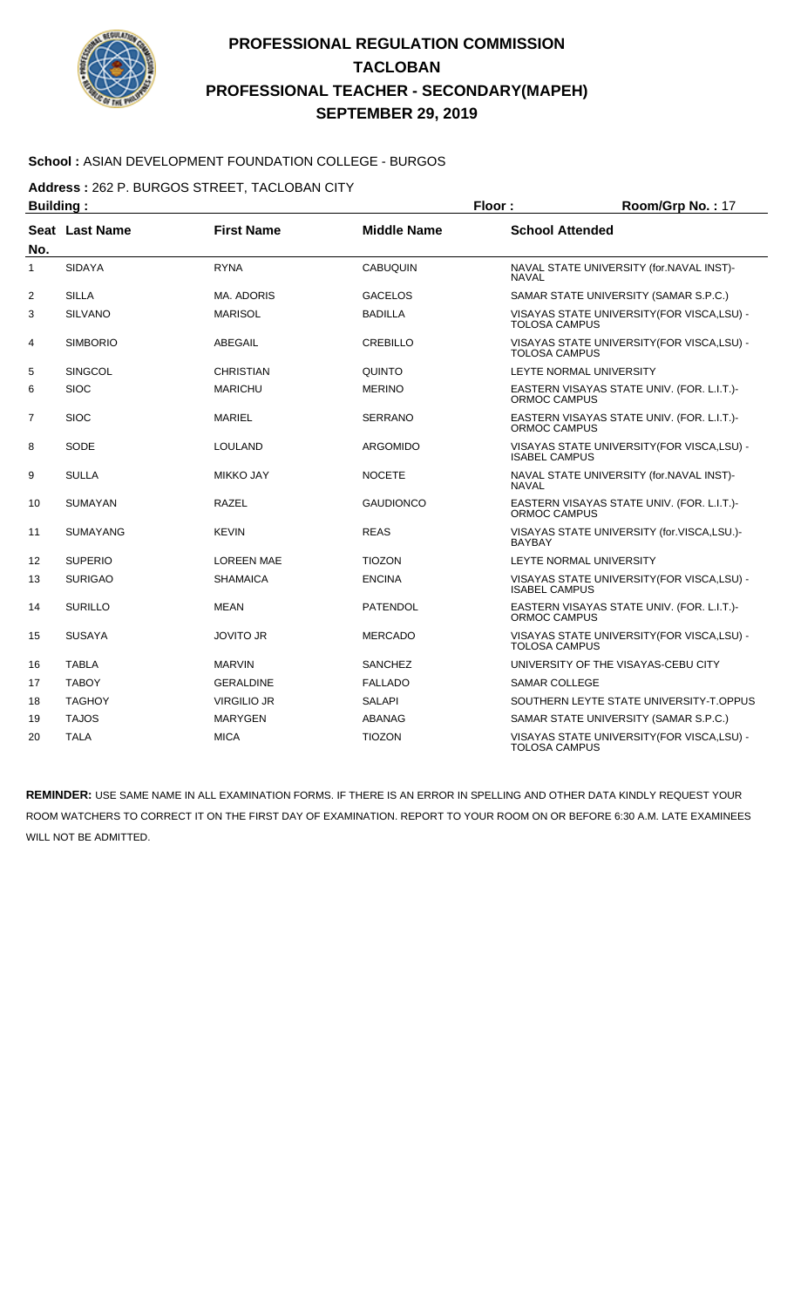

#### **School :** ASIAN DEVELOPMENT FOUNDATION COLLEGE - BURGOS

**Address :** 262 P. BURGOS STREET, TACLOBAN CITY

| <b>Building:</b> |                 |                    |                    | Floor:                                                              | Room/Grp No.: 17                            |
|------------------|-----------------|--------------------|--------------------|---------------------------------------------------------------------|---------------------------------------------|
| No.              | Seat Last Name  | <b>First Name</b>  | <b>Middle Name</b> | <b>School Attended</b>                                              |                                             |
| 1                | <b>SIDAYA</b>   | <b>RYNA</b>        | <b>CABUQUIN</b>    | <b>NAVAL</b>                                                        | NAVAL STATE UNIVERSITY (for.NAVAL INST)-    |
| $\overline{2}$   | <b>SILLA</b>    | <b>MA. ADORIS</b>  | <b>GACELOS</b>     |                                                                     | SAMAR STATE UNIVERSITY (SAMAR S.P.C.)       |
| 3                | <b>SILVANO</b>  | <b>MARISOL</b>     | <b>BADILLA</b>     | <b>TOLOSA CAMPUS</b>                                                | VISAYAS STATE UNIVERSITY (FOR VISCA, LSU) - |
| 4                | <b>SIMBORIO</b> | ABEGAIL            | <b>CREBILLO</b>    | <b>TOLOSA CAMPUS</b>                                                | VISAYAS STATE UNIVERSITY (FOR VISCA, LSU) - |
| 5                | <b>SINGCOL</b>  | <b>CHRISTIAN</b>   | QUINTO             |                                                                     | LEYTE NORMAL UNIVERSITY                     |
| 6                | <b>SIOC</b>     | <b>MARICHU</b>     | <b>MERINO</b>      | ORMOC CAMPUS                                                        | EASTERN VISAYAS STATE UNIV. (FOR. L.I.T.)-  |
| $\overline{7}$   | <b>SIOC</b>     | <b>MARIEL</b>      | <b>SERRANO</b>     | <b>ORMOC CAMPUS</b>                                                 | EASTERN VISAYAS STATE UNIV. (FOR. L.I.T.)-  |
| 8                | SODE            | <b>LOULAND</b>     | <b>ARGOMIDO</b>    | VISAYAS STATE UNIVERSITY (FOR VISCA, LSU) -<br><b>ISABEL CAMPUS</b> |                                             |
| 9                | <b>SULLA</b>    | <b>MIKKO JAY</b>   | <b>NOCETE</b>      | <b>NAVAL</b>                                                        | NAVAL STATE UNIVERSITY (for.NAVAL INST)-    |
| 10               | <b>SUMAYAN</b>  | <b>RAZEL</b>       | <b>GAUDIONCO</b>   | ORMOC CAMPUS                                                        | EASTERN VISAYAS STATE UNIV. (FOR. L.I.T.)-  |
| 11               | <b>SUMAYANG</b> | <b>KEVIN</b>       | <b>REAS</b>        | <b>BAYBAY</b>                                                       | VISAYAS STATE UNIVERSITY (for.VISCA,LSU.)-  |
| 12               | <b>SUPERIO</b>  | <b>LOREEN MAE</b>  | <b>TIOZON</b>      |                                                                     | LEYTE NORMAL UNIVERSITY                     |
| 13               | <b>SURIGAO</b>  | <b>SHAMAICA</b>    | <b>ENCINA</b>      | <b>ISABEL CAMPUS</b>                                                | VISAYAS STATE UNIVERSITY (FOR VISCA, LSU) - |
| 14               | <b>SURILLO</b>  | <b>MEAN</b>        | <b>PATENDOL</b>    | ORMOC CAMPUS                                                        | EASTERN VISAYAS STATE UNIV. (FOR. L.I.T.)-  |
| 15               | <b>SUSAYA</b>   | <b>JOVITO JR</b>   | <b>MERCADO</b>     | <b>TOLOSA CAMPUS</b>                                                | VISAYAS STATE UNIVERSITY (FOR VISCA, LSU) - |
| 16               | <b>TABLA</b>    | <b>MARVIN</b>      | <b>SANCHEZ</b>     |                                                                     | UNIVERSITY OF THE VISAYAS-CEBU CITY         |
| 17               | <b>TABOY</b>    | <b>GERALDINE</b>   | <b>FALLADO</b>     | <b>SAMAR COLLEGE</b>                                                |                                             |
| 18               | <b>TAGHOY</b>   | <b>VIRGILIO JR</b> | <b>SALAPI</b>      |                                                                     | SOUTHERN LEYTE STATE UNIVERSITY-T.OPPUS     |
| 19               | <b>TAJOS</b>    | <b>MARYGEN</b>     | ABANAG             |                                                                     | SAMAR STATE UNIVERSITY (SAMAR S.P.C.)       |
| 20               | <b>TALA</b>     | <b>MICA</b>        | <b>TIOZON</b>      | <b>TOLOSA CAMPUS</b>                                                | VISAYAS STATE UNIVERSITY (FOR VISCA, LSU) - |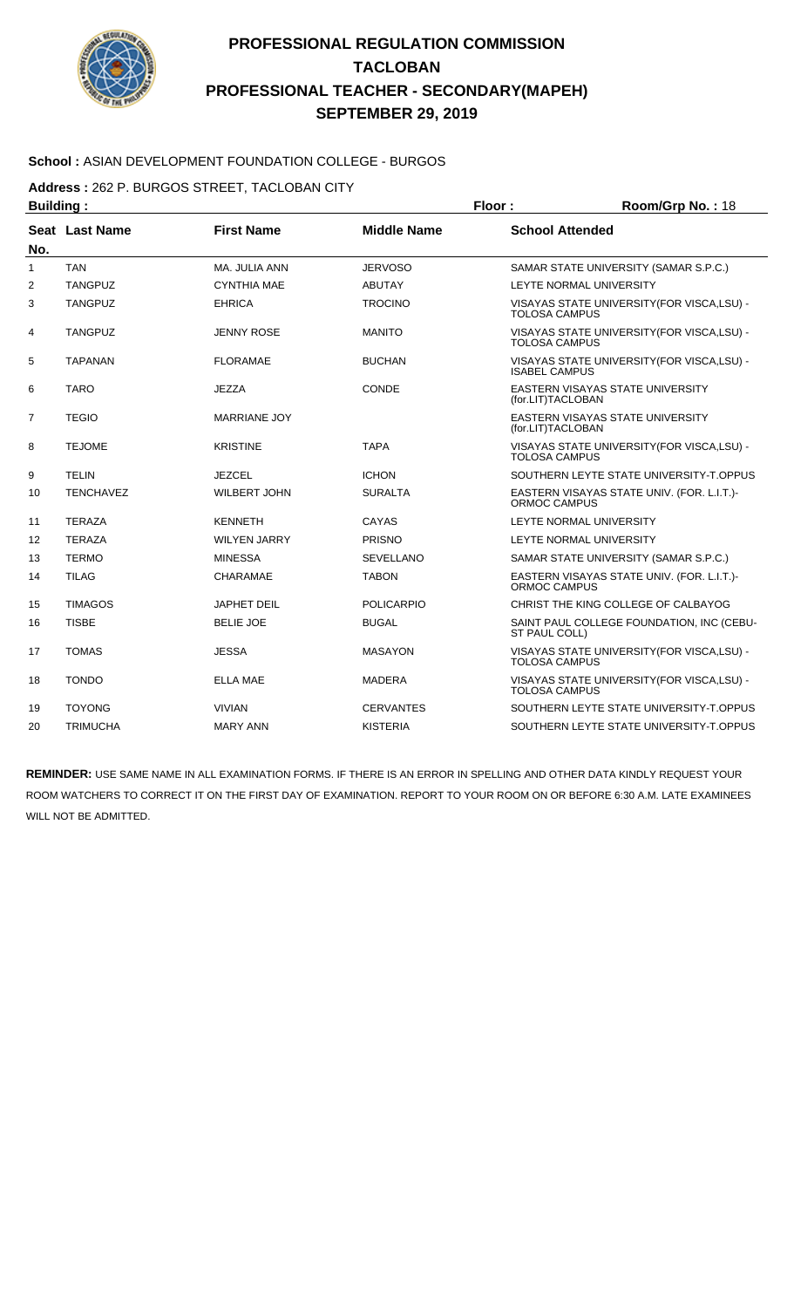

#### **School :** ASIAN DEVELOPMENT FOUNDATION COLLEGE - BURGOS

**Address :** 262 P. BURGOS STREET, TACLOBAN CITY

| <b>Building:</b>      |                  |                     |                    | Floor:                                                              | Room/Grp No.: 18                            |  |
|-----------------------|------------------|---------------------|--------------------|---------------------------------------------------------------------|---------------------------------------------|--|
| Seat Last Name<br>No. |                  | <b>First Name</b>   | <b>Middle Name</b> | <b>School Attended</b>                                              |                                             |  |
| $\mathbf{1}$          | <b>TAN</b>       | MA. JULIA ANN       | <b>JERVOSO</b>     |                                                                     | SAMAR STATE UNIVERSITY (SAMAR S.P.C.)       |  |
| $\overline{2}$        | <b>TANGPUZ</b>   | <b>CYNTHIA MAE</b>  | <b>ABUTAY</b>      | LEYTE NORMAL UNIVERSITY                                             |                                             |  |
| 3                     | <b>TANGPUZ</b>   | <b>EHRICA</b>       | <b>TROCINO</b>     | VISAYAS STATE UNIVERSITY (FOR VISCA, LSU) -<br><b>TOLOSA CAMPUS</b> |                                             |  |
| 4                     | <b>TANGPUZ</b>   | <b>JENNY ROSE</b>   | <b>MANITO</b>      | VISAYAS STATE UNIVERSITY (FOR VISCA, LSU) -<br><b>TOLOSA CAMPUS</b> |                                             |  |
| 5                     | <b>TAPANAN</b>   | <b>FLORAMAE</b>     | <b>BUCHAN</b>      | <b>ISABEL CAMPUS</b>                                                | VISAYAS STATE UNIVERSITY (FOR VISCA, LSU) - |  |
| 6                     | <b>TARO</b>      | <b>JEZZA</b>        | CONDE              | EASTERN VISAYAS STATE UNIVERSITY<br>(for.LIT)TACLOBAN               |                                             |  |
| 7                     | <b>TEGIO</b>     | <b>MARRIANE JOY</b> |                    | <b>EASTERN VISAYAS STATE UNIVERSITY</b><br>(for.LIT)TACLOBAN        |                                             |  |
| 8                     | <b>TEJOME</b>    | <b>KRISTINE</b>     | <b>TAPA</b>        | VISAYAS STATE UNIVERSITY (FOR VISCA, LSU) -<br><b>TOLOSA CAMPUS</b> |                                             |  |
| 9                     | <b>TELIN</b>     | <b>JEZCEL</b>       | <b>ICHON</b>       |                                                                     | SOUTHERN LEYTE STATE UNIVERSITY-T.OPPUS     |  |
| 10                    | <b>TENCHAVEZ</b> | <b>WILBERT JOHN</b> | <b>SURALTA</b>     | EASTERN VISAYAS STATE UNIV. (FOR. L.I.T.)-<br>ORMOC CAMPUS          |                                             |  |
| 11                    | <b>TERAZA</b>    | <b>KENNETH</b>      | CAYAS              |                                                                     | LEYTE NORMAL UNIVERSITY                     |  |
| 12                    | <b>TERAZA</b>    | <b>WILYEN JARRY</b> | <b>PRISNO</b>      |                                                                     | LEYTE NORMAL UNIVERSITY                     |  |
| 13                    | <b>TERMO</b>     | <b>MINESSA</b>      | SEVELLANO          |                                                                     | SAMAR STATE UNIVERSITY (SAMAR S.P.C.)       |  |
| 14                    | <b>TILAG</b>     | <b>CHARAMAE</b>     | <b>TABON</b>       | ORMOC CAMPUS                                                        | EASTERN VISAYAS STATE UNIV. (FOR. L.I.T.)-  |  |
| 15                    | <b>TIMAGOS</b>   | <b>JAPHET DEIL</b>  | <b>POLICARPIO</b>  |                                                                     | CHRIST THE KING COLLEGE OF CALBAYOG         |  |
| 16                    | <b>TISBE</b>     | <b>BELIE JOE</b>    | <b>BUGAL</b>       | SAINT PAUL COLLEGE FOUNDATION, INC (CEBU-<br>ST PAUL COLL)          |                                             |  |
| 17                    | <b>TOMAS</b>     | <b>JESSA</b>        | <b>MASAYON</b>     | VISAYAS STATE UNIVERSITY (FOR VISCA, LSU) -<br><b>TOLOSA CAMPUS</b> |                                             |  |
| 18                    | <b>TONDO</b>     | ELLA MAE            | <b>MADERA</b>      | VISAYAS STATE UNIVERSITY (FOR VISCA, LSU) -<br><b>TOLOSA CAMPUS</b> |                                             |  |
| 19                    | <b>TOYONG</b>    | <b>VIVIAN</b>       | <b>CERVANTES</b>   |                                                                     | SOUTHERN LEYTE STATE UNIVERSITY-T.OPPUS     |  |
| 20                    | <b>TRIMUCHA</b>  | <b>MARY ANN</b>     | <b>KISTERIA</b>    |                                                                     | SOUTHERN LEYTE STATE UNIVERSITY-T.OPPUS     |  |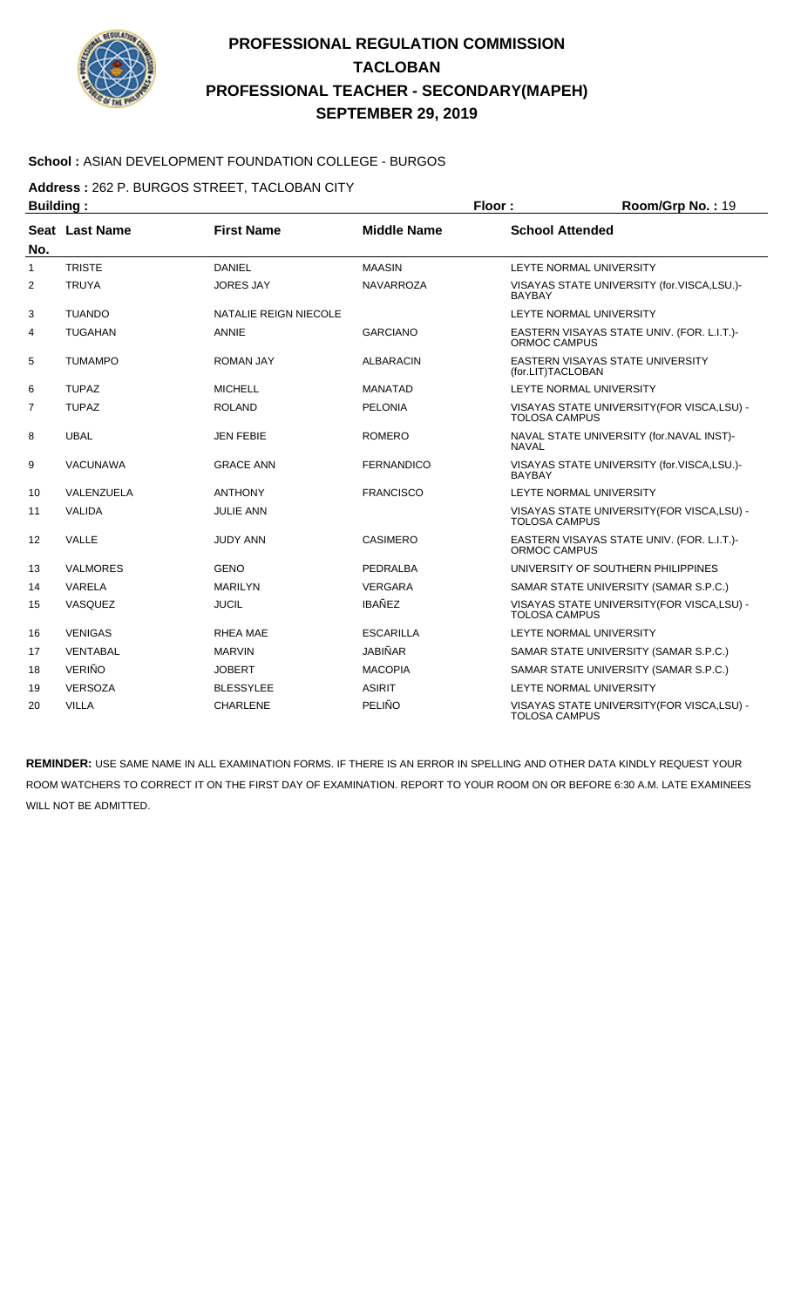

#### **School :** ASIAN DEVELOPMENT FOUNDATION COLLEGE - BURGOS

**Address :** 262 P. BURGOS STREET, TACLOBAN CITY

| <b>Building:</b> |                 |                       |                    | Floor:<br>Room/Grp No.: 19                                          |                                             |
|------------------|-----------------|-----------------------|--------------------|---------------------------------------------------------------------|---------------------------------------------|
| No.              | Seat Last Name  | <b>First Name</b>     | <b>Middle Name</b> | <b>School Attended</b>                                              |                                             |
| 1                | <b>TRISTE</b>   | <b>DANIEL</b>         | <b>MAASIN</b>      |                                                                     | LEYTE NORMAL UNIVERSITY                     |
| 2                | <b>TRUYA</b>    | <b>JORES JAY</b>      | <b>NAVARROZA</b>   | VISAYAS STATE UNIVERSITY (for.VISCA,LSU.)-<br><b>BAYBAY</b>         |                                             |
| 3                | <b>TUANDO</b>   | NATALIE REIGN NIECOLE |                    | LEYTE NORMAL UNIVERSITY                                             |                                             |
| 4                | <b>TUGAHAN</b>  | ANNIE                 | <b>GARCIANO</b>    | EASTERN VISAYAS STATE UNIV. (FOR. L.I.T.)-<br>ORMOC CAMPUS          |                                             |
| 5                | <b>TUMAMPO</b>  | <b>ROMAN JAY</b>      | <b>ALBARACIN</b>   | <b>EASTERN VISAYAS STATE UNIVERSITY</b><br>(for.LIT)TACLOBAN        |                                             |
| 6                | <b>TUPAZ</b>    | <b>MICHELL</b>        | <b>MANATAD</b>     |                                                                     | LEYTE NORMAL UNIVERSITY                     |
| $\overline{7}$   | <b>TUPAZ</b>    | <b>ROLAND</b>         | <b>PELONIA</b>     | VISAYAS STATE UNIVERSITY (FOR VISCA, LSU) -<br><b>TOLOSA CAMPUS</b> |                                             |
| 8                | <b>UBAL</b>     | <b>JEN FEBIE</b>      | <b>ROMERO</b>      | NAVAL STATE UNIVERSITY (for.NAVAL INST)-<br><b>NAVAL</b>            |                                             |
| 9                | <b>VACUNAWA</b> | <b>GRACE ANN</b>      | <b>FERNANDICO</b>  | <b>BAYBAY</b>                                                       | VISAYAS STATE UNIVERSITY (for.VISCA,LSU.)-  |
| 10               | VALENZUELA      | <b>ANTHONY</b>        | <b>FRANCISCO</b>   |                                                                     | LEYTE NORMAL UNIVERSITY                     |
| 11               | <b>VALIDA</b>   | <b>JULIE ANN</b>      |                    | <b>TOLOSA CAMPUS</b>                                                | VISAYAS STATE UNIVERSITY(FOR VISCA,LSU) -   |
| 12               | VALLE           | <b>JUDY ANN</b>       | <b>CASIMERO</b>    | ORMOC CAMPUS                                                        | EASTERN VISAYAS STATE UNIV. (FOR. L.I.T.)-  |
| 13               | <b>VALMORES</b> | <b>GENO</b>           | <b>PEDRALBA</b>    |                                                                     | UNIVERSITY OF SOUTHERN PHILIPPINES          |
| 14               | VARELA          | <b>MARILYN</b>        | <b>VERGARA</b>     |                                                                     | SAMAR STATE UNIVERSITY (SAMAR S.P.C.)       |
| 15               | <b>VASQUEZ</b>  | <b>JUCIL</b>          | <b>IBAÑEZ</b>      | VISAYAS STATE UNIVERSITY (FOR VISCA, LSU) -<br><b>TOLOSA CAMPUS</b> |                                             |
| 16               | <b>VENIGAS</b>  | RHEA MAE              | <b>ESCARILLA</b>   |                                                                     | LEYTE NORMAL UNIVERSITY                     |
| 17               | <b>VENTABAL</b> | <b>MARVIN</b>         | JABIÑAR            |                                                                     | SAMAR STATE UNIVERSITY (SAMAR S.P.C.)       |
| 18               | <b>VERIÑO</b>   | <b>JOBERT</b>         | <b>MACOPIA</b>     |                                                                     | SAMAR STATE UNIVERSITY (SAMAR S.P.C.)       |
| 19               | <b>VERSOZA</b>  | <b>BLESSYLEE</b>      | <b>ASIRIT</b>      |                                                                     | LEYTE NORMAL UNIVERSITY                     |
| 20               | <b>VILLA</b>    | <b>CHARLENE</b>       | PELIÑO             | <b>TOLOSA CAMPUS</b>                                                | VISAYAS STATE UNIVERSITY (FOR VISCA, LSU) - |